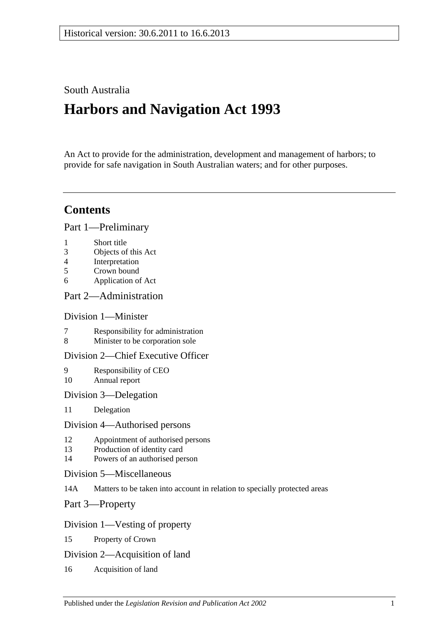# South Australia

# **Harbors and Navigation Act 1993**

An Act to provide for the administration, development and management of harbors; to provide for safe navigation in South Australian waters; and for other purposes.

# **Contents**

[Part 1—Preliminary](#page-6-0)

- 1 [Short title](#page-6-1)
- 3 [Objects of this Act](#page-6-2)
- 4 [Interpretation](#page-6-3)
- 5 [Crown bound](#page-10-0)
- 6 [Application of Act](#page-10-1)

# [Part 2—Administration](#page-12-0)

# [Division 1—Minister](#page-12-1)

- 7 [Responsibility for administration](#page-12-2)<br>8 Minister to be corporation sole
- [Minister to be corporation sole](#page-12-3)

# [Division 2—Chief Executive Officer](#page-12-4)

- 9 [Responsibility of CEO](#page-12-5) 10 [Annual report](#page-12-6)
- [Division 3—Delegation](#page-12-7)
- 11 [Delegation](#page-12-8)

### [Division 4—Authorised persons](#page-12-9)

- 12 [Appointment of authorised persons](#page-12-10)
- 13 [Production of identity card](#page-13-0)
- 14 [Powers of an authorised person](#page-13-1)
- [Division 5—Miscellaneous](#page-15-0)
- 14A [Matters to be taken into account in relation to specially protected areas](#page-15-1)

[Part 3—Property](#page-16-0)

# [Division 1—Vesting of property](#page-16-1)

- 15 [Property of Crown](#page-16-2)
- [Division 2—Acquisition of land](#page-16-3)
- 16 [Acquisition of land](#page-16-4)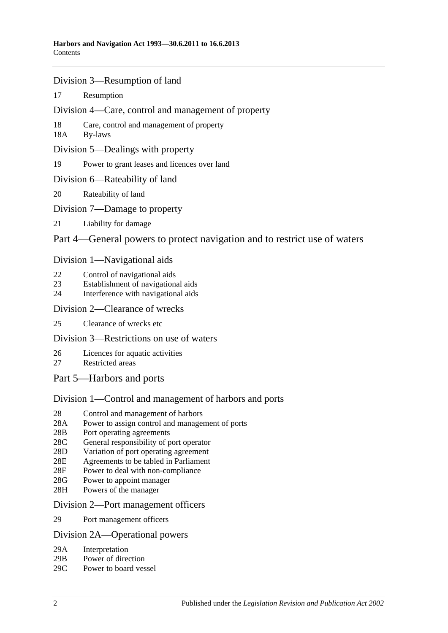- [Division 3—Resumption of land](#page-16-5)
- 17 [Resumption](#page-16-6)
- [Division 4—Care, control and management of property](#page-17-0)
- 18 [Care, control and management of property](#page-17-1)
- 18A [By-laws](#page-17-2)
- [Division 5—Dealings with property](#page-18-0)
- 19 [Power to grant leases and licences over land](#page-18-1)
- [Division 6—Rateability of land](#page-18-2)
- 20 [Rateability of land](#page-18-3)
- [Division 7—Damage to property](#page-18-4)
- 21 [Liability for damage](#page-18-5)

# [Part 4—General powers to protect navigation and to restrict use of waters](#page-20-0)

### [Division 1—Navigational aids](#page-20-1)

- 22 [Control of navigational aids](#page-20-2)
- 23 [Establishment of navigational aids](#page-20-3)
- 24 [Interference with navigational aids](#page-20-4)

### [Division 2—Clearance of wrecks](#page-21-0)

25 [Clearance of wrecks etc](#page-21-1)

# [Division 3—Restrictions on use of waters](#page-21-2)

- 26 [Licences for aquatic activities](#page-21-3)
- 27 [Restricted areas](#page-22-0)
- [Part 5—Harbors and ports](#page-24-0)

# [Division 1—Control and management of harbors and ports](#page-24-1)

- 28 [Control and management of harbors](#page-24-2)
- 28A [Power to assign control and management of ports](#page-24-3)
- 28B [Port operating agreements](#page-24-4)
- 28C [General responsibility of port operator](#page-25-0)
- 28D [Variation of port operating agreement](#page-25-1)
- 28E [Agreements to be tabled in Parliament](#page-25-2)
- 28F [Power to deal with non-compliance](#page-25-3)
- 28G [Power to appoint manager](#page-26-0)
- 28H [Powers of the manager](#page-26-1)

### [Division 2—Port management officers](#page-27-0)

29 [Port management officers](#page-27-1)

### [Division 2A—Operational powers](#page-27-2)

- 29A [Interpretation](#page-27-3)
- 29B [Power of direction](#page-27-4)
- 29C [Power to board vessel](#page-28-0)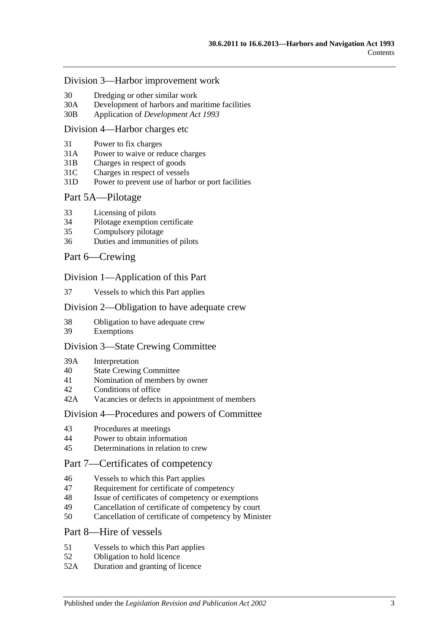#### [Division 3—Harbor improvement work](#page-28-1)

- 30 [Dredging or other similar work](#page-28-2)
- 30A [Development of harbors and maritime facilities](#page-28-3)
- 30B Application of *[Development Act](#page-29-0) 1993*

#### [Division 4—Harbor charges etc](#page-29-1)

- 31 [Power to fix charges](#page-29-2)
- 31A Power to waive [or reduce charges](#page-29-3)
- 31B [Charges in respect of goods](#page-29-4)
- 31C [Charges in respect of vessels](#page-30-0)
- 31D [Power to prevent use of harbor or port facilities](#page-30-1)

#### [Part 5A—Pilotage](#page-32-0)

- 33 [Licensing of pilots](#page-32-1)
- 34 [Pilotage exemption certificate](#page-32-2)
- 35 [Compulsory pilotage](#page-33-0)
- 36 [Duties and immunities of pilots](#page-33-1)

#### [Part 6—Crewing](#page-34-0)

#### [Division 1—Application of this Part](#page-34-1)

37 [Vessels to which this Part applies](#page-34-2)

#### [Division 2—Obligation to have adequate crew](#page-34-3)

- 38 [Obligation to have adequate crew](#page-34-4)
- 39 [Exemptions](#page-34-5)

#### [Division 3—State Crewing Committee](#page-34-6)

- 39A [Interpretation](#page-34-7)
- 40 [State Crewing Committee](#page-35-0)
- 41 [Nomination of members by owner](#page-35-1)
- 42 [Conditions of office](#page-36-0)
- 42A [Vacancies or defects in appointment of members](#page-36-1)

#### [Division 4—Procedures and powers of Committee](#page-36-2)

- 43 [Procedures at meetings](#page-36-3)
- 44 [Power to obtain information](#page-37-0)
- 45 [Determinations in relation to crew](#page-37-1)

# [Part 7—Certificates of competency](#page-38-0)

- 46 [Vessels to which this Part applies](#page-38-1)
- 47 [Requirement for certificate of competency](#page-38-2)
- 48 [Issue of certificates of competency or exemptions](#page-39-0)
- 49 [Cancellation of certificate of competency by court](#page-40-0)
- 50 [Cancellation of certificate of competency by Minister](#page-40-1)

### [Part 8—Hire of vessels](#page-42-0)

- 51 [Vessels to which this Part applies](#page-42-1)
- 52 [Obligation to hold licence](#page-42-2)
- 52A [Duration and granting of licence](#page-42-3)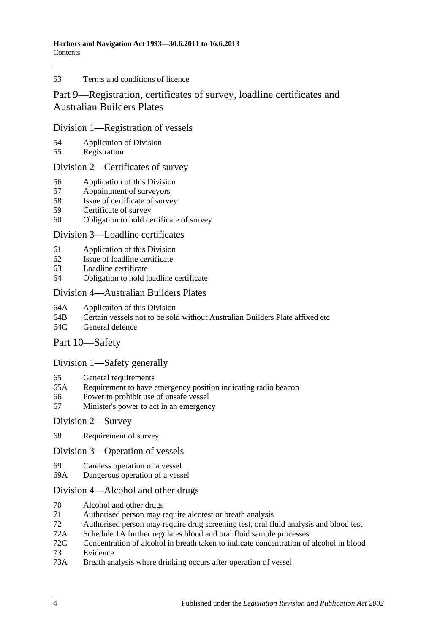#### 53 [Terms and conditions of licence](#page-42-4)

# [Part 9—Registration, certificates of survey, loadline certificates and](#page-44-0)  [Australian Builders Plates](#page-44-0)

### [Division 1—Registration of vessels](#page-44-1)

- 54 [Application of Division](#page-44-2)<br>55 Registration
- [Registration](#page-44-3)

### [Division 2—Certificates of survey](#page-44-4)

- 56 [Application of this Division](#page-44-5)
- 57 [Appointment of surveyors](#page-44-6)
- 58 [Issue of certificate of survey](#page-45-0)
- 59 [Certificate of survey](#page-45-1)
- 60 [Obligation to hold certificate of survey](#page-45-2)

### [Division 3—Loadline certificates](#page-46-0)

- 61 [Application of this Division](#page-46-1)<br>62 Issue of loadline certificate
- [Issue of loadline certificate](#page-46-2)
- 63 [Loadline certificate](#page-46-3)
- 64 [Obligation to hold loadline certificate](#page-46-4)

### [Division 4—Australian Builders Plates](#page-47-0)

- 64A [Application of this Division](#page-47-1)
- 64B [Certain vessels not to be sold without Australian Builders Plate affixed etc](#page-47-2)
- 64C [General defence](#page-48-0)

# [Part 10—Safety](#page-50-0)

# [Division 1—Safety generally](#page-50-1)

- 65 [General requirements](#page-50-2)
- 65A [Requirement to have emergency position indicating radio beacon](#page-50-3)
- 66 [Power to prohibit use of unsafe vessel](#page-50-4)
- 67 [Minister's power to act in an emergency](#page-51-0)

### [Division 2—Survey](#page-51-1)

68 [Requirement of survey](#page-51-2)

### [Division 3—Operation of vessels](#page-52-0)

- 69 [Careless operation of a vessel](#page-52-1)
- 69A [Dangerous operation of a vessel](#page-52-2)

# [Division 4—Alcohol and other drugs](#page-52-3)

- 70 [Alcohol and other drugs](#page-52-4)
- 71 [Authorised person may require alcotest or breath analysis](#page-54-0)
- 72 [Authorised person may require drug screening test, oral fluid analysis and blood test](#page-57-0)
- 72A [Schedule 1A](#page-60-0) [further regulates blood and oral fluid sample processes](#page-60-0)
- 72C [Concentration of alcohol in breath taken to indicate concentration of alcohol in blood](#page-60-1)
- 73 [Evidence](#page-60-2)
- 73A [Breath analysis where drinking occurs after operation of vessel](#page-64-0)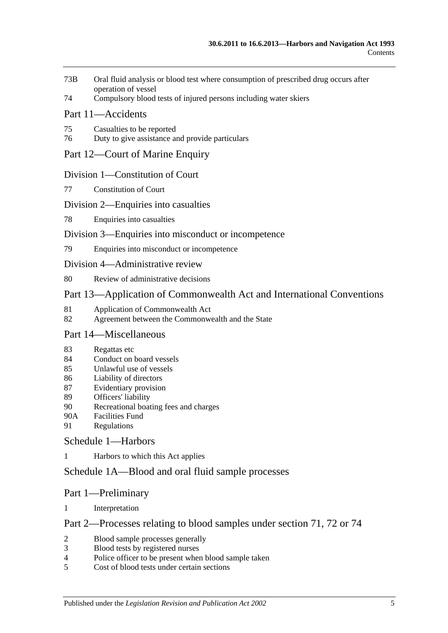- 73B [Oral fluid analysis or blood test where consumption of prescribed drug occurs after](#page-65-0)  [operation of vessel](#page-65-0)
- 74 [Compulsory blood tests of injured persons including water skiers](#page-66-0)

### [Part 11—Accidents](#page-68-0)

- 75 [Casualties to be reported](#page-68-1)
- 76 [Duty to give assistance and provide particulars](#page-68-2)

### [Part 12—Court of Marine Enquiry](#page-70-0)

#### [Division 1—Constitution of Court](#page-70-1)

77 [Constitution of Court](#page-70-2)

### [Division 2—Enquiries into casualties](#page-70-3)

78 [Enquiries into casualties](#page-70-4)

### [Division 3—Enquiries into misconduct or incompetence](#page-70-5)

79 [Enquiries into misconduct or incompetence](#page-70-6)

#### [Division 4—Administrative review](#page-71-0)

80 [Review of administrative decisions](#page-71-1)

# [Part 13—Application of Commonwealth Act and International Conventions](#page-72-0)

- 81 [Application of Commonwealth Act](#page-72-1)
- 82 [Agreement between the Commonwealth and the State](#page-72-2)

# [Part 14—Miscellaneous](#page-74-0)

- 83 [Regattas etc](#page-74-1)
- 84 [Conduct on board vessels](#page-74-2)
- 85 [Unlawful use of vessels](#page-74-3)
- 86 [Liability of directors](#page-74-4)
- 87 [Evidentiary provision](#page-75-0)
- 89 [Officers' liability](#page-75-1)
- 90 [Recreational boating fees and charges](#page-76-0)
- 90A [Facilities Fund](#page-76-1)
- 91 [Regulations](#page-76-2)

### [Schedule 1—Harbors](#page-80-0)

1 [Harbors to which this Act applies](#page-80-1)

# [Schedule 1A—Blood and oral fluid sample processes](#page-81-0)

### Part 1—Preliminary

1 [Interpretation](#page-81-1)

### Part 2—Processes relating to blood samples under section 71, 72 or 74

- 2 [Blood sample processes generally](#page-81-2)<br>3 Blood tests by registered nurses
- [Blood tests by registered nurses](#page-83-0)
- 4 [Police officer to be present when blood sample taken](#page-83-1)
- 5 [Cost of blood tests under certain sections](#page-83-2)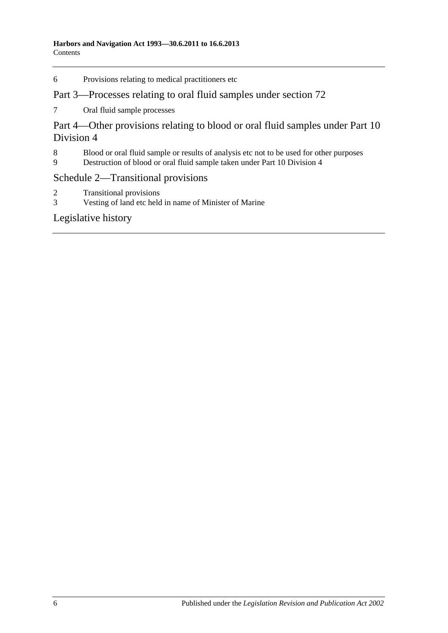6 [Provisions relating to medical practitioners etc](#page-83-3)

# Part 3—Processes relating to oral fluid samples under section 72

7 [Oral fluid sample processes](#page-84-0)

Part 4—Other provisions relating to blood or oral fluid samples under Part 10 Division 4

- 8 [Blood or oral fluid sample or results of analysis etc not to be used for other purposes](#page-86-0)<br>9 Destruction of blood or oral fluid sample taken under Part 10 Division 4
- 9 [Destruction of blood or oral fluid sample taken under Part 10 Division 4](#page-86-1)

# [Schedule 2—Transitional provisions](#page-86-2)

- 2 [Transitional provisions](#page-86-3)<br>3 Vesting of land etc held
- [Vesting of land etc held in name of Minister of Marine](#page-87-0)

# [Legislative history](#page-88-0)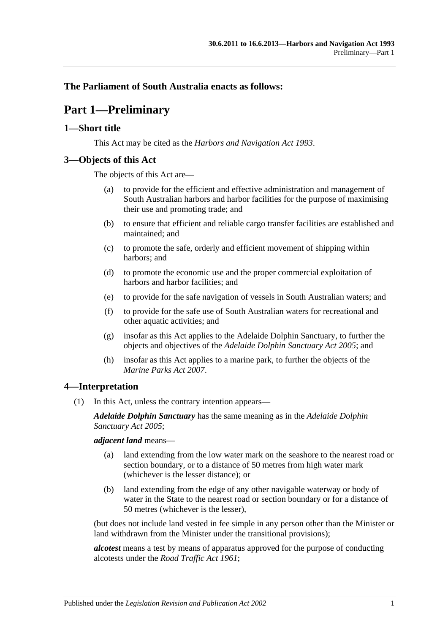# <span id="page-6-0"></span>**The Parliament of South Australia enacts as follows:**

# **Part 1—Preliminary**

### <span id="page-6-1"></span>**1—Short title**

This Act may be cited as the *Harbors and Navigation Act 1993*.

# <span id="page-6-2"></span>**3—Objects of this Act**

The objects of this Act are—

- (a) to provide for the efficient and effective administration and management of South Australian harbors and harbor facilities for the purpose of maximising their use and promoting trade; and
- (b) to ensure that efficient and reliable cargo transfer facilities are established and maintained; and
- (c) to promote the safe, orderly and efficient movement of shipping within harbors; and
- (d) to promote the economic use and the proper commercial exploitation of harbors and harbor facilities; and
- (e) to provide for the safe navigation of vessels in South Australian waters; and
- (f) to provide for the safe use of South Australian waters for recreational and other aquatic activities; and
- (g) insofar as this Act applies to the Adelaide Dolphin Sanctuary, to further the objects and objectives of the *[Adelaide Dolphin Sanctuary Act](http://www.legislation.sa.gov.au/index.aspx?action=legref&type=act&legtitle=Adelaide%20Dolphin%20Sanctuary%20Act%202005) 2005*; and
- (h) insofar as this Act applies to a marine park, to further the objects of the *[Marine Parks Act](http://www.legislation.sa.gov.au/index.aspx?action=legref&type=act&legtitle=Marine%20Parks%20Act%202007) 2007*.

# <span id="page-6-3"></span>**4—Interpretation**

(1) In this Act, unless the contrary intention appears—

*Adelaide Dolphin Sanctuary* has the same meaning as in the *[Adelaide Dolphin](http://www.legislation.sa.gov.au/index.aspx?action=legref&type=act&legtitle=Adelaide%20Dolphin%20Sanctuary%20Act%202005)  [Sanctuary Act](http://www.legislation.sa.gov.au/index.aspx?action=legref&type=act&legtitle=Adelaide%20Dolphin%20Sanctuary%20Act%202005) 2005*;

*adjacent land* means—

- (a) land extending from the low water mark on the seashore to the nearest road or section boundary, or to a distance of 50 metres from high water mark (whichever is the lesser distance); or
- (b) land extending from the edge of any other navigable waterway or body of water in the State to the nearest road or section boundary or for a distance of 50 metres (whichever is the lesser),

(but does not include land vested in fee simple in any person other than the Minister or land withdrawn from the Minister under the transitional provisions);

*alcotest* means a test by means of apparatus approved for the purpose of conducting alcotests under the *[Road Traffic Act](http://www.legislation.sa.gov.au/index.aspx?action=legref&type=act&legtitle=Road%20Traffic%20Act%201961) 1961*;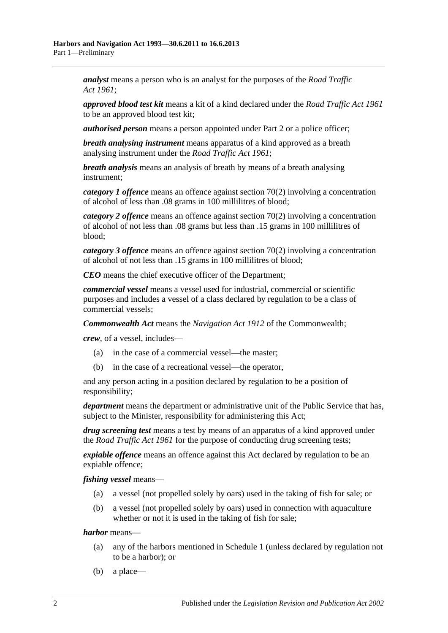*analyst* means a person who is an analyst for the purposes of the *[Road Traffic](http://www.legislation.sa.gov.au/index.aspx?action=legref&type=act&legtitle=Road%20Traffic%20Act%201961)  Act [1961](http://www.legislation.sa.gov.au/index.aspx?action=legref&type=act&legtitle=Road%20Traffic%20Act%201961)*;

*approved blood test kit* means a kit of a kind declared under the *[Road Traffic Act](http://www.legislation.sa.gov.au/index.aspx?action=legref&type=act&legtitle=Road%20Traffic%20Act%201961) 1961* to be an approved blood test kit;

*authorised person* means a person appointed under [Part 2](#page-12-0) or a police officer;

*breath analysing instrument* means apparatus of a kind approved as a breath analysing instrument under the *[Road Traffic Act](http://www.legislation.sa.gov.au/index.aspx?action=legref&type=act&legtitle=Road%20Traffic%20Act%201961) 1961*;

*breath analysis* means an analysis of breath by means of a breath analysing instrument;

*category 1 offence* means an offence against [section](#page-53-0) 70(2) involving a concentration of alcohol of less than .08 grams in 100 millilitres of blood;

*category 2 offence* means an offence against [section](#page-53-0) 70(2) involving a concentration of alcohol of not less than .08 grams but less than .15 grams in 100 millilitres of blood;

*category 3 offence* means an offence against [section](#page-53-0) 70(2) involving a concentration of alcohol of not less than .15 grams in 100 millilitres of blood;

*CEO* means the chief executive officer of the Department;

*commercial vessel* means a vessel used for industrial, commercial or scientific purposes and includes a vessel of a class declared by regulation to be a class of commercial vessels;

*Commonwealth Act* means the *Navigation Act 1912* of the Commonwealth;

*crew*, of a vessel, includes—

- (a) in the case of a commercial vessel—the master;
- (b) in the case of a recreational vessel—the operator,

and any person acting in a position declared by regulation to be a position of responsibility;

*department* means the department or administrative unit of the Public Service that has, subject to the Minister, responsibility for administering this Act;

*drug screening test* means a test by means of an apparatus of a kind approved under the *[Road Traffic Act](http://www.legislation.sa.gov.au/index.aspx?action=legref&type=act&legtitle=Road%20Traffic%20Act%201961) 1961* for the purpose of conducting drug screening tests;

*expiable offence* means an offence against this Act declared by regulation to be an expiable offence;

*fishing vessel* means—

- (a) a vessel (not propelled solely by oars) used in the taking of fish for sale; or
- (b) a vessel (not propelled solely by oars) used in connection with aquaculture whether or not it is used in the taking of fish for sale;

*harbor* means—

- (a) any of the harbors mentioned in [Schedule 1](#page-80-0) (unless declared by regulation not to be a harbor); or
- (b) a place—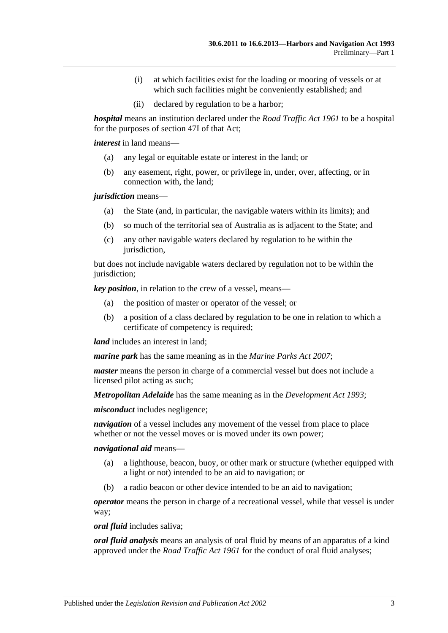- (i) at which facilities exist for the loading or mooring of vessels or at which such facilities might be conveniently established; and
- (ii) declared by regulation to be a harbor;

*hospital* means an institution declared under the *[Road Traffic Act](http://www.legislation.sa.gov.au/index.aspx?action=legref&type=act&legtitle=Road%20Traffic%20Act%201961) 1961* to be a hospital for the purposes of section 47I of that Act;

*interest* in land means—

- (a) any legal or equitable estate or interest in the land; or
- (b) any easement, right, power, or privilege in, under, over, affecting, or in connection with, the land;

*jurisdiction* means—

- (a) the State (and, in particular, the navigable waters within its limits); and
- (b) so much of the territorial sea of Australia as is adjacent to the State; and
- (c) any other navigable waters declared by regulation to be within the jurisdiction,

but does not include navigable waters declared by regulation not to be within the jurisdiction;

*key position*, in relation to the crew of a vessel, means—

- (a) the position of master or operator of the vessel; or
- (b) a position of a class declared by regulation to be one in relation to which a certificate of competency is required;

*land* includes an interest in land:

*marine park* has the same meaning as in the *[Marine Parks Act](http://www.legislation.sa.gov.au/index.aspx?action=legref&type=act&legtitle=Marine%20Parks%20Act%202007) 2007*;

*master* means the person in charge of a commercial vessel but does not include a licensed pilot acting as such;

*Metropolitan Adelaide* has the same meaning as in the *[Development Act](http://www.legislation.sa.gov.au/index.aspx?action=legref&type=act&legtitle=Development%20Act%201993) 1993*;

*misconduct* includes negligence;

*navigation* of a vessel includes any movement of the vessel from place to place whether or not the vessel moves or is moved under its own power;

*navigational aid* means—

- (a) a lighthouse, beacon, buoy, or other mark or structure (whether equipped with a light or not) intended to be an aid to navigation; or
- (b) a radio beacon or other device intended to be an aid to navigation;

*operator* means the person in charge of a recreational vessel, while that vessel is under way;

*oral fluid* includes saliva;

*oral fluid analysis* means an analysis of oral fluid by means of an apparatus of a kind approved under the *[Road Traffic Act](http://www.legislation.sa.gov.au/index.aspx?action=legref&type=act&legtitle=Road%20Traffic%20Act%201961) 1961* for the conduct of oral fluid analyses;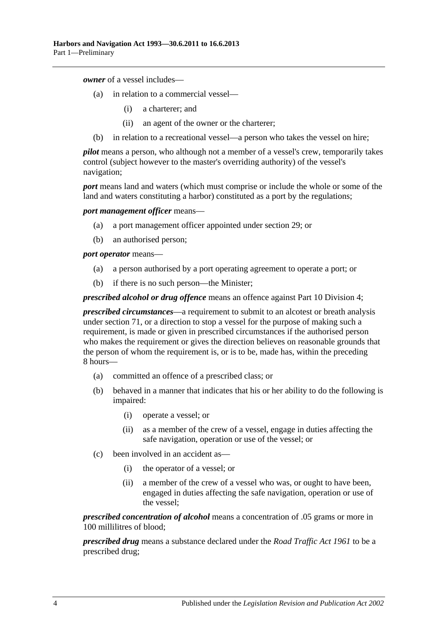*owner* of a vessel includes—

- (a) in relation to a commercial vessel—
	- (i) a charterer; and
	- (ii) an agent of the owner or the charterer;
- (b) in relation to a recreational vessel—a person who takes the vessel on hire;

*pilot* means a person, who although not a member of a vessel's crew, temporarily takes control (subject however to the master's overriding authority) of the vessel's navigation;

*port* means land and waters (which must comprise or include the whole or some of the land and waters constituting a harbor) constituted as a port by the regulations;

*port management officer* means—

- (a) a port management officer appointed under [section](#page-27-1) 29; or
- (b) an authorised person;

*port operator* means—

- (a) a person authorised by a port operating agreement to operate a port; or
- (b) if there is no such person—the Minister;

*prescribed alcohol or drug offence* means an offence against [Part 10 Division 4;](#page-52-3)

*prescribed circumstances*—a requirement to submit to an alcotest or breath analysis under [section](#page-54-0) 71, or a direction to stop a vessel for the purpose of making such a requirement, is made or given in prescribed circumstances if the authorised person who makes the requirement or gives the direction believes on reasonable grounds that the person of whom the requirement is, or is to be, made has, within the preceding 8 hours—

- (a) committed an offence of a prescribed class; or
- (b) behaved in a manner that indicates that his or her ability to do the following is impaired:
	- (i) operate a vessel; or
	- (ii) as a member of the crew of a vessel, engage in duties affecting the safe navigation, operation or use of the vessel; or
- (c) been involved in an accident as—
	- (i) the operator of a vessel; or
	- (ii) a member of the crew of a vessel who was, or ought to have been, engaged in duties affecting the safe navigation, operation or use of the vessel;

*prescribed concentration of alcohol* means a concentration of .05 grams or more in 100 millilitres of blood;

*prescribed drug* means a substance declared under the *[Road Traffic Act](http://www.legislation.sa.gov.au/index.aspx?action=legref&type=act&legtitle=Road%20Traffic%20Act%201961) 1961* to be a prescribed drug;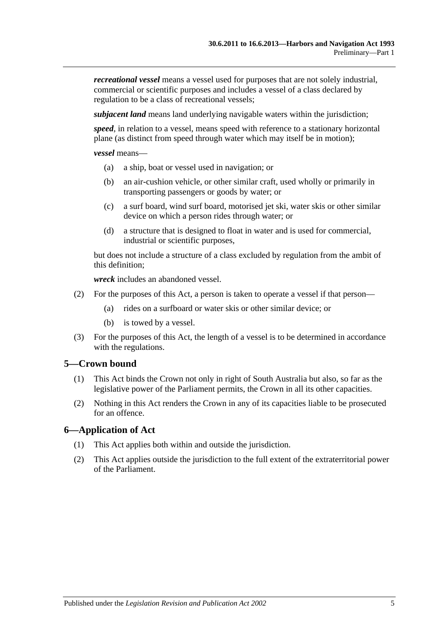*recreational vessel* means a vessel used for purposes that are not solely industrial, commercial or scientific purposes and includes a vessel of a class declared by regulation to be a class of recreational vessels;

*subjacent land* means land underlying navigable waters within the jurisdiction;

*speed*, in relation to a vessel, means speed with reference to a stationary horizontal plane (as distinct from speed through water which may itself be in motion);

*vessel* means—

- (a) a ship, boat or vessel used in navigation; or
- (b) an air-cushion vehicle, or other similar craft, used wholly or primarily in transporting passengers or goods by water; or
- (c) a surf board, wind surf board, motorised jet ski, water skis or other similar device on which a person rides through water; or
- (d) a structure that is designed to float in water and is used for commercial, industrial or scientific purposes,

but does not include a structure of a class excluded by regulation from the ambit of this definition;

*wreck* includes an abandoned vessel.

- (2) For the purposes of this Act, a person is taken to operate a vessel if that person—
	- (a) rides on a surfboard or water skis or other similar device; or
	- (b) is towed by a vessel.
- (3) For the purposes of this Act, the length of a vessel is to be determined in accordance with the regulations.

# <span id="page-10-0"></span>**5—Crown bound**

- (1) This Act binds the Crown not only in right of South Australia but also, so far as the legislative power of the Parliament permits, the Crown in all its other capacities.
- (2) Nothing in this Act renders the Crown in any of its capacities liable to be prosecuted for an offence.

### <span id="page-10-1"></span>**6—Application of Act**

- (1) This Act applies both within and outside the jurisdiction.
- (2) This Act applies outside the jurisdiction to the full extent of the extraterritorial power of the Parliament.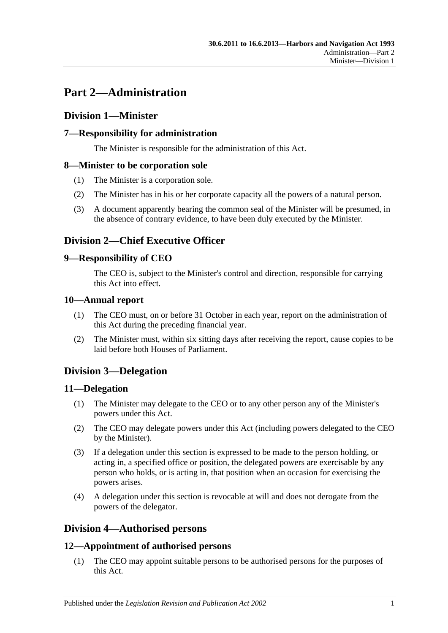# <span id="page-12-0"></span>**Part 2—Administration**

# <span id="page-12-1"></span>**Division 1—Minister**

# <span id="page-12-2"></span>**7—Responsibility for administration**

The Minister is responsible for the administration of this Act.

# <span id="page-12-3"></span>**8—Minister to be corporation sole**

- (1) The Minister is a corporation sole.
- (2) The Minister has in his or her corporate capacity all the powers of a natural person.
- (3) A document apparently bearing the common seal of the Minister will be presumed, in the absence of contrary evidence, to have been duly executed by the Minister.

# <span id="page-12-4"></span>**Division 2—Chief Executive Officer**

# <span id="page-12-5"></span>**9—Responsibility of CEO**

The CEO is, subject to the Minister's control and direction, responsible for carrying this Act into effect.

# <span id="page-12-6"></span>**10—Annual report**

- (1) The CEO must, on or before 31 October in each year, report on the administration of this Act during the preceding financial year.
- (2) The Minister must, within six sitting days after receiving the report, cause copies to be laid before both Houses of Parliament.

# <span id="page-12-7"></span>**Division 3—Delegation**

# <span id="page-12-8"></span>**11—Delegation**

- (1) The Minister may delegate to the CEO or to any other person any of the Minister's powers under this Act.
- (2) The CEO may delegate powers under this Act (including powers delegated to the CEO by the Minister).
- (3) If a delegation under this section is expressed to be made to the person holding, or acting in, a specified office or position, the delegated powers are exercisable by any person who holds, or is acting in, that position when an occasion for exercising the powers arises.
- (4) A delegation under this section is revocable at will and does not derogate from the powers of the delegator.

# <span id="page-12-9"></span>**Division 4—Authorised persons**

# <span id="page-12-10"></span>**12—Appointment of authorised persons**

(1) The CEO may appoint suitable persons to be authorised persons for the purposes of this Act.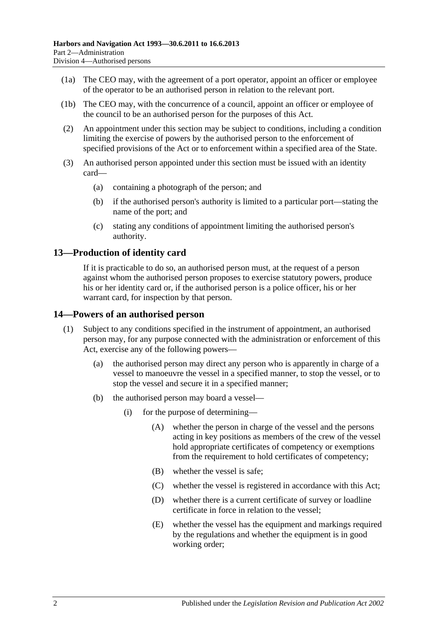- (1a) The CEO may, with the agreement of a port operator, appoint an officer or employee of the operator to be an authorised person in relation to the relevant port.
- (1b) The CEO may, with the concurrence of a council, appoint an officer or employee of the council to be an authorised person for the purposes of this Act.
- (2) An appointment under this section may be subject to conditions, including a condition limiting the exercise of powers by the authorised person to the enforcement of specified provisions of the Act or to enforcement within a specified area of the State.
- (3) An authorised person appointed under this section must be issued with an identity card—
	- (a) containing a photograph of the person; and
	- (b) if the authorised person's authority is limited to a particular port—stating the name of the port; and
	- (c) stating any conditions of appointment limiting the authorised person's authority.

# <span id="page-13-0"></span>**13—Production of identity card**

If it is practicable to do so, an authorised person must, at the request of a person against whom the authorised person proposes to exercise statutory powers, produce his or her identity card or, if the authorised person is a police officer, his or her warrant card, for inspection by that person.

### <span id="page-13-1"></span>**14—Powers of an authorised person**

- (1) Subject to any conditions specified in the instrument of appointment, an authorised person may, for any purpose connected with the administration or enforcement of this Act, exercise any of the following powers—
	- (a) the authorised person may direct any person who is apparently in charge of a vessel to manoeuvre the vessel in a specified manner, to stop the vessel, or to stop the vessel and secure it in a specified manner;
	- (b) the authorised person may board a vessel—
		- (i) for the purpose of determining—
			- (A) whether the person in charge of the vessel and the persons acting in key positions as members of the crew of the vessel hold appropriate certificates of competency or exemptions from the requirement to hold certificates of competency;
			- (B) whether the vessel is safe;
			- (C) whether the vessel is registered in accordance with this Act;
			- (D) whether there is a current certificate of survey or loadline certificate in force in relation to the vessel;
			- (E) whether the vessel has the equipment and markings required by the regulations and whether the equipment is in good working order;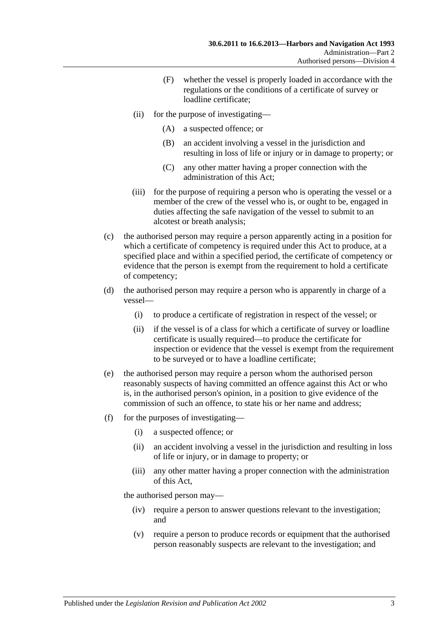- (F) whether the vessel is properly loaded in accordance with the regulations or the conditions of a certificate of survey or loadline certificate;
- (ii) for the purpose of investigating—
	- (A) a suspected offence; or
	- (B) an accident involving a vessel in the jurisdiction and resulting in loss of life or injury or in damage to property; or
	- (C) any other matter having a proper connection with the administration of this Act;
- (iii) for the purpose of requiring a person who is operating the vessel or a member of the crew of the vessel who is, or ought to be, engaged in duties affecting the safe navigation of the vessel to submit to an alcotest or breath analysis;
- (c) the authorised person may require a person apparently acting in a position for which a certificate of competency is required under this Act to produce, at a specified place and within a specified period, the certificate of competency or evidence that the person is exempt from the requirement to hold a certificate of competency;
- (d) the authorised person may require a person who is apparently in charge of a vessel—
	- (i) to produce a certificate of registration in respect of the vessel; or
	- (ii) if the vessel is of a class for which a certificate of survey or loadline certificate is usually required—to produce the certificate for inspection or evidence that the vessel is exempt from the requirement to be surveyed or to have a loadline certificate;
- (e) the authorised person may require a person whom the authorised person reasonably suspects of having committed an offence against this Act or who is, in the authorised person's opinion, in a position to give evidence of the commission of such an offence, to state his or her name and address;
- (f) for the purposes of investigating—
	- (i) a suspected offence; or
	- (ii) an accident involving a vessel in the jurisdiction and resulting in loss of life or injury, or in damage to property; or
	- (iii) any other matter having a proper connection with the administration of this Act,

the authorised person may—

- (iv) require a person to answer questions relevant to the investigation; and
- (v) require a person to produce records or equipment that the authorised person reasonably suspects are relevant to the investigation; and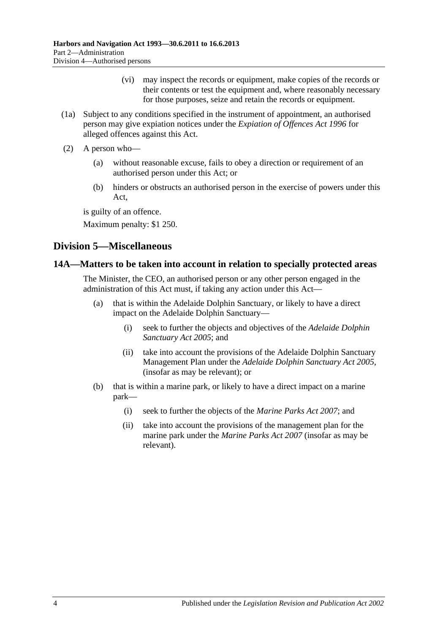- (vi) may inspect the records or equipment, make copies of the records or their contents or test the equipment and, where reasonably necessary for those purposes, seize and retain the records or equipment.
- (1a) Subject to any conditions specified in the instrument of appointment, an authorised person may give expiation notices under the *[Expiation of Offences Act](http://www.legislation.sa.gov.au/index.aspx?action=legref&type=act&legtitle=Expiation%20of%20Offences%20Act%201996) 1996* for alleged offences against this Act.
- (2) A person who—
	- (a) without reasonable excuse, fails to obey a direction or requirement of an authorised person under this Act; or
	- (b) hinders or obstructs an authorised person in the exercise of powers under this Act,

is guilty of an offence.

Maximum penalty: \$1 250.

# <span id="page-15-0"></span>**Division 5—Miscellaneous**

# <span id="page-15-1"></span>**14A—Matters to be taken into account in relation to specially protected areas**

The Minister, the CEO, an authorised person or any other person engaged in the administration of this Act must, if taking any action under this Act—

- (a) that is within the Adelaide Dolphin Sanctuary, or likely to have a direct impact on the Adelaide Dolphin Sanctuary—
	- (i) seek to further the objects and objectives of the *[Adelaide Dolphin](http://www.legislation.sa.gov.au/index.aspx?action=legref&type=act&legtitle=Adelaide%20Dolphin%20Sanctuary%20Act%202005)  [Sanctuary Act](http://www.legislation.sa.gov.au/index.aspx?action=legref&type=act&legtitle=Adelaide%20Dolphin%20Sanctuary%20Act%202005) 2005*; and
	- (ii) take into account the provisions of the Adelaide Dolphin Sanctuary Management Plan under the *[Adelaide Dolphin Sanctuary Act](http://www.legislation.sa.gov.au/index.aspx?action=legref&type=act&legtitle=Adelaide%20Dolphin%20Sanctuary%20Act%202005) 2005*, (insofar as may be relevant); or
- (b) that is within a marine park, or likely to have a direct impact on a marine park—
	- (i) seek to further the objects of the *[Marine Parks Act](http://www.legislation.sa.gov.au/index.aspx?action=legref&type=act&legtitle=Marine%20Parks%20Act%202007) 2007*; and
	- (ii) take into account the provisions of the management plan for the marine park under the *[Marine Parks Act](http://www.legislation.sa.gov.au/index.aspx?action=legref&type=act&legtitle=Marine%20Parks%20Act%202007) 2007* (insofar as may be relevant).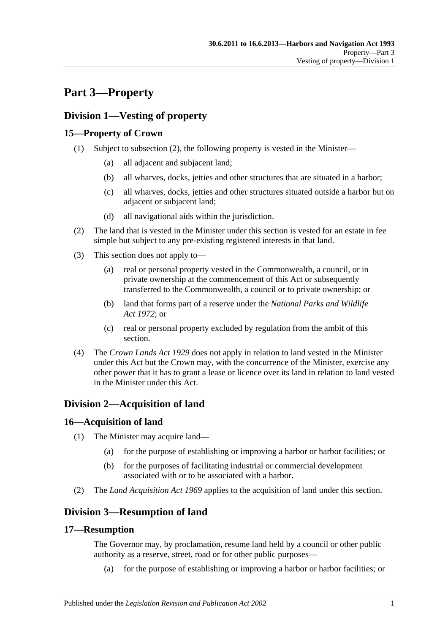# <span id="page-16-0"></span>**Part 3—Property**

# <span id="page-16-1"></span>**Division 1—Vesting of property**

# <span id="page-16-2"></span>**15—Property of Crown**

- (1) Subject to [subsection](#page-16-7) (2), the following property is vested in the Minister—
	- (a) all adjacent and subjacent land;
	- (b) all wharves, docks, jetties and other structures that are situated in a harbor;
	- (c) all wharves, docks, jetties and other structures situated outside a harbor but on adjacent or subjacent land;
	- (d) all navigational aids within the jurisdiction.
- <span id="page-16-7"></span>(2) The land that is vested in the Minister under this section is vested for an estate in fee simple but subject to any pre-existing registered interests in that land.
- (3) This section does not apply to—
	- (a) real or personal property vested in the Commonwealth, a council, or in private ownership at the commencement of this Act or subsequently transferred to the Commonwealth, a council or to private ownership; or
	- (b) land that forms part of a reserve under the *[National Parks and Wildlife](http://www.legislation.sa.gov.au/index.aspx?action=legref&type=act&legtitle=National%20Parks%20and%20Wildlife%20Act%201972)  Act [1972](http://www.legislation.sa.gov.au/index.aspx?action=legref&type=act&legtitle=National%20Parks%20and%20Wildlife%20Act%201972)*; or
	- (c) real or personal property excluded by regulation from the ambit of this section.
- (4) The *[Crown Lands Act](http://www.legislation.sa.gov.au/index.aspx?action=legref&type=act&legtitle=Crown%20Lands%20Act%201929) 1929* does not apply in relation to land vested in the Minister under this Act but the Crown may, with the concurrence of the Minister, exercise any other power that it has to grant a lease or licence over its land in relation to land vested in the Minister under this Act.

# <span id="page-16-3"></span>**Division 2—Acquisition of land**

# <span id="page-16-4"></span>**16—Acquisition of land**

- (1) The Minister may acquire land—
	- (a) for the purpose of establishing or improving a harbor or harbor facilities; or
	- (b) for the purposes of facilitating industrial or commercial development associated with or to be associated with a harbor.
- (2) The *[Land Acquisition Act](http://www.legislation.sa.gov.au/index.aspx?action=legref&type=act&legtitle=Land%20Acquisition%20Act%201969) 1969* applies to the acquisition of land under this section.

# <span id="page-16-5"></span>**Division 3—Resumption of land**

# <span id="page-16-6"></span>**17—Resumption**

The Governor may, by proclamation, resume land held by a council or other public authority as a reserve, street, road or for other public purposes—

(a) for the purpose of establishing or improving a harbor or harbor facilities; or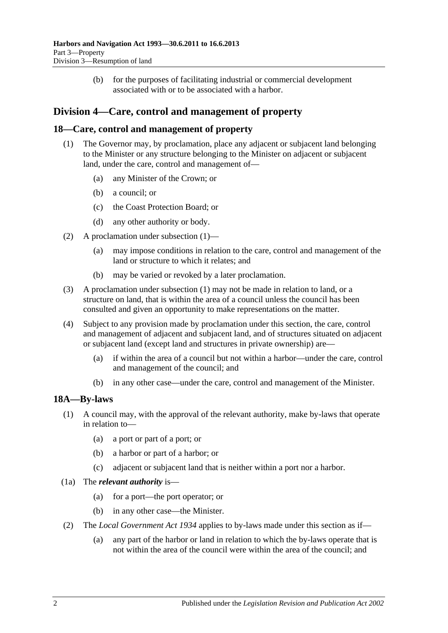(b) for the purposes of facilitating industrial or commercial development associated with or to be associated with a harbor.

# <span id="page-17-0"></span>**Division 4—Care, control and management of property**

# <span id="page-17-3"></span><span id="page-17-1"></span>**18—Care, control and management of property**

- (1) The Governor may, by proclamation, place any adjacent or subjacent land belonging to the Minister or any structure belonging to the Minister on adjacent or subjacent land, under the care, control and management of—
	- (a) any Minister of the Crown; or
	- (b) a council; or
	- (c) the Coast Protection Board; or
	- (d) any other authority or body.
- (2) A proclamation under [subsection](#page-17-3) (1)—
	- (a) may impose conditions in relation to the care, control and management of the land or structure to which it relates; and
	- (b) may be varied or revoked by a later proclamation.
- (3) A proclamation under [subsection](#page-17-3) (1) may not be made in relation to land, or a structure on land, that is within the area of a council unless the council has been consulted and given an opportunity to make representations on the matter.
- (4) Subject to any provision made by proclamation under this section, the care, control and management of adjacent and subjacent land, and of structures situated on adjacent or subjacent land (except land and structures in private ownership) are—
	- (a) if within the area of a council but not within a harbor—under the care, control and management of the council; and
	- (b) in any other case—under the care, control and management of the Minister.

# <span id="page-17-2"></span>**18A—By-laws**

- (1) A council may, with the approval of the relevant authority, make by-laws that operate in relation to—
	- (a) a port or part of a port; or
	- (b) a harbor or part of a harbor; or
	- (c) adjacent or subjacent land that is neither within a port nor a harbor.
- (1a) The *relevant authority* is—
	- (a) for a port—the port operator; or
	- (b) in any other case—the Minister.
- (2) The *[Local Government Act](http://www.legislation.sa.gov.au/index.aspx?action=legref&type=act&legtitle=Local%20Government%20Act%201934) 1934* applies to by-laws made under this section as if—
	- (a) any part of the harbor or land in relation to which the by-laws operate that is not within the area of the council were within the area of the council; and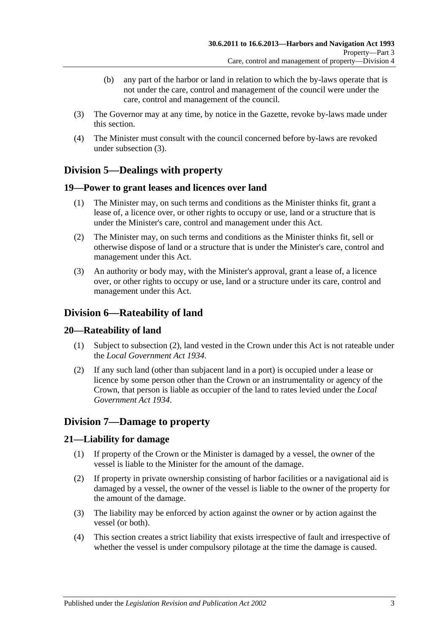- (b) any part of the harbor or land in relation to which the by-laws operate that is not under the care, control and management of the council were under the care, control and management of the council.
- <span id="page-18-6"></span>(3) The Governor may at any time, by notice in the Gazette, revoke by-laws made under this section.
- (4) The Minister must consult with the council concerned before by-laws are revoked under [subsection](#page-18-6) (3).

# <span id="page-18-0"></span>**Division 5—Dealings with property**

# <span id="page-18-1"></span>**19—Power to grant leases and licences over land**

- (1) The Minister may, on such terms and conditions as the Minister thinks fit, grant a lease of, a licence over, or other rights to occupy or use, land or a structure that is under the Minister's care, control and management under this Act.
- (2) The Minister may, on such terms and conditions as the Minister thinks fit, sell or otherwise dispose of land or a structure that is under the Minister's care, control and management under this Act.
- (3) An authority or body may, with the Minister's approval, grant a lease of, a licence over, or other rights to occupy or use, land or a structure under its care, control and management under this Act.

# <span id="page-18-2"></span>**Division 6—Rateability of land**

# <span id="page-18-3"></span>**20—Rateability of land**

- (1) Subject to [subsection](#page-18-7) (2), land vested in the Crown under this Act is not rateable under the *[Local Government Act](http://www.legislation.sa.gov.au/index.aspx?action=legref&type=act&legtitle=Local%20Government%20Act%201934) 1934*.
- <span id="page-18-7"></span>(2) If any such land (other than subjacent land in a port) is occupied under a lease or licence by some person other than the Crown or an instrumentality or agency of the Crown, that person is liable as occupier of the land to rates levied under the *[Local](http://www.legislation.sa.gov.au/index.aspx?action=legref&type=act&legtitle=Local%20Government%20Act%201934)  [Government Act](http://www.legislation.sa.gov.au/index.aspx?action=legref&type=act&legtitle=Local%20Government%20Act%201934) 1934*.

# <span id="page-18-4"></span>**Division 7—Damage to property**

# <span id="page-18-5"></span>**21—Liability for damage**

- (1) If property of the Crown or the Minister is damaged by a vessel, the owner of the vessel is liable to the Minister for the amount of the damage.
- (2) If property in private ownership consisting of harbor facilities or a navigational aid is damaged by a vessel, the owner of the vessel is liable to the owner of the property for the amount of the damage.
- (3) The liability may be enforced by action against the owner or by action against the vessel (or both).
- (4) This section creates a strict liability that exists irrespective of fault and irrespective of whether the vessel is under compulsory pilotage at the time the damage is caused.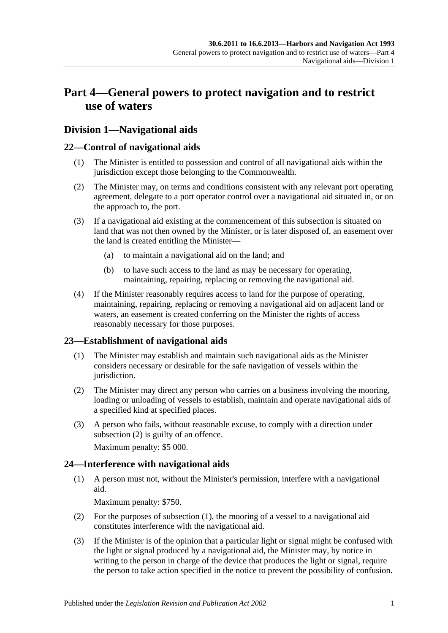# <span id="page-20-0"></span>**Part 4—General powers to protect navigation and to restrict use of waters**

# <span id="page-20-1"></span>**Division 1—Navigational aids**

# <span id="page-20-2"></span>**22—Control of navigational aids**

- (1) The Minister is entitled to possession and control of all navigational aids within the jurisdiction except those belonging to the Commonwealth.
- (2) The Minister may, on terms and conditions consistent with any relevant port operating agreement, delegate to a port operator control over a navigational aid situated in, or on the approach to, the port.
- (3) If a navigational aid existing at the commencement of this subsection is situated on land that was not then owned by the Minister, or is later disposed of, an easement over the land is created entitling the Minister—
	- (a) to maintain a navigational aid on the land; and
	- (b) to have such access to the land as may be necessary for operating, maintaining, repairing, replacing or removing the navigational aid.
- (4) If the Minister reasonably requires access to land for the purpose of operating, maintaining, repairing, replacing or removing a navigational aid on adjacent land or waters, an easement is created conferring on the Minister the rights of access reasonably necessary for those purposes.

# <span id="page-20-3"></span>**23—Establishment of navigational aids**

- (1) The Minister may establish and maintain such navigational aids as the Minister considers necessary or desirable for the safe navigation of vessels within the jurisdiction.
- <span id="page-20-5"></span>(2) The Minister may direct any person who carries on a business involving the mooring, loading or unloading of vessels to establish, maintain and operate navigational aids of a specified kind at specified places.
- (3) A person who fails, without reasonable excuse, to comply with a direction under [subsection](#page-20-5) (2) is guilty of an offence.

Maximum penalty: \$5 000.

# <span id="page-20-6"></span><span id="page-20-4"></span>**24—Interference with navigational aids**

(1) A person must not, without the Minister's permission, interfere with a navigational aid.

Maximum penalty: \$750.

- (2) For the purposes of [subsection](#page-20-6) (1), the mooring of a vessel to a navigational aid constitutes interference with the navigational aid.
- <span id="page-20-7"></span>(3) If the Minister is of the opinion that a particular light or signal might be confused with the light or signal produced by a navigational aid, the Minister may, by notice in writing to the person in charge of the device that produces the light or signal, require the person to take action specified in the notice to prevent the possibility of confusion.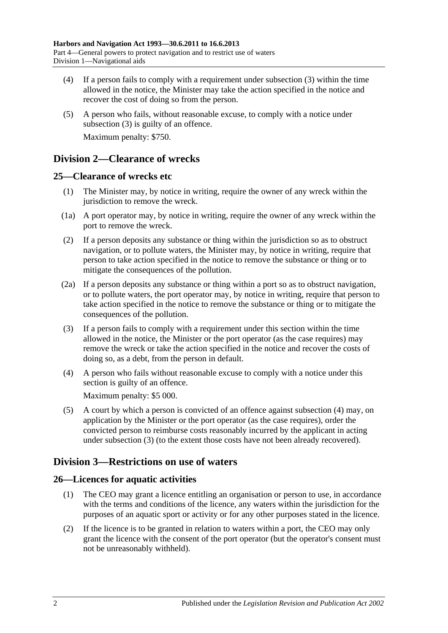- (4) If a person fails to comply with a requirement under [subsection](#page-20-7) (3) within the time allowed in the notice, the Minister may take the action specified in the notice and recover the cost of doing so from the person.
- (5) A person who fails, without reasonable excuse, to comply with a notice under [subsection](#page-20-7) (3) is guilty of an offence. Maximum penalty: \$750.

# <span id="page-21-0"></span>**Division 2—Clearance of wrecks**

# <span id="page-21-1"></span>**25—Clearance of wrecks etc**

- (1) The Minister may, by notice in writing, require the owner of any wreck within the jurisdiction to remove the wreck.
- (1a) A port operator may, by notice in writing, require the owner of any wreck within the port to remove the wreck.
- (2) If a person deposits any substance or thing within the jurisdiction so as to obstruct navigation, or to pollute waters, the Minister may, by notice in writing, require that person to take action specified in the notice to remove the substance or thing or to mitigate the consequences of the pollution.
- (2a) If a person deposits any substance or thing within a port so as to obstruct navigation, or to pollute waters, the port operator may, by notice in writing, require that person to take action specified in the notice to remove the substance or thing or to mitigate the consequences of the pollution.
- <span id="page-21-5"></span>(3) If a person fails to comply with a requirement under this section within the time allowed in the notice, the Minister or the port operator (as the case requires) may remove the wreck or take the action specified in the notice and recover the costs of doing so, as a debt, from the person in default.
- <span id="page-21-4"></span>(4) A person who fails without reasonable excuse to comply with a notice under this section is guilty of an offence.

Maximum penalty: \$5 000.

(5) A court by which a person is convicted of an offence against [subsection](#page-21-4) (4) may, on application by the Minister or the port operator (as the case requires), order the convicted person to reimburse costs reasonably incurred by the applicant in acting under [subsection](#page-21-5) (3) (to the extent those costs have not been already recovered).

# <span id="page-21-2"></span>**Division 3—Restrictions on use of waters**

# <span id="page-21-3"></span>**26—Licences for aquatic activities**

- (1) The CEO may grant a licence entitling an organisation or person to use, in accordance with the terms and conditions of the licence, any waters within the jurisdiction for the purposes of an aquatic sport or activity or for any other purposes stated in the licence.
- (2) If the licence is to be granted in relation to waters within a port, the CEO may only grant the licence with the consent of the port operator (but the operator's consent must not be unreasonably withheld).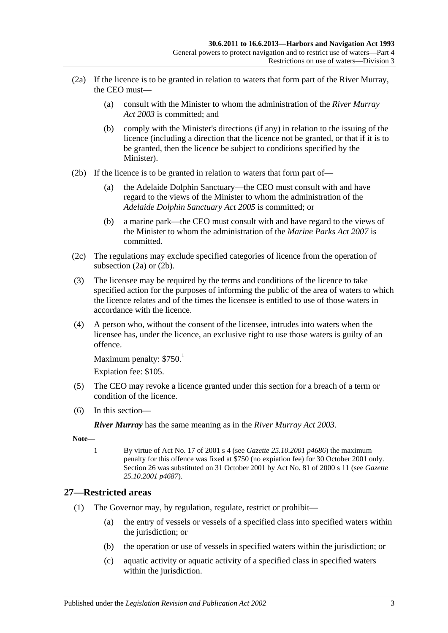- <span id="page-22-1"></span>(2a) If the licence is to be granted in relation to waters that form part of the River Murray, the CEO must—
	- (a) consult with the Minister to whom the administration of the *[River Murray](http://www.legislation.sa.gov.au/index.aspx?action=legref&type=act&legtitle=River%20Murray%20Act%202003)  Act [2003](http://www.legislation.sa.gov.au/index.aspx?action=legref&type=act&legtitle=River%20Murray%20Act%202003)* is committed; and
	- (b) comply with the Minister's directions (if any) in relation to the issuing of the licence (including a direction that the licence not be granted, or that if it is to be granted, then the licence be subject to conditions specified by the Minister).
- <span id="page-22-2"></span>(2b) If the licence is to be granted in relation to waters that form part of—
	- (a) the Adelaide Dolphin Sanctuary—the CEO must consult with and have regard to the views of the Minister to whom the administration of the *[Adelaide Dolphin Sanctuary Act](http://www.legislation.sa.gov.au/index.aspx?action=legref&type=act&legtitle=Adelaide%20Dolphin%20Sanctuary%20Act%202005) 2005* is committed; or
	- (b) a marine park—the CEO must consult with and have regard to the views of the Minister to whom the administration of the *[Marine Parks](http://www.legislation.sa.gov.au/index.aspx?action=legref&type=act&legtitle=Marine%20Parks%20Act%202007) Act 2007* is committed.
- (2c) The regulations may exclude specified categories of licence from the operation of [subsection](#page-22-1) (2a) or [\(2b\).](#page-22-2)
- (3) The licensee may be required by the terms and conditions of the licence to take specified action for the purposes of informing the public of the area of waters to which the licence relates and of the times the licensee is entitled to use of those waters in accordance with the licence.
- (4) A person who, without the consent of the licensee, intrudes into waters when the licensee has, under the licence, an exclusive right to use those waters is guilty of an offence.

```
Maximum penalty: $750<sup>1</sup>
```
Expiation fee: \$105.

- (5) The CEO may revoke a licence granted under this section for a breach of a term or condition of the licence.
- (6) In this section—

*River Murray* has the same meaning as in the *[River Murray Act](http://www.legislation.sa.gov.au/index.aspx?action=legref&type=act&legtitle=River%20Murray%20Act%202003) 2003*.

**Note—**

1 By virtue of Act No. 17 of 2001 s 4 (see *Gazette 25.10.2001 p4686*) the maximum penalty for this offence was fixed at \$750 (no expiation fee) for 30 October 2001 only. Section 26 was substituted on 31 October 2001 by Act No. 81 of 2000 s 11 (see *Gazette 25.10.2001 p4687*).

# <span id="page-22-3"></span><span id="page-22-0"></span>**27—Restricted areas**

- (1) The Governor may, by regulation, regulate, restrict or prohibit—
	- (a) the entry of vessels or vessels of a specified class into specified waters within the jurisdiction; or
	- (b) the operation or use of vessels in specified waters within the jurisdiction; or
	- (c) aquatic activity or aquatic activity of a specified class in specified waters within the jurisdiction.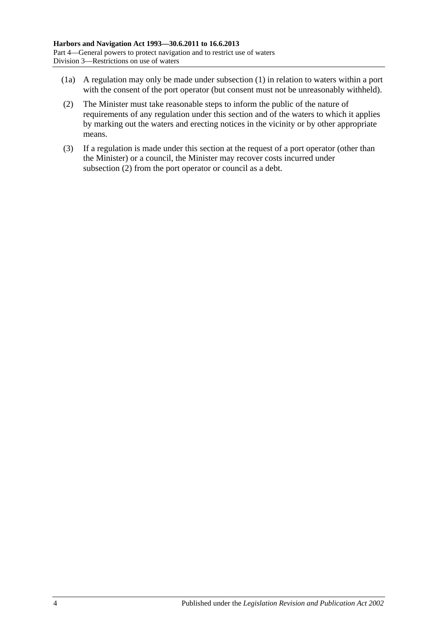- (1a) A regulation may only be made under [subsection](#page-22-3) (1) in relation to waters within a port with the consent of the port operator (but consent must not be unreasonably withheld).
- <span id="page-23-0"></span>(2) The Minister must take reasonable steps to inform the public of the nature of requirements of any regulation under this section and of the waters to which it applies by marking out the waters and erecting notices in the vicinity or by other appropriate means.
- (3) If a regulation is made under this section at the request of a port operator (other than the Minister) or a council, the Minister may recover costs incurred under [subsection](#page-23-0) (2) from the port operator or council as a debt.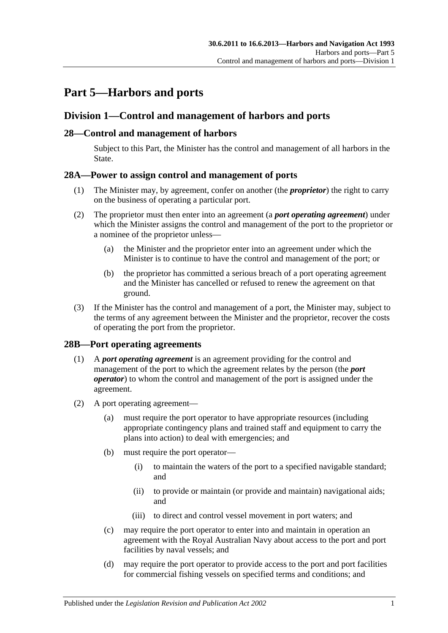# <span id="page-24-0"></span>**Part 5—Harbors and ports**

# <span id="page-24-1"></span>**Division 1—Control and management of harbors and ports**

# <span id="page-24-2"></span>**28—Control and management of harbors**

Subject to this Part, the Minister has the control and management of all harbors in the State.

# <span id="page-24-3"></span>**28A—Power to assign control and management of ports**

- (1) The Minister may, by agreement, confer on another (the *proprietor*) the right to carry on the business of operating a particular port.
- (2) The proprietor must then enter into an agreement (a *port operating agreement*) under which the Minister assigns the control and management of the port to the proprietor or a nominee of the proprietor unless—
	- (a) the Minister and the proprietor enter into an agreement under which the Minister is to continue to have the control and management of the port; or
	- (b) the proprietor has committed a serious breach of a port operating agreement and the Minister has cancelled or refused to renew the agreement on that ground.
- (3) If the Minister has the control and management of a port, the Minister may, subject to the terms of any agreement between the Minister and the proprietor, recover the costs of operating the port from the proprietor.

# <span id="page-24-4"></span>**28B—Port operating agreements**

- (1) A *port operating agreement* is an agreement providing for the control and management of the port to which the agreement relates by the person (the *port operator*) to whom the control and management of the port is assigned under the agreement.
- (2) A port operating agreement—
	- (a) must require the port operator to have appropriate resources (including appropriate contingency plans and trained staff and equipment to carry the plans into action) to deal with emergencies; and
	- (b) must require the port operator—
		- (i) to maintain the waters of the port to a specified navigable standard; and
		- (ii) to provide or maintain (or provide and maintain) navigational aids; and
		- (iii) to direct and control vessel movement in port waters; and
	- (c) may require the port operator to enter into and maintain in operation an agreement with the Royal Australian Navy about access to the port and port facilities by naval vessels; and
	- (d) may require the port operator to provide access to the port and port facilities for commercial fishing vessels on specified terms and conditions; and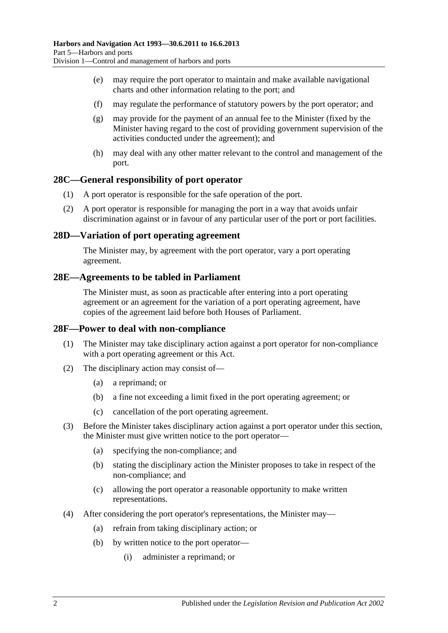- (e) may require the port operator to maintain and make available navigational charts and other information relating to the port; and
- (f) may regulate the performance of statutory powers by the port operator; and
- (g) may provide for the payment of an annual fee to the Minister (fixed by the Minister having regard to the cost of providing government supervision of the activities conducted under the agreement); and
- (h) may deal with any other matter relevant to the control and management of the port.

### <span id="page-25-0"></span>**28C—General responsibility of port operator**

- (1) A port operator is responsible for the safe operation of the port.
- (2) A port operator is responsible for managing the port in a way that avoids unfair discrimination against or in favour of any particular user of the port or port facilities.

### <span id="page-25-1"></span>**28D—Variation of port operating agreement**

The Minister may, by agreement with the port operator, vary a port operating agreement.

### <span id="page-25-2"></span>**28E—Agreements to be tabled in Parliament**

The Minister must, as soon as practicable after entering into a port operating agreement or an agreement for the variation of a port operating agreement, have copies of the agreement laid before both Houses of Parliament.

### <span id="page-25-3"></span>**28F—Power to deal with non-compliance**

- (1) The Minister may take disciplinary action against a port operator for non-compliance with a port operating agreement or this Act.
- (2) The disciplinary action may consist of—
	- (a) a reprimand; or
	- (b) a fine not exceeding a limit fixed in the port operating agreement; or
	- (c) cancellation of the port operating agreement.
- (3) Before the Minister takes disciplinary action against a port operator under this section, the Minister must give written notice to the port operator—
	- (a) specifying the non-compliance; and
	- (b) stating the disciplinary action the Minister proposes to take in respect of the non-compliance; and
	- (c) allowing the port operator a reasonable opportunity to make written representations.
- (4) After considering the port operator's representations, the Minister may—
	- (a) refrain from taking disciplinary action; or
	- (b) by written notice to the port operator—
		- (i) administer a reprimand; or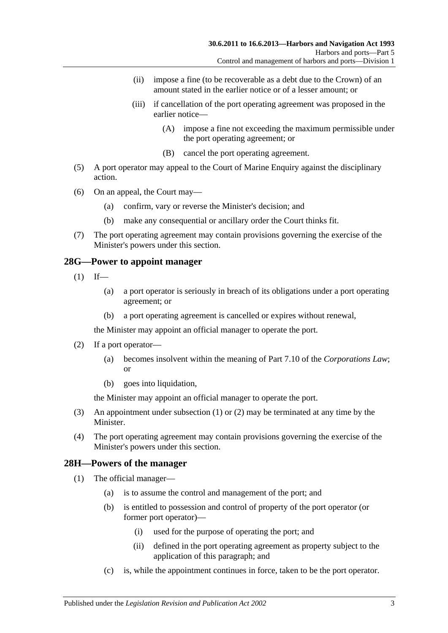- (ii) impose a fine (to be recoverable as a debt due to the Crown) of an amount stated in the earlier notice or of a lesser amount; or
- (iii) if cancellation of the port operating agreement was proposed in the earlier notice—
	- (A) impose a fine not exceeding the maximum permissible under the port operating agreement; or
	- (B) cancel the port operating agreement.
- (5) A port operator may appeal to the Court of Marine Enquiry against the disciplinary action.
- (6) On an appeal, the Court may—
	- (a) confirm, vary or reverse the Minister's decision; and
	- (b) make any consequential or ancillary order the Court thinks fit.
- (7) The port operating agreement may contain provisions governing the exercise of the Minister's powers under this section.

### <span id="page-26-2"></span><span id="page-26-0"></span>**28G—Power to appoint manager**

- $(1)$  If—
	- (a) a port operator is seriously in breach of its obligations under a port operating agreement; or
	- (b) a port operating agreement is cancelled or expires without renewal,

the Minister may appoint an official manager to operate the port.

- <span id="page-26-3"></span>(2) If a port operator—
	- (a) becomes insolvent within the meaning of Part 7.10 of the *Corporations Law*; or
	- (b) goes into liquidation,

the Minister may appoint an official manager to operate the port.

- (3) An appointment under [subsection](#page-26-2) (1) or [\(2\)](#page-26-3) may be terminated at any time by the Minister.
- (4) The port operating agreement may contain provisions governing the exercise of the Minister's powers under this section.

# <span id="page-26-4"></span><span id="page-26-1"></span>**28H—Powers of the manager**

- (1) The official manager—
	- (a) is to assume the control and management of the port; and
	- (b) is entitled to possession and control of property of the port operator (or former port operator)—
		- (i) used for the purpose of operating the port; and
		- (ii) defined in the port operating agreement as property subject to the application of this paragraph; and
	- (c) is, while the appointment continues in force, taken to be the port operator.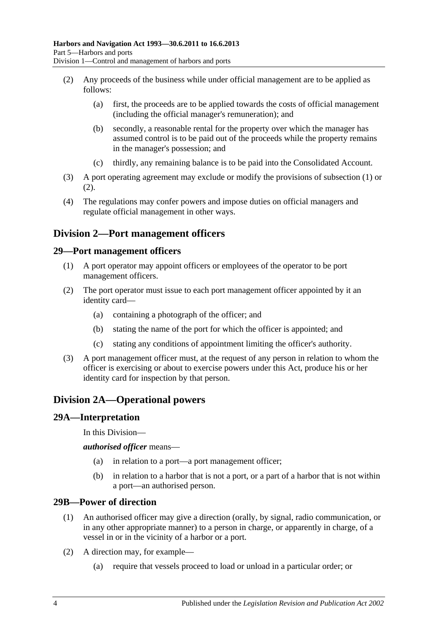- <span id="page-27-5"></span>(2) Any proceeds of the business while under official management are to be applied as follows:
	- (a) first, the proceeds are to be applied towards the costs of official management (including the official manager's remuneration); and
	- (b) secondly, a reasonable rental for the property over which the manager has assumed control is to be paid out of the proceeds while the property remains in the manager's possession; and
	- (c) thirdly, any remaining balance is to be paid into the Consolidated Account.
- (3) A port operating agreement may exclude or modify the provisions of [subsection](#page-26-4) (1) or [\(2\).](#page-27-5)
- (4) The regulations may confer powers and impose duties on official managers and regulate official management in other ways.

# <span id="page-27-0"></span>**Division 2—Port management officers**

### <span id="page-27-1"></span>**29—Port management officers**

- (1) A port operator may appoint officers or employees of the operator to be port management officers.
- (2) The port operator must issue to each port management officer appointed by it an identity card—
	- (a) containing a photograph of the officer; and
	- (b) stating the name of the port for which the officer is appointed; and
	- (c) stating any conditions of appointment limiting the officer's authority.
- (3) A port management officer must, at the request of any person in relation to whom the officer is exercising or about to exercise powers under this Act, produce his or her identity card for inspection by that person.

# <span id="page-27-2"></span>**Division 2A—Operational powers**

### <span id="page-27-3"></span>**29A—Interpretation**

In this Division—

*authorised officer* means—

- (a) in relation to a port—a port management officer;
- (b) in relation to a harbor that is not a port, or a part of a harbor that is not within a port—an authorised person.

# <span id="page-27-4"></span>**29B—Power of direction**

- (1) An authorised officer may give a direction (orally, by signal, radio communication, or in any other appropriate manner) to a person in charge, or apparently in charge, of a vessel in or in the vicinity of a harbor or a port.
- (2) A direction may, for example—
	- (a) require that vessels proceed to load or unload in a particular order; or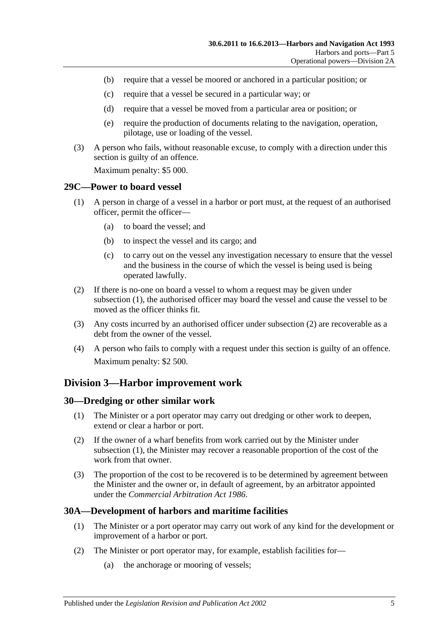- (b) require that a vessel be moored or anchored in a particular position; or
- (c) require that a vessel be secured in a particular way; or
- (d) require that a vessel be moved from a particular area or position; or
- (e) require the production of documents relating to the navigation, operation, pilotage, use or loading of the vessel.
- (3) A person who fails, without reasonable excuse, to comply with a direction under this section is guilty of an offence.

Maximum penalty: \$5 000.

### <span id="page-28-4"></span><span id="page-28-0"></span>**29C—Power to board vessel**

- (1) A person in charge of a vessel in a harbor or port must, at the request of an authorised officer, permit the officer—
	- (a) to board the vessel; and
	- (b) to inspect the vessel and its cargo; and
	- (c) to carry out on the vessel any investigation necessary to ensure that the vessel and the business in the course of which the vessel is being used is being operated lawfully.
- <span id="page-28-5"></span>(2) If there is no-one on board a vessel to whom a request may be given under [subsection](#page-28-4) (1), the authorised officer may board the vessel and cause the vessel to be moved as the officer thinks fit.
- (3) Any costs incurred by an authorised officer under [subsection](#page-28-5) (2) are recoverable as a debt from the owner of the vessel.
- (4) A person who fails to comply with a request under this section is guilty of an offence. Maximum penalty: \$2 500.

# <span id="page-28-1"></span>**Division 3—Harbor improvement work**

### <span id="page-28-6"></span><span id="page-28-2"></span>**30—Dredging or other similar work**

- (1) The Minister or a port operator may carry out dredging or other work to deepen, extend or clear a harbor or port.
- (2) If the owner of a wharf benefits from work carried out by the Minister under [subsection](#page-28-6) (1), the Minister may recover a reasonable proportion of the cost of the work from that owner.
- (3) The proportion of the cost to be recovered is to be determined by agreement between the Minister and the owner or, in default of agreement, by an arbitrator appointed under the *[Commercial Arbitration Act](http://www.legislation.sa.gov.au/index.aspx?action=legref&type=act&legtitle=Commercial%20Arbitration%20Act%201986) 1986*.

# <span id="page-28-3"></span>**30A—Development of harbors and maritime facilities**

- (1) The Minister or a port operator may carry out work of any kind for the development or improvement of a harbor or port.
- (2) The Minister or port operator may, for example, establish facilities for—
	- (a) the anchorage or mooring of vessels;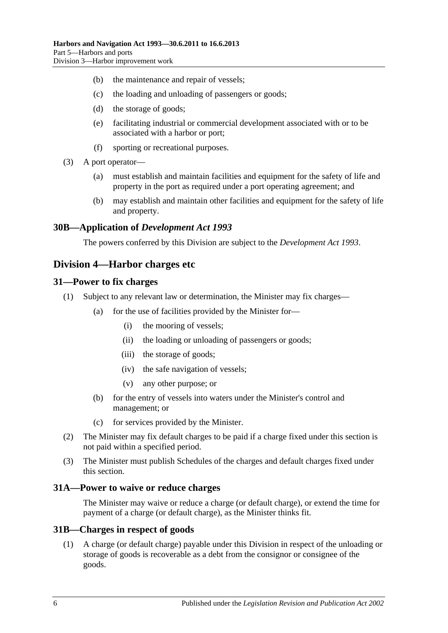- (b) the maintenance and repair of vessels;
- (c) the loading and unloading of passengers or goods;
- (d) the storage of goods;
- (e) facilitating industrial or commercial development associated with or to be associated with a harbor or port;
- (f) sporting or recreational purposes.
- (3) A port operator—
	- (a) must establish and maintain facilities and equipment for the safety of life and property in the port as required under a port operating agreement; and
	- (b) may establish and maintain other facilities and equipment for the safety of life and property.

### <span id="page-29-0"></span>**30B—Application of** *Development Act 1993*

The powers conferred by this Division are subject to the *[Development Act](http://www.legislation.sa.gov.au/index.aspx?action=legref&type=act&legtitle=Development%20Act%201993) 1993*.

# <span id="page-29-1"></span>**Division 4—Harbor charges etc**

### <span id="page-29-2"></span>**31—Power to fix charges**

- (1) Subject to any relevant law or determination, the Minister may fix charges—
	- (a) for the use of facilities provided by the Minister for—
		- (i) the mooring of vessels;
		- (ii) the loading or unloading of passengers or goods;
		- (iii) the storage of goods;
		- (iv) the safe navigation of vessels;
		- (v) any other purpose; or
	- (b) for the entry of vessels into waters under the Minister's control and management; or
	- (c) for services provided by the Minister.
- (2) The Minister may fix default charges to be paid if a charge fixed under this section is not paid within a specified period.
- (3) The Minister must publish Schedules of the charges and default charges fixed under this section.

### <span id="page-29-3"></span>**31A—Power to waive or reduce charges**

The Minister may waive or reduce a charge (or default charge), or extend the time for payment of a charge (or default charge), as the Minister thinks fit.

### <span id="page-29-4"></span>**31B—Charges in respect of goods**

(1) A charge (or default charge) payable under this Division in respect of the unloading or storage of goods is recoverable as a debt from the consignor or consignee of the goods.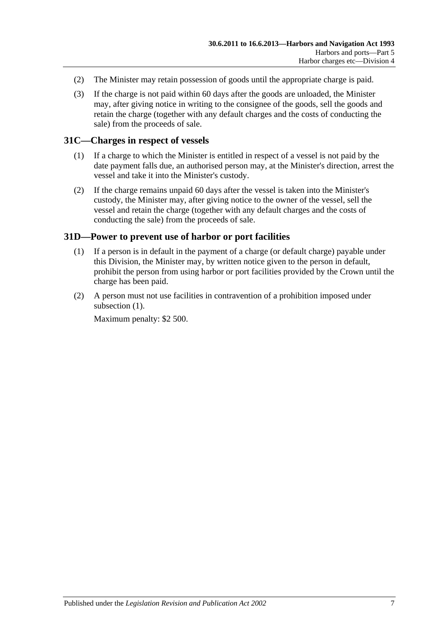- (2) The Minister may retain possession of goods until the appropriate charge is paid.
- (3) If the charge is not paid within 60 days after the goods are unloaded, the Minister may, after giving notice in writing to the consignee of the goods, sell the goods and retain the charge (together with any default charges and the costs of conducting the sale) from the proceeds of sale.

### <span id="page-30-0"></span>**31C—Charges in respect of vessels**

- (1) If a charge to which the Minister is entitled in respect of a vessel is not paid by the date payment falls due, an authorised person may, at the Minister's direction, arrest the vessel and take it into the Minister's custody.
- (2) If the charge remains unpaid 60 days after the vessel is taken into the Minister's custody, the Minister may, after giving notice to the owner of the vessel, sell the vessel and retain the charge (together with any default charges and the costs of conducting the sale) from the proceeds of sale.

### <span id="page-30-2"></span><span id="page-30-1"></span>**31D—Power to prevent use of harbor or port facilities**

- (1) If a person is in default in the payment of a charge (or default charge) payable under this Division, the Minister may, by written notice given to the person in default, prohibit the person from using harbor or port facilities provided by the Crown until the charge has been paid.
- (2) A person must not use facilities in contravention of a prohibition imposed under [subsection](#page-30-2)  $(1)$ .

Maximum penalty: \$2 500.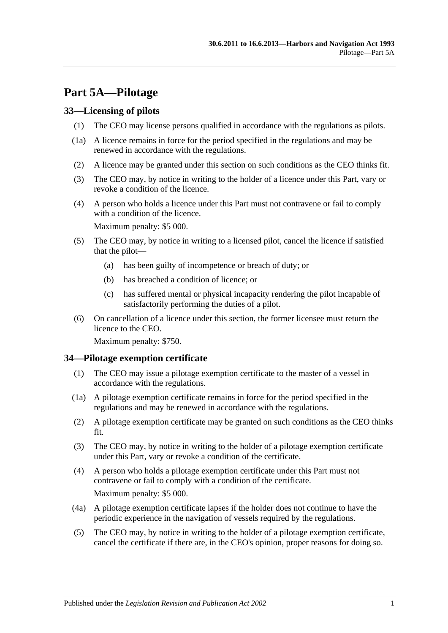# <span id="page-32-0"></span>**Part 5A—Pilotage**

# <span id="page-32-1"></span>**33—Licensing of pilots**

- (1) The CEO may license persons qualified in accordance with the regulations as pilots.
- (1a) A licence remains in force for the period specified in the regulations and may be renewed in accordance with the regulations.
- (2) A licence may be granted under this section on such conditions as the CEO thinks fit.
- (3) The CEO may, by notice in writing to the holder of a licence under this Part, vary or revoke a condition of the licence.
- (4) A person who holds a licence under this Part must not contravene or fail to comply with a condition of the licence.

Maximum penalty: \$5 000.

- (5) The CEO may, by notice in writing to a licensed pilot, cancel the licence if satisfied that the pilot—
	- (a) has been guilty of incompetence or breach of duty; or
	- (b) has breached a condition of licence; or
	- (c) has suffered mental or physical incapacity rendering the pilot incapable of satisfactorily performing the duties of a pilot.
- (6) On cancellation of a licence under this section, the former licensee must return the licence to the CEO.

Maximum penalty: \$750.

# <span id="page-32-2"></span>**34—Pilotage exemption certificate**

- (1) The CEO may issue a pilotage exemption certificate to the master of a vessel in accordance with the regulations.
- (1a) A pilotage exemption certificate remains in force for the period specified in the regulations and may be renewed in accordance with the regulations.
- (2) A pilotage exemption certificate may be granted on such conditions as the CEO thinks fit.
- (3) The CEO may, by notice in writing to the holder of a pilotage exemption certificate under this Part, vary or revoke a condition of the certificate.
- (4) A person who holds a pilotage exemption certificate under this Part must not contravene or fail to comply with a condition of the certificate. Maximum penalty: \$5 000.
- (4a) A pilotage exemption certificate lapses if the holder does not continue to have the periodic experience in the navigation of vessels required by the regulations.
- (5) The CEO may, by notice in writing to the holder of a pilotage exemption certificate, cancel the certificate if there are, in the CEO's opinion, proper reasons for doing so.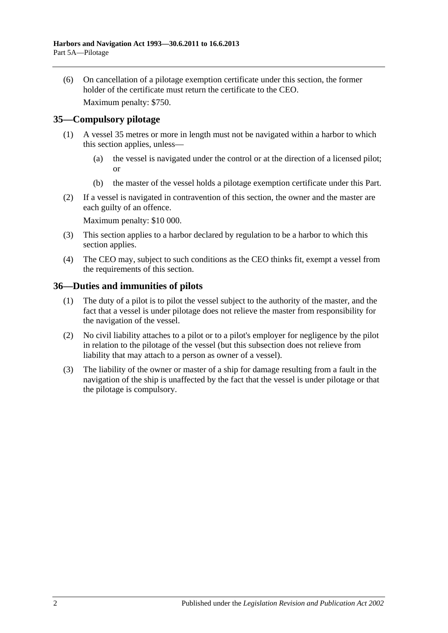(6) On cancellation of a pilotage exemption certificate under this section, the former holder of the certificate must return the certificate to the CEO.

Maximum penalty: \$750.

# <span id="page-33-0"></span>**35—Compulsory pilotage**

- (1) A vessel 35 metres or more in length must not be navigated within a harbor to which this section applies, unless—
	- (a) the vessel is navigated under the control or at the direction of a licensed pilot; or
	- (b) the master of the vessel holds a pilotage exemption certificate under this Part.
- (2) If a vessel is navigated in contravention of this section, the owner and the master are each guilty of an offence.

Maximum penalty: \$10 000.

- (3) This section applies to a harbor declared by regulation to be a harbor to which this section applies.
- (4) The CEO may, subject to such conditions as the CEO thinks fit, exempt a vessel from the requirements of this section.

### <span id="page-33-1"></span>**36—Duties and immunities of pilots**

- (1) The duty of a pilot is to pilot the vessel subject to the authority of the master, and the fact that a vessel is under pilotage does not relieve the master from responsibility for the navigation of the vessel.
- (2) No civil liability attaches to a pilot or to a pilot's employer for negligence by the pilot in relation to the pilotage of the vessel (but this subsection does not relieve from liability that may attach to a person as owner of a vessel).
- (3) The liability of the owner or master of a ship for damage resulting from a fault in the navigation of the ship is unaffected by the fact that the vessel is under pilotage or that the pilotage is compulsory.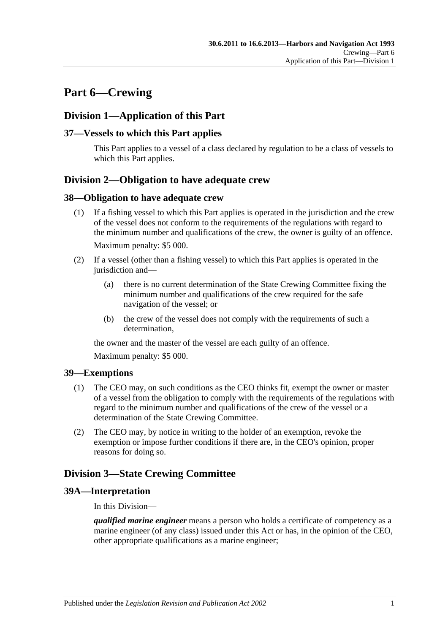# <span id="page-34-0"></span>**Part 6—Crewing**

# <span id="page-34-1"></span>**Division 1—Application of this Part**

# <span id="page-34-2"></span>**37—Vessels to which this Part applies**

This Part applies to a vessel of a class declared by regulation to be a class of vessels to which this Part applies.

# <span id="page-34-3"></span>**Division 2—Obligation to have adequate crew**

### <span id="page-34-4"></span>**38—Obligation to have adequate crew**

- (1) If a fishing vessel to which this Part applies is operated in the jurisdiction and the crew of the vessel does not conform to the requirements of the regulations with regard to the minimum number and qualifications of the crew, the owner is guilty of an offence. Maximum penalty: \$5 000.
- (2) If a vessel (other than a fishing vessel) to which this Part applies is operated in the jurisdiction and—
	- (a) there is no current determination of the State Crewing Committee fixing the minimum number and qualifications of the crew required for the safe navigation of the vessel; or
	- (b) the crew of the vessel does not comply with the requirements of such a determination,

the owner and the master of the vessel are each guilty of an offence.

Maximum penalty: \$5 000.

# <span id="page-34-5"></span>**39—Exemptions**

- (1) The CEO may, on such conditions as the CEO thinks fit, exempt the owner or master of a vessel from the obligation to comply with the requirements of the regulations with regard to the minimum number and qualifications of the crew of the vessel or a determination of the State Crewing Committee.
- (2) The CEO may, by notice in writing to the holder of an exemption, revoke the exemption or impose further conditions if there are, in the CEO's opinion, proper reasons for doing so.

# <span id="page-34-6"></span>**Division 3—State Crewing Committee**

# <span id="page-34-7"></span>**39A—Interpretation**

In this Division—

*qualified marine engineer* means a person who holds a certificate of competency as a marine engineer (of any class) issued under this Act or has, in the opinion of the CEO, other appropriate qualifications as a marine engineer;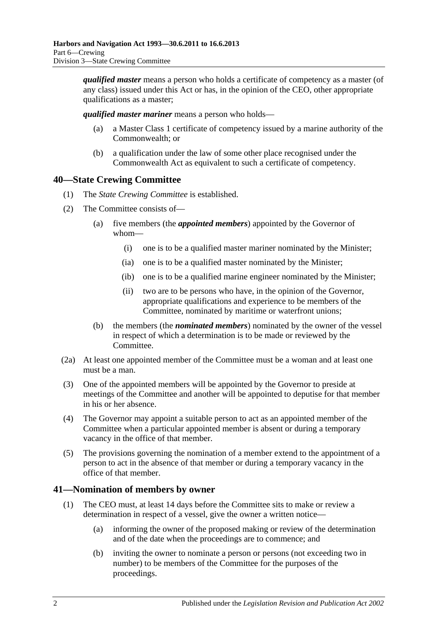*qualified master* means a person who holds a certificate of competency as a master (of any class) issued under this Act or has, in the opinion of the CEO, other appropriate qualifications as a master;

*qualified master mariner* means a person who holds—

- (a) a Master Class 1 certificate of competency issued by a marine authority of the Commonwealth; or
- (b) a qualification under the law of some other place recognised under the Commonwealth Act as equivalent to such a certificate of competency.

# <span id="page-35-0"></span>**40—State Crewing Committee**

- (1) The *State Crewing Committee* is established.
- (2) The Committee consists of—
	- (a) five members (the *appointed members*) appointed by the Governor of whom—
		- (i) one is to be a qualified master mariner nominated by the Minister;
		- (ia) one is to be a qualified master nominated by the Minister;
		- (ib) one is to be a qualified marine engineer nominated by the Minister;
		- (ii) two are to be persons who have, in the opinion of the Governor, appropriate qualifications and experience to be members of the Committee, nominated by maritime or waterfront unions;
	- (b) the members (the *nominated members*) nominated by the owner of the vessel in respect of which a determination is to be made or reviewed by the Committee.
- (2a) At least one appointed member of the Committee must be a woman and at least one must be a man.
- (3) One of the appointed members will be appointed by the Governor to preside at meetings of the Committee and another will be appointed to deputise for that member in his or her absence.
- (4) The Governor may appoint a suitable person to act as an appointed member of the Committee when a particular appointed member is absent or during a temporary vacancy in the office of that member.
- (5) The provisions governing the nomination of a member extend to the appointment of a person to act in the absence of that member or during a temporary vacancy in the office of that member.

# <span id="page-35-1"></span>**41—Nomination of members by owner**

- (1) The CEO must, at least 14 days before the Committee sits to make or review a determination in respect of a vessel, give the owner a written notice—
	- (a) informing the owner of the proposed making or review of the determination and of the date when the proceedings are to commence; and
	- (b) inviting the owner to nominate a person or persons (not exceeding two in number) to be members of the Committee for the purposes of the proceedings.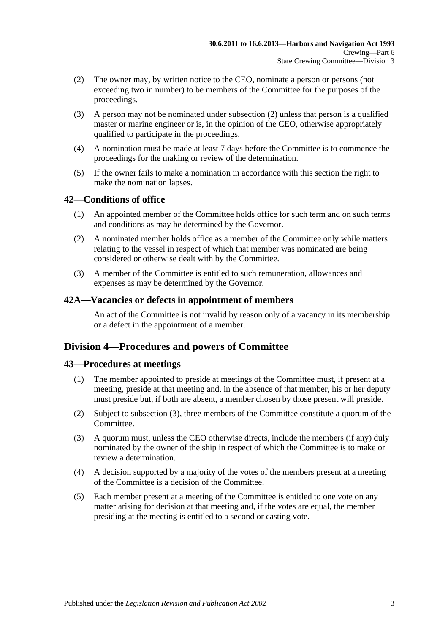- <span id="page-36-0"></span>(2) The owner may, by written notice to the CEO, nominate a person or persons (not exceeding two in number) to be members of the Committee for the purposes of the proceedings.
- (3) A person may not be nominated under [subsection](#page-36-0) (2) unless that person is a qualified master or marine engineer or is, in the opinion of the CEO, otherwise appropriately qualified to participate in the proceedings.
- (4) A nomination must be made at least 7 days before the Committee is to commence the proceedings for the making or review of the determination.
- (5) If the owner fails to make a nomination in accordance with this section the right to make the nomination lapses.

## **42—Conditions of office**

- (1) An appointed member of the Committee holds office for such term and on such terms and conditions as may be determined by the Governor.
- (2) A nominated member holds office as a member of the Committee only while matters relating to the vessel in respect of which that member was nominated are being considered or otherwise dealt with by the Committee.
- (3) A member of the Committee is entitled to such remuneration, allowances and expenses as may be determined by the Governor.

#### **42A—Vacancies or defects in appointment of members**

An act of the Committee is not invalid by reason only of a vacancy in its membership or a defect in the appointment of a member.

## **Division 4—Procedures and powers of Committee**

## **43—Procedures at meetings**

- (1) The member appointed to preside at meetings of the Committee must, if present at a meeting, preside at that meeting and, in the absence of that member, his or her deputy must preside but, if both are absent, a member chosen by those present will preside.
- (2) Subject to [subsection](#page-36-1) (3), three members of the Committee constitute a quorum of the Committee.
- <span id="page-36-1"></span>(3) A quorum must, unless the CEO otherwise directs, include the members (if any) duly nominated by the owner of the ship in respect of which the Committee is to make or review a determination.
- (4) A decision supported by a majority of the votes of the members present at a meeting of the Committee is a decision of the Committee.
- (5) Each member present at a meeting of the Committee is entitled to one vote on any matter arising for decision at that meeting and, if the votes are equal, the member presiding at the meeting is entitled to a second or casting vote.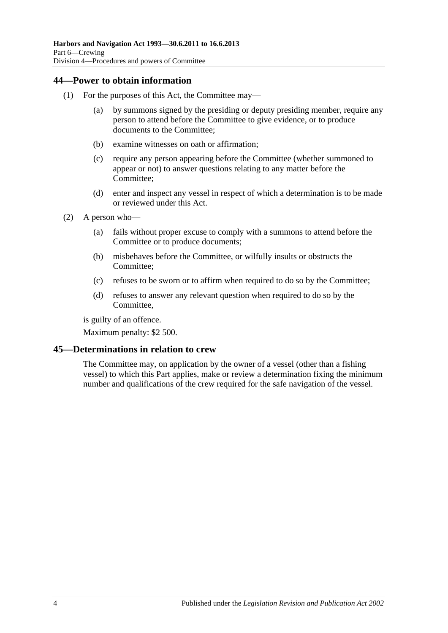## **44—Power to obtain information**

- (1) For the purposes of this Act, the Committee may—
	- (a) by summons signed by the presiding or deputy presiding member, require any person to attend before the Committee to give evidence, or to produce documents to the Committee;
	- (b) examine witnesses on oath or affirmation;
	- (c) require any person appearing before the Committee (whether summoned to appear or not) to answer questions relating to any matter before the Committee;
	- (d) enter and inspect any vessel in respect of which a determination is to be made or reviewed under this Act.
- (2) A person who—
	- (a) fails without proper excuse to comply with a summons to attend before the Committee or to produce documents;
	- (b) misbehaves before the Committee, or wilfully insults or obstructs the Committee;
	- (c) refuses to be sworn or to affirm when required to do so by the Committee;
	- (d) refuses to answer any relevant question when required to do so by the Committee,

is guilty of an offence.

Maximum penalty: \$2 500.

## **45—Determinations in relation to crew**

The Committee may, on application by the owner of a vessel (other than a fishing vessel) to which this Part applies, make or review a determination fixing the minimum number and qualifications of the crew required for the safe navigation of the vessel.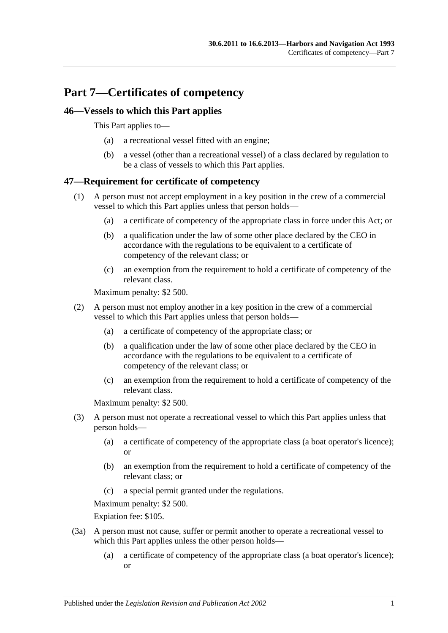# **Part 7—Certificates of competency**

## **46—Vessels to which this Part applies**

This Part applies to—

- (a) a recreational vessel fitted with an engine;
- (b) a vessel (other than a recreational vessel) of a class declared by regulation to be a class of vessels to which this Part applies.

## **47—Requirement for certificate of competency**

- (1) A person must not accept employment in a key position in the crew of a commercial vessel to which this Part applies unless that person holds—
	- (a) a certificate of competency of the appropriate class in force under this Act; or
	- (b) a qualification under the law of some other place declared by the CEO in accordance with the regulations to be equivalent to a certificate of competency of the relevant class; or
	- (c) an exemption from the requirement to hold a certificate of competency of the relevant class.

Maximum penalty: \$2 500.

- (2) A person must not employ another in a key position in the crew of a commercial vessel to which this Part applies unless that person holds—
	- (a) a certificate of competency of the appropriate class; or
	- (b) a qualification under the law of some other place declared by the CEO in accordance with the regulations to be equivalent to a certificate of competency of the relevant class; or
	- (c) an exemption from the requirement to hold a certificate of competency of the relevant class.

Maximum penalty: \$2 500.

- (3) A person must not operate a recreational vessel to which this Part applies unless that person holds—
	- (a) a certificate of competency of the appropriate class (a boat operator's licence); or
	- (b) an exemption from the requirement to hold a certificate of competency of the relevant class; or
	- (c) a special permit granted under the regulations.

Maximum penalty: \$2 500.

Expiation fee: \$105.

- (3a) A person must not cause, suffer or permit another to operate a recreational vessel to which this Part applies unless the other person holds—
	- (a) a certificate of competency of the appropriate class (a boat operator's licence); or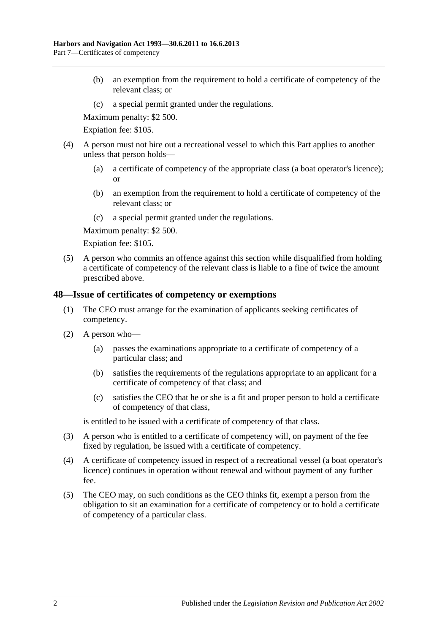- (b) an exemption from the requirement to hold a certificate of competency of the relevant class; or
- (c) a special permit granted under the regulations.

Maximum penalty: \$2 500.

Expiation fee: \$105.

- (4) A person must not hire out a recreational vessel to which this Part applies to another unless that person holds—
	- (a) a certificate of competency of the appropriate class (a boat operator's licence); or
	- (b) an exemption from the requirement to hold a certificate of competency of the relevant class; or
	- (c) a special permit granted under the regulations.

Maximum penalty: \$2 500.

Expiation fee: \$105.

(5) A person who commits an offence against this section while disqualified from holding a certificate of competency of the relevant class is liable to a fine of twice the amount prescribed above.

#### **48—Issue of certificates of competency or exemptions**

- (1) The CEO must arrange for the examination of applicants seeking certificates of competency.
- (2) A person who—
	- (a) passes the examinations appropriate to a certificate of competency of a particular class; and
	- (b) satisfies the requirements of the regulations appropriate to an applicant for a certificate of competency of that class; and
	- (c) satisfies the CEO that he or she is a fit and proper person to hold a certificate of competency of that class,

is entitled to be issued with a certificate of competency of that class.

- (3) A person who is entitled to a certificate of competency will, on payment of the fee fixed by regulation, be issued with a certificate of competency.
- (4) A certificate of competency issued in respect of a recreational vessel (a boat operator's licence) continues in operation without renewal and without payment of any further fee.
- (5) The CEO may, on such conditions as the CEO thinks fit, exempt a person from the obligation to sit an examination for a certificate of competency or to hold a certificate of competency of a particular class.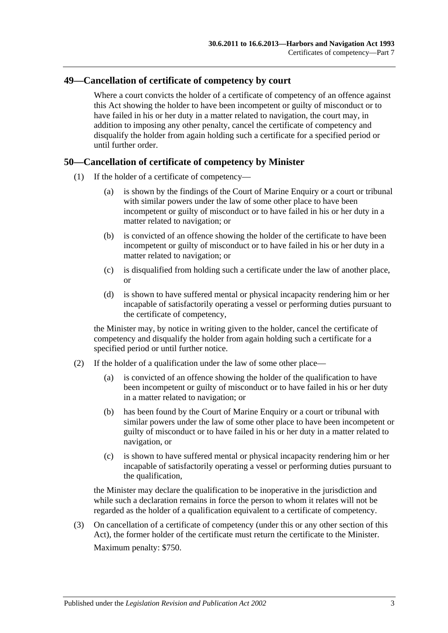## **49—Cancellation of certificate of competency by court**

Where a court convicts the holder of a certificate of competency of an offence against this Act showing the holder to have been incompetent or guilty of misconduct or to have failed in his or her duty in a matter related to navigation, the court may, in addition to imposing any other penalty, cancel the certificate of competency and disqualify the holder from again holding such a certificate for a specified period or until further order.

## **50—Cancellation of certificate of competency by Minister**

- (1) If the holder of a certificate of competency—
	- (a) is shown by the findings of the Court of Marine Enquiry or a court or tribunal with similar powers under the law of some other place to have been incompetent or guilty of misconduct or to have failed in his or her duty in a matter related to navigation; or
	- (b) is convicted of an offence showing the holder of the certificate to have been incompetent or guilty of misconduct or to have failed in his or her duty in a matter related to navigation; or
	- (c) is disqualified from holding such a certificate under the law of another place, or
	- (d) is shown to have suffered mental or physical incapacity rendering him or her incapable of satisfactorily operating a vessel or performing duties pursuant to the certificate of competency,

the Minister may, by notice in writing given to the holder, cancel the certificate of competency and disqualify the holder from again holding such a certificate for a specified period or until further notice.

- (2) If the holder of a qualification under the law of some other place—
	- (a) is convicted of an offence showing the holder of the qualification to have been incompetent or guilty of misconduct or to have failed in his or her duty in a matter related to navigation; or
	- (b) has been found by the Court of Marine Enquiry or a court or tribunal with similar powers under the law of some other place to have been incompetent or guilty of misconduct or to have failed in his or her duty in a matter related to navigation, or
	- (c) is shown to have suffered mental or physical incapacity rendering him or her incapable of satisfactorily operating a vessel or performing duties pursuant to the qualification,

the Minister may declare the qualification to be inoperative in the jurisdiction and while such a declaration remains in force the person to whom it relates will not be regarded as the holder of a qualification equivalent to a certificate of competency.

(3) On cancellation of a certificate of competency (under this or any other section of this Act), the former holder of the certificate must return the certificate to the Minister. Maximum penalty: \$750.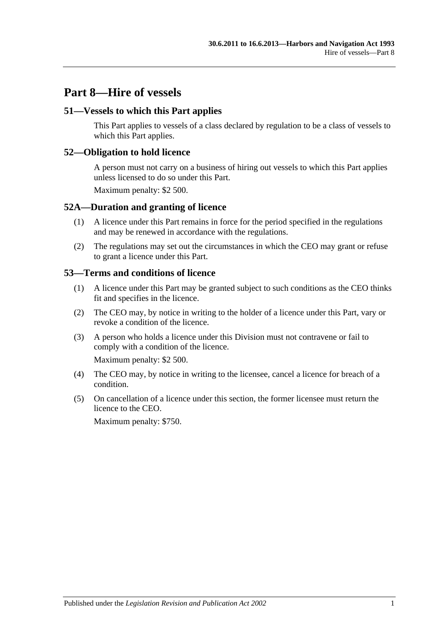# **Part 8—Hire of vessels**

## **51—Vessels to which this Part applies**

This Part applies to vessels of a class declared by regulation to be a class of vessels to which this Part applies.

#### **52—Obligation to hold licence**

A person must not carry on a business of hiring out vessels to which this Part applies unless licensed to do so under this Part.

Maximum penalty: \$2 500.

#### **52A—Duration and granting of licence**

- (1) A licence under this Part remains in force for the period specified in the regulations and may be renewed in accordance with the regulations.
- (2) The regulations may set out the circumstances in which the CEO may grant or refuse to grant a licence under this Part.

#### **53—Terms and conditions of licence**

- (1) A licence under this Part may be granted subject to such conditions as the CEO thinks fit and specifies in the licence.
- (2) The CEO may, by notice in writing to the holder of a licence under this Part, vary or revoke a condition of the licence.
- (3) A person who holds a licence under this Division must not contravene or fail to comply with a condition of the licence.

Maximum penalty: \$2 500.

- (4) The CEO may, by notice in writing to the licensee, cancel a licence for breach of a condition.
- (5) On cancellation of a licence under this section, the former licensee must return the licence to the CEO.

Maximum penalty: \$750.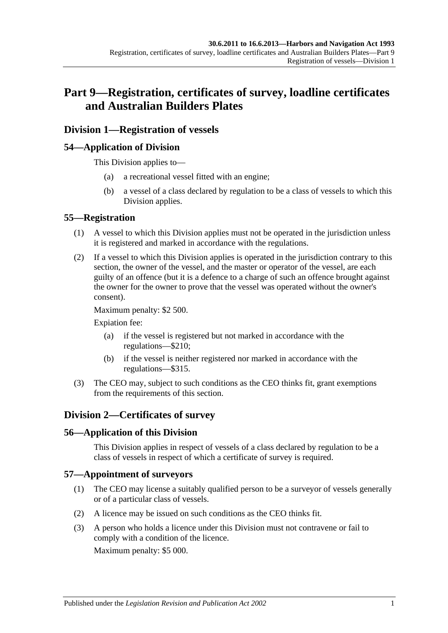# **Part 9—Registration, certificates of survey, loadline certificates and Australian Builders Plates**

## **Division 1—Registration of vessels**

## **54—Application of Division**

This Division applies to—

- (a) a recreational vessel fitted with an engine;
- (b) a vessel of a class declared by regulation to be a class of vessels to which this Division applies.

#### **55—Registration**

- (1) A vessel to which this Division applies must not be operated in the jurisdiction unless it is registered and marked in accordance with the regulations.
- (2) If a vessel to which this Division applies is operated in the jurisdiction contrary to this section, the owner of the vessel, and the master or operator of the vessel, are each guilty of an offence (but it is a defence to a charge of such an offence brought against the owner for the owner to prove that the vessel was operated without the owner's consent).

Maximum penalty: \$2 500.

Expiation fee:

- (a) if the vessel is registered but not marked in accordance with the regulations—\$210;
- (b) if the vessel is neither registered nor marked in accordance with the regulations—\$315.
- (3) The CEO may, subject to such conditions as the CEO thinks fit, grant exemptions from the requirements of this section.

## **Division 2—Certificates of survey**

#### **56—Application of this Division**

This Division applies in respect of vessels of a class declared by regulation to be a class of vessels in respect of which a certificate of survey is required.

#### **57—Appointment of surveyors**

- (1) The CEO may license a suitably qualified person to be a surveyor of vessels generally or of a particular class of vessels.
- (2) A licence may be issued on such conditions as the CEO thinks fit.
- (3) A person who holds a licence under this Division must not contravene or fail to comply with a condition of the licence.

Maximum penalty: \$5 000.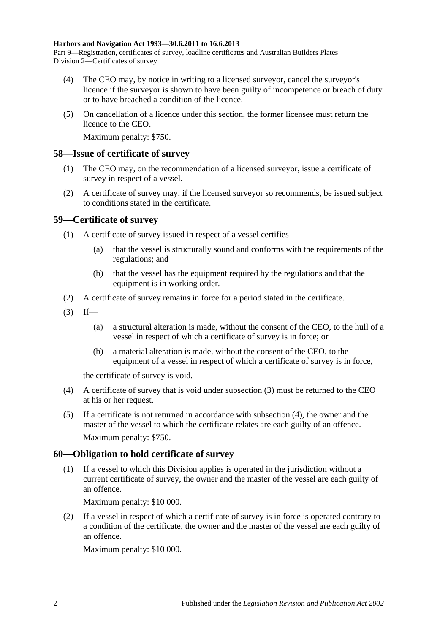- (4) The CEO may, by notice in writing to a licensed surveyor, cancel the surveyor's licence if the surveyor is shown to have been guilty of incompetence or breach of duty or to have breached a condition of the licence.
- (5) On cancellation of a licence under this section, the former licensee must return the licence to the CEO.

Maximum penalty: \$750.

#### **58—Issue of certificate of survey**

- (1) The CEO may, on the recommendation of a licensed surveyor, issue a certificate of survey in respect of a vessel.
- (2) A certificate of survey may, if the licensed surveyor so recommends, be issued subject to conditions stated in the certificate.

## **59—Certificate of survey**

- (1) A certificate of survey issued in respect of a vessel certifies—
	- (a) that the vessel is structurally sound and conforms with the requirements of the regulations; and
	- (b) that the vessel has the equipment required by the regulations and that the equipment is in working order.
- (2) A certificate of survey remains in force for a period stated in the certificate.
- <span id="page-45-0"></span> $(3)$  If—
	- (a) a structural alteration is made, without the consent of the CEO, to the hull of a vessel in respect of which a certificate of survey is in force; or
	- (b) a material alteration is made, without the consent of the CEO, to the equipment of a vessel in respect of which a certificate of survey is in force,

the certificate of survey is void.

- <span id="page-45-1"></span>(4) A certificate of survey that is void under [subsection](#page-45-0) (3) must be returned to the CEO at his or her request.
- (5) If a certificate is not returned in accordance with [subsection](#page-45-1) (4), the owner and the master of the vessel to which the certificate relates are each guilty of an offence. Maximum penalty: \$750.

## **60—Obligation to hold certificate of survey**

(1) If a vessel to which this Division applies is operated in the jurisdiction without a current certificate of survey, the owner and the master of the vessel are each guilty of an offence.

Maximum penalty: \$10 000.

(2) If a vessel in respect of which a certificate of survey is in force is operated contrary to a condition of the certificate, the owner and the master of the vessel are each guilty of an offence.

Maximum penalty: \$10 000.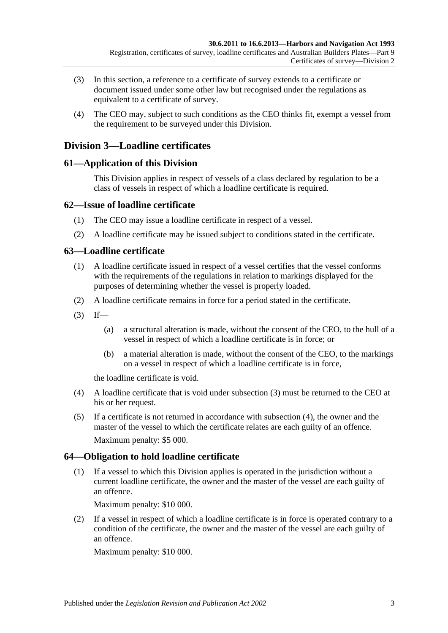- (3) In this section, a reference to a certificate of survey extends to a certificate or document issued under some other law but recognised under the regulations as equivalent to a certificate of survey.
- (4) The CEO may, subject to such conditions as the CEO thinks fit, exempt a vessel from the requirement to be surveyed under this Division.

## **Division 3—Loadline certificates**

## **61—Application of this Division**

This Division applies in respect of vessels of a class declared by regulation to be a class of vessels in respect of which a loadline certificate is required.

## **62—Issue of loadline certificate**

- (1) The CEO may issue a loadline certificate in respect of a vessel.
- (2) A loadline certificate may be issued subject to conditions stated in the certificate.

## **63—Loadline certificate**

- (1) A loadline certificate issued in respect of a vessel certifies that the vessel conforms with the requirements of the regulations in relation to markings displayed for the purposes of determining whether the vessel is properly loaded.
- (2) A loadline certificate remains in force for a period stated in the certificate.
- <span id="page-46-0"></span> $(3)$  If—
	- (a) a structural alteration is made, without the consent of the CEO, to the hull of a vessel in respect of which a loadline certificate is in force; or
	- (b) a material alteration is made, without the consent of the CEO, to the markings on a vessel in respect of which a loadline certificate is in force,

the loadline certificate is void.

- <span id="page-46-1"></span>(4) A loadline certificate that is void under [subsection](#page-46-0) (3) must be returned to the CEO at his or her request.
- (5) If a certificate is not returned in accordance with [subsection](#page-46-1) (4), the owner and the master of the vessel to which the certificate relates are each guilty of an offence. Maximum penalty: \$5 000.

## **64—Obligation to hold loadline certificate**

(1) If a vessel to which this Division applies is operated in the jurisdiction without a current loadline certificate, the owner and the master of the vessel are each guilty of an offence.

Maximum penalty: \$10 000.

(2) If a vessel in respect of which a loadline certificate is in force is operated contrary to a condition of the certificate, the owner and the master of the vessel are each guilty of an offence.

Maximum penalty: \$10 000.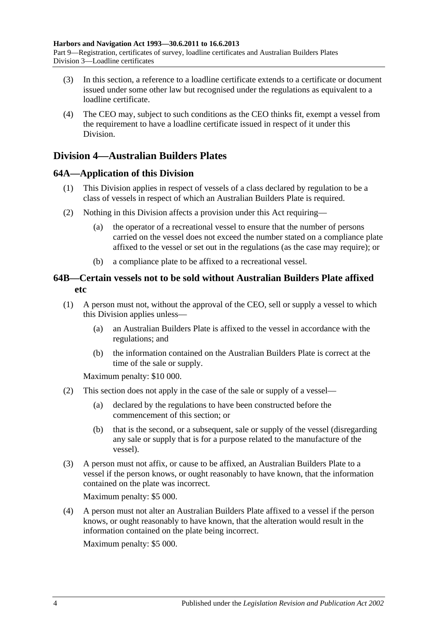- (3) In this section, a reference to a loadline certificate extends to a certificate or document issued under some other law but recognised under the regulations as equivalent to a loadline certificate.
- (4) The CEO may, subject to such conditions as the CEO thinks fit, exempt a vessel from the requirement to have a loadline certificate issued in respect of it under this Division.

## **Division 4—Australian Builders Plates**

## **64A—Application of this Division**

- (1) This Division applies in respect of vessels of a class declared by regulation to be a class of vessels in respect of which an Australian Builders Plate is required.
- (2) Nothing in this Division affects a provision under this Act requiring—
	- (a) the operator of a recreational vessel to ensure that the number of persons carried on the vessel does not exceed the number stated on a compliance plate affixed to the vessel or set out in the regulations (as the case may require); or
	- (b) a compliance plate to be affixed to a recreational vessel.

## **64B—Certain vessels not to be sold without Australian Builders Plate affixed etc**

- <span id="page-47-0"></span>(1) A person must not, without the approval of the CEO, sell or supply a vessel to which this Division applies unless—
	- (a) an Australian Builders Plate is affixed to the vessel in accordance with the regulations; and
	- (b) the information contained on the Australian Builders Plate is correct at the time of the sale or supply.

Maximum penalty: \$10 000.

- (2) This section does not apply in the case of the sale or supply of a vessel—
	- (a) declared by the regulations to have been constructed before the commencement of this section; or
	- (b) that is the second, or a subsequent, sale or supply of the vessel (disregarding any sale or supply that is for a purpose related to the manufacture of the vessel).
- (3) A person must not affix, or cause to be affixed, an Australian Builders Plate to a vessel if the person knows, or ought reasonably to have known, that the information contained on the plate was incorrect.

Maximum penalty: \$5 000.

(4) A person must not alter an Australian Builders Plate affixed to a vessel if the person knows, or ought reasonably to have known, that the alteration would result in the information contained on the plate being incorrect.

Maximum penalty: \$5 000.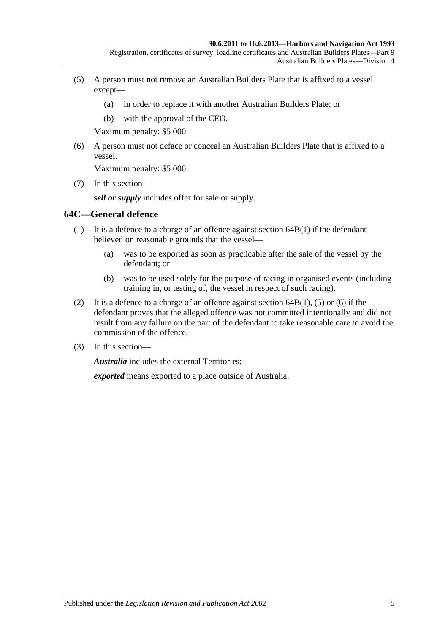- <span id="page-48-0"></span>(5) A person must not remove an Australian Builders Plate that is affixed to a vessel except—
	- (a) in order to replace it with another Australian Builders Plate; or
	- (b) with the approval of the CEO.

Maximum penalty: \$5 000.

<span id="page-48-1"></span>(6) A person must not deface or conceal an Australian Builders Plate that is affixed to a vessel.

Maximum penalty: \$5 000.

(7) In this section—

*sell or supply* includes offer for sale or supply.

#### **64C—General defence**

- (1) It is a defence to a charge of an offence against [section](#page-47-0) 64B(1) if the defendant believed on reasonable grounds that the vessel—
	- (a) was to be exported as soon as practicable after the sale of the vessel by the defendant; or
	- (b) was to be used solely for the purpose of racing in organised events (including training in, or testing of, the vessel in respect of such racing).
- (2) It is a defence to a charge of an offence against [section](#page-47-0)  $64B(1)$ , [\(5\)](#page-48-0) or [\(6\)](#page-48-1) if the defendant proves that the alleged offence was not committed intentionally and did not result from any failure on the part of the defendant to take reasonable care to avoid the commission of the offence.
- (3) In this section—

*Australia* includes the external Territories;

*exported* means exported to a place outside of Australia.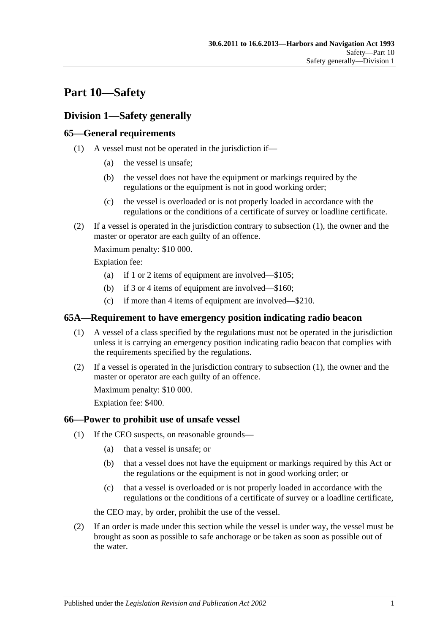# **Part 10—Safety**

## **Division 1—Safety generally**

## <span id="page-50-0"></span>**65—General requirements**

- (1) A vessel must not be operated in the jurisdiction if—
	- (a) the vessel is unsafe;
	- (b) the vessel does not have the equipment or markings required by the regulations or the equipment is not in good working order;
	- (c) the vessel is overloaded or is not properly loaded in accordance with the regulations or the conditions of a certificate of survey or loadline certificate.
- (2) If a vessel is operated in the jurisdiction contrary to [subsection](#page-50-0) (1), the owner and the master or operator are each guilty of an offence.

Maximum penalty: \$10 000.

Expiation fee:

- (a) if 1 or 2 items of equipment are involved—\$105;
- (b) if 3 or 4 items of equipment are involved—\$160;
- (c) if more than 4 items of equipment are involved—\$210.

## <span id="page-50-1"></span>**65A—Requirement to have emergency position indicating radio beacon**

- (1) A vessel of a class specified by the regulations must not be operated in the jurisdiction unless it is carrying an emergency position indicating radio beacon that complies with the requirements specified by the regulations.
- (2) If a vessel is operated in the jurisdiction contrary to [subsection](#page-50-1) (1), the owner and the master or operator are each guilty of an offence.

Maximum penalty: \$10 000.

Expiation fee: \$400.

## <span id="page-50-3"></span>**66—Power to prohibit use of unsafe vessel**

- (1) If the CEO suspects, on reasonable grounds—
	- (a) that a vessel is unsafe; or
	- (b) that a vessel does not have the equipment or markings required by this Act or the regulations or the equipment is not in good working order; or
	- (c) that a vessel is overloaded or is not properly loaded in accordance with the regulations or the conditions of a certificate of survey or a loadline certificate,

the CEO may, by order, prohibit the use of the vessel.

<span id="page-50-2"></span>(2) If an order is made under this section while the vessel is under way, the vessel must be brought as soon as possible to safe anchorage or be taken as soon as possible out of the water.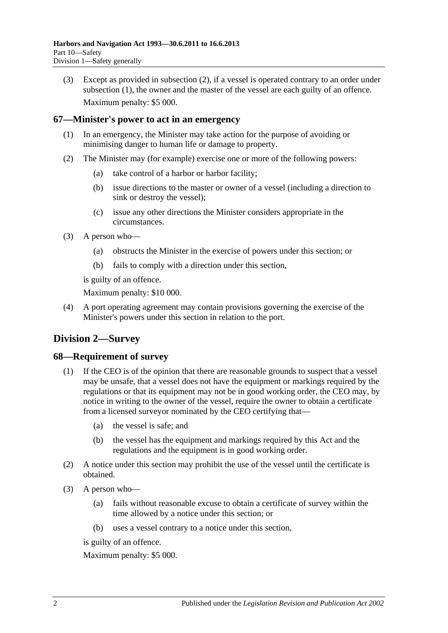(3) Except as provided in [subsection](#page-50-2) (2), if a vessel is operated contrary to an order under [subsection](#page-50-3) (1), the owner and the master of the vessel are each guilty of an offence. Maximum penalty: \$5 000.

## **67—Minister's power to act in an emergency**

- (1) In an emergency, the Minister may take action for the purpose of avoiding or minimising danger to human life or damage to property.
- (2) The Minister may (for example) exercise one or more of the following powers:
	- (a) take control of a harbor or harbor facility;
	- (b) issue directions to the master or owner of a vessel (including a direction to sink or destroy the vessel);
	- (c) issue any other directions the Minister considers appropriate in the circumstances.
- (3) A person who—
	- (a) obstructs the Minister in the exercise of powers under this section; or
	- (b) fails to comply with a direction under this section,

is guilty of an offence.

Maximum penalty: \$10 000.

(4) A port operating agreement may contain provisions governing the exercise of the Minister's powers under this section in relation to the port.

# **Division 2—Survey**

## **68—Requirement of survey**

- (1) If the CEO is of the opinion that there are reasonable grounds to suspect that a vessel may be unsafe, that a vessel does not have the equipment or markings required by the regulations or that its equipment may not be in good working order, the CEO may, by notice in writing to the owner of the vessel, require the owner to obtain a certificate from a licensed surveyor nominated by the CEO certifying that—
	- (a) the vessel is safe; and
	- (b) the vessel has the equipment and markings required by this Act and the regulations and the equipment is in good working order.
- (2) A notice under this section may prohibit the use of the vessel until the certificate is obtained.
- (3) A person who—
	- (a) fails without reasonable excuse to obtain a certificate of survey within the time allowed by a notice under this section; or
	- (b) uses a vessel contrary to a notice under this section,

is guilty of an offence.

Maximum penalty: \$5 000.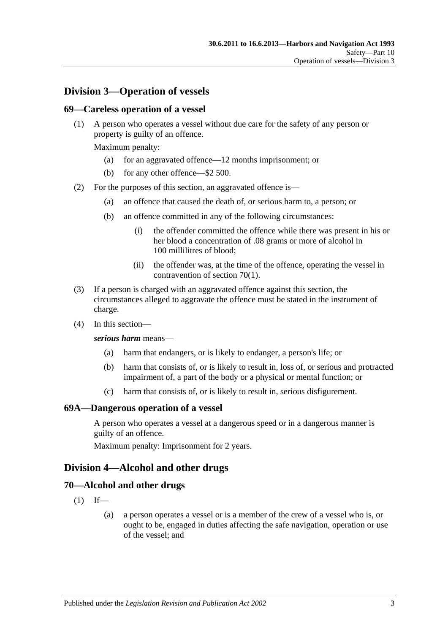## **Division 3—Operation of vessels**

#### **69—Careless operation of a vessel**

(1) A person who operates a vessel without due care for the safety of any person or property is guilty of an offence.

Maximum penalty:

- (a) for an aggravated offence—12 months imprisonment; or
- (b) for any other offence—\$2 500.
- (2) For the purposes of this section, an aggravated offence is—
	- (a) an offence that caused the death of, or serious harm to, a person; or
	- (b) an offence committed in any of the following circumstances:
		- (i) the offender committed the offence while there was present in his or her blood a concentration of .08 grams or more of alcohol in 100 millilitres of blood;
		- (ii) the offender was, at the time of the offence, operating the vessel in contravention of [section](#page-52-0) 70(1).
- (3) If a person is charged with an aggravated offence against this section, the circumstances alleged to aggravate the offence must be stated in the instrument of charge.
- (4) In this section—

#### *serious harm* means—

- (a) harm that endangers, or is likely to endanger, a person's life; or
- (b) harm that consists of, or is likely to result in, loss of, or serious and protracted impairment of, a part of the body or a physical or mental function; or
- (c) harm that consists of, or is likely to result in, serious disfigurement.

#### **69A—Dangerous operation of a vessel**

A person who operates a vessel at a dangerous speed or in a dangerous manner is guilty of an offence.

Maximum penalty: Imprisonment for 2 years.

## **Division 4—Alcohol and other drugs**

#### <span id="page-52-0"></span>**70—Alcohol and other drugs**

- $(1)$  If—
	- (a) a person operates a vessel or is a member of the crew of a vessel who is, or ought to be, engaged in duties affecting the safe navigation, operation or use of the vessel; and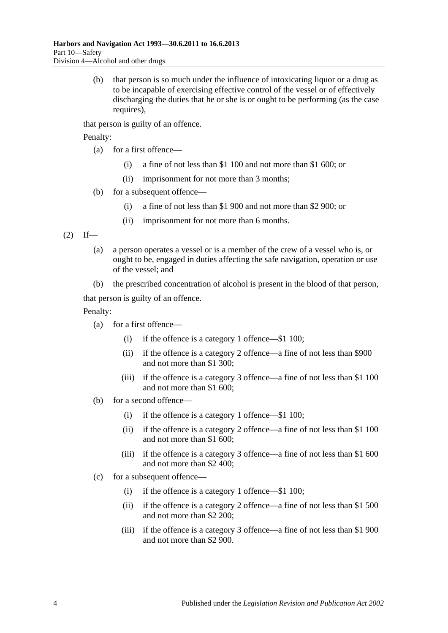(b) that person is so much under the influence of intoxicating liquor or a drug as to be incapable of exercising effective control of the vessel or of effectively discharging the duties that he or she is or ought to be performing (as the case requires).

that person is guilty of an offence.

Penalty:

- (a) for a first offence—
	- (i) a fine of not less than \$1 100 and not more than \$1 600; or
	- (ii) imprisonment for not more than 3 months;
- (b) for a subsequent offence—
	- (i) a fine of not less than \$1 900 and not more than \$2 900; or
	- (ii) imprisonment for not more than 6 months.

<span id="page-53-0"></span> $(2)$  If—

- (a) a person operates a vessel or is a member of the crew of a vessel who is, or ought to be, engaged in duties affecting the safe navigation, operation or use of the vessel; and
- (b) the prescribed concentration of alcohol is present in the blood of that person,

that person is guilty of an offence.

Penalty:

- (a) for a first offence—
	- (i) if the offence is a category 1 offence—\$1 100;
	- (ii) if the offence is a category 2 offence—a fine of not less than \$900 and not more than \$1 300;
	- (iii) if the offence is a category 3 offence—a fine of not less than \$1 100 and not more than \$1 600;
- (b) for a second offence—
	- (i) if the offence is a category 1 offence—\$1 100;
	- (ii) if the offence is a category 2 offence—a fine of not less than \$1 100 and not more than \$1 600;
	- (iii) if the offence is a category 3 offence—a fine of not less than \$1 600 and not more than \$2 400;
- (c) for a subsequent offence—
	- (i) if the offence is a category 1 offence—\$1 100;
	- (ii) if the offence is a category 2 offence—a fine of not less than \$1 500 and not more than \$2 200;
	- (iii) if the offence is a category 3 offence—a fine of not less than \$1 900 and not more than \$2 900.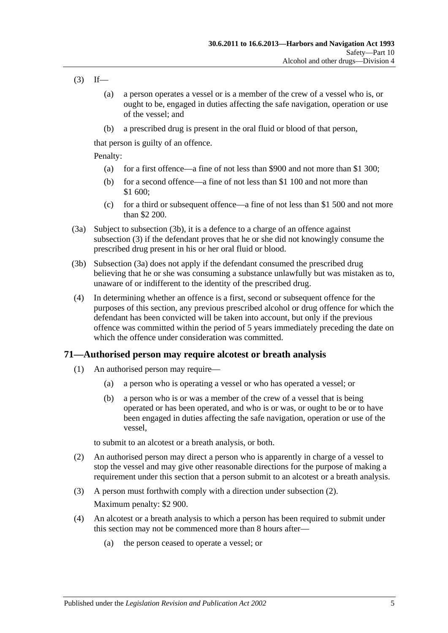- <span id="page-54-1"></span> $(3)$  If—
	- (a) a person operates a vessel or is a member of the crew of a vessel who is, or ought to be, engaged in duties affecting the safe navigation, operation or use of the vessel; and
	- (b) a prescribed drug is present in the oral fluid or blood of that person,

that person is guilty of an offence.

Penalty:

- (a) for a first offence—a fine of not less than \$900 and not more than \$1 300;
- (b) for a second offence—a fine of not less than \$1 100 and not more than \$1 600;
- (c) for a third or subsequent offence—a fine of not less than \$1 500 and not more than \$2 200.
- <span id="page-54-2"></span>(3a) Subject to [subsection](#page-54-0) (3b), it is a defence to a charge of an offence against [subsection](#page-54-1) (3) if the defendant proves that he or she did not knowingly consume the prescribed drug present in his or her oral fluid or blood.
- <span id="page-54-0"></span>(3b) [Subsection \(3a\)](#page-54-2) does not apply if the defendant consumed the prescribed drug believing that he or she was consuming a substance unlawfully but was mistaken as to, unaware of or indifferent to the identity of the prescribed drug.
- (4) In determining whether an offence is a first, second or subsequent offence for the purposes of this section, any previous prescribed alcohol or drug offence for which the defendant has been convicted will be taken into account, but only if the previous offence was committed within the period of 5 years immediately preceding the date on which the offence under consideration was committed.

## <span id="page-54-5"></span><span id="page-54-4"></span>**71—Authorised person may require alcotest or breath analysis**

- (1) An authorised person may require—
	- (a) a person who is operating a vessel or who has operated a vessel; or
	- (b) a person who is or was a member of the crew of a vessel that is being operated or has been operated, and who is or was, or ought to be or to have been engaged in duties affecting the safe navigation, operation or use of the vessel,

to submit to an alcotest or a breath analysis, or both.

- <span id="page-54-3"></span>(2) An authorised person may direct a person who is apparently in charge of a vessel to stop the vessel and may give other reasonable directions for the purpose of making a requirement under this section that a person submit to an alcotest or a breath analysis.
- (3) A person must forthwith comply with a direction under [subsection](#page-54-3) (2). Maximum penalty: \$2 900.
- (4) An alcotest or a breath analysis to which a person has been required to submit under this section may not be commenced more than 8 hours after—
	- (a) the person ceased to operate a vessel; or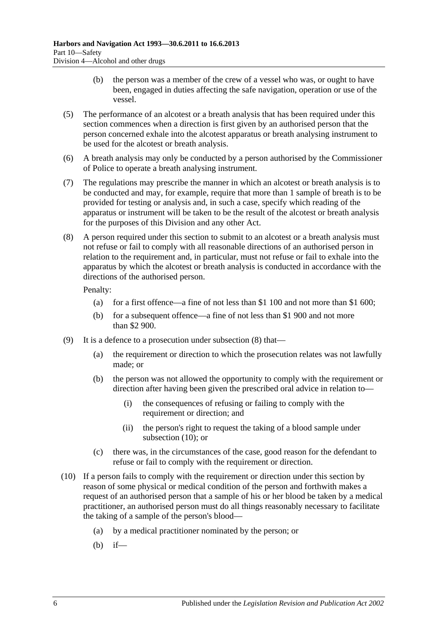- (b) the person was a member of the crew of a vessel who was, or ought to have been, engaged in duties affecting the safe navigation, operation or use of the vessel.
- (5) The performance of an alcotest or a breath analysis that has been required under this section commences when a direction is first given by an authorised person that the person concerned exhale into the alcotest apparatus or breath analysing instrument to be used for the alcotest or breath analysis.
- (6) A breath analysis may only be conducted by a person authorised by the Commissioner of Police to operate a breath analysing instrument.
- (7) The regulations may prescribe the manner in which an alcotest or breath analysis is to be conducted and may, for example, require that more than 1 sample of breath is to be provided for testing or analysis and, in such a case, specify which reading of the apparatus or instrument will be taken to be the result of the alcotest or breath analysis for the purposes of this Division and any other Act.
- <span id="page-55-0"></span>(8) A person required under this section to submit to an alcotest or a breath analysis must not refuse or fail to comply with all reasonable directions of an authorised person in relation to the requirement and, in particular, must not refuse or fail to exhale into the apparatus by which the alcotest or breath analysis is conducted in accordance with the directions of the authorised person.

Penalty:

- (a) for a first offence—a fine of not less than \$1 100 and not more than \$1 600;
- (b) for a subsequent offence—a fine of not less than \$1 900 and not more than \$2 900.
- (9) It is a defence to a prosecution under [subsection](#page-55-0) (8) that—
	- (a) the requirement or direction to which the prosecution relates was not lawfully made; or
	- (b) the person was not allowed the opportunity to comply with the requirement or direction after having been given the prescribed oral advice in relation to—
		- (i) the consequences of refusing or failing to comply with the requirement or direction; and
		- (ii) the person's right to request the taking of a blood sample under [subsection](#page-55-1) (10); or
	- (c) there was, in the circumstances of the case, good reason for the defendant to refuse or fail to comply with the requirement or direction.
- <span id="page-55-1"></span>(10) If a person fails to comply with the requirement or direction under this section by reason of some physical or medical condition of the person and forthwith makes a request of an authorised person that a sample of his or her blood be taken by a medical practitioner, an authorised person must do all things reasonably necessary to facilitate the taking of a sample of the person's blood—
	- (a) by a medical practitioner nominated by the person; or
	- (b) if—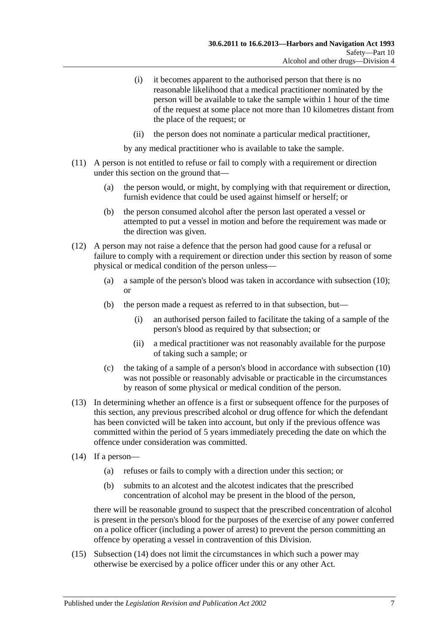- (i) it becomes apparent to the authorised person that there is no reasonable likelihood that a medical practitioner nominated by the person will be available to take the sample within 1 hour of the time of the request at some place not more than 10 kilometres distant from the place of the request; or
- (ii) the person does not nominate a particular medical practitioner,

by any medical practitioner who is available to take the sample.

- (11) A person is not entitled to refuse or fail to comply with a requirement or direction under this section on the ground that—
	- (a) the person would, or might, by complying with that requirement or direction, furnish evidence that could be used against himself or herself; or
	- (b) the person consumed alcohol after the person last operated a vessel or attempted to put a vessel in motion and before the requirement was made or the direction was given.
- (12) A person may not raise a defence that the person had good cause for a refusal or failure to comply with a requirement or direction under this section by reason of some physical or medical condition of the person unless—
	- (a) a sample of the person's blood was taken in accordance with [subsection](#page-55-1) (10); or
	- (b) the person made a request as referred to in that subsection, but—
		- (i) an authorised person failed to facilitate the taking of a sample of the person's blood as required by that subsection; or
		- (ii) a medical practitioner was not reasonably available for the purpose of taking such a sample; or
	- (c) the taking of a sample of a person's blood in accordance with [subsection](#page-55-1) (10) was not possible or reasonably advisable or practicable in the circumstances by reason of some physical or medical condition of the person.
- (13) In determining whether an offence is a first or subsequent offence for the purposes of this section, any previous prescribed alcohol or drug offence for which the defendant has been convicted will be taken into account, but only if the previous offence was committed within the period of 5 years immediately preceding the date on which the offence under consideration was committed.
- <span id="page-56-0"></span>(14) If a person—
	- (a) refuses or fails to comply with a direction under this section; or
	- (b) submits to an alcotest and the alcotest indicates that the prescribed concentration of alcohol may be present in the blood of the person,

there will be reasonable ground to suspect that the prescribed concentration of alcohol is present in the person's blood for the purposes of the exercise of any power conferred on a police officer (including a power of arrest) to prevent the person committing an offence by operating a vessel in contravention of this Division.

(15) [Subsection \(14\)](#page-56-0) does not limit the circumstances in which such a power may otherwise be exercised by a police officer under this or any other Act.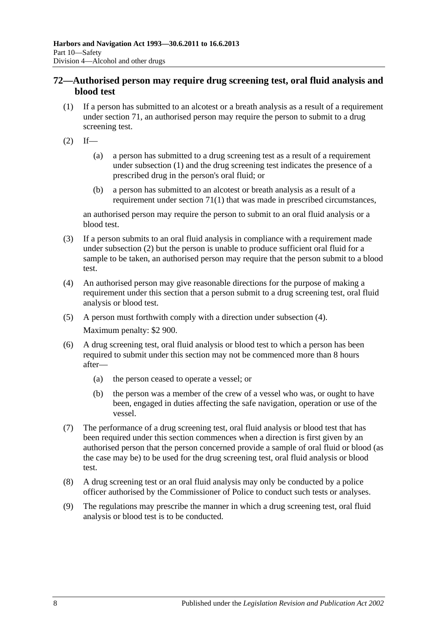## <span id="page-57-3"></span>**72—Authorised person may require drug screening test, oral fluid analysis and blood test**

- <span id="page-57-0"></span>(1) If a person has submitted to an alcotest or a breath analysis as a result of a requirement under [section](#page-54-4) 71, an authorised person may require the person to submit to a drug screening test.
- <span id="page-57-1"></span> $(2)$  If—
	- (a) a person has submitted to a drug screening test as a result of a requirement under [subsection](#page-57-0) (1) and the drug screening test indicates the presence of a prescribed drug in the person's oral fluid; or
	- (b) a person has submitted to an alcotest or breath analysis as a result of a requirement under [section](#page-54-5) 71(1) that was made in prescribed circumstances,

an authorised person may require the person to submit to an oral fluid analysis or a blood test.

- (3) If a person submits to an oral fluid analysis in compliance with a requirement made under [subsection](#page-57-1) (2) but the person is unable to produce sufficient oral fluid for a sample to be taken, an authorised person may require that the person submit to a blood test.
- <span id="page-57-2"></span>(4) An authorised person may give reasonable directions for the purpose of making a requirement under this section that a person submit to a drug screening test, oral fluid analysis or blood test.
- (5) A person must forthwith comply with a direction under [subsection](#page-57-2) (4). Maximum penalty: \$2 900.
- (6) A drug screening test, oral fluid analysis or blood test to which a person has been required to submit under this section may not be commenced more than 8 hours after—
	- (a) the person ceased to operate a vessel; or
	- (b) the person was a member of the crew of a vessel who was, or ought to have been, engaged in duties affecting the safe navigation, operation or use of the vessel.
- (7) The performance of a drug screening test, oral fluid analysis or blood test that has been required under this section commences when a direction is first given by an authorised person that the person concerned provide a sample of oral fluid or blood (as the case may be) to be used for the drug screening test, oral fluid analysis or blood test.
- (8) A drug screening test or an oral fluid analysis may only be conducted by a police officer authorised by the Commissioner of Police to conduct such tests or analyses.
- (9) The regulations may prescribe the manner in which a drug screening test, oral fluid analysis or blood test is to be conducted.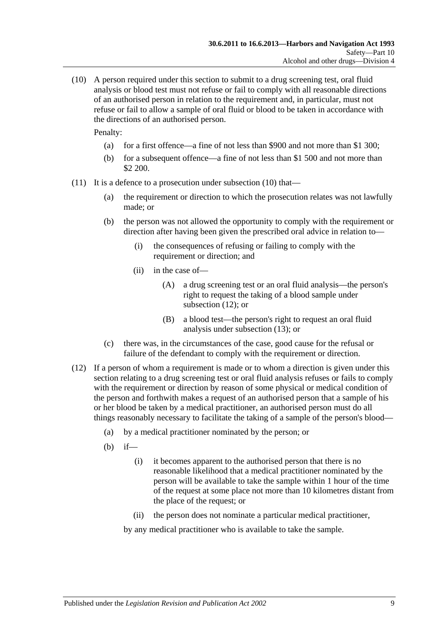<span id="page-58-0"></span>(10) A person required under this section to submit to a drug screening test, oral fluid analysis or blood test must not refuse or fail to comply with all reasonable directions of an authorised person in relation to the requirement and, in particular, must not refuse or fail to allow a sample of oral fluid or blood to be taken in accordance with the directions of an authorised person.

Penalty:

- (a) for a first offence—a fine of not less than \$900 and not more than \$1 300;
- (b) for a subsequent offence—a fine of not less than \$1 500 and not more than \$2 200.
- (11) It is a defence to a prosecution under [subsection](#page-58-0) (10) that—
	- (a) the requirement or direction to which the prosecution relates was not lawfully made; or
	- (b) the person was not allowed the opportunity to comply with the requirement or direction after having been given the prescribed oral advice in relation to—
		- (i) the consequences of refusing or failing to comply with the requirement or direction; and
		- (ii) in the case of—
			- (A) a drug screening test or an oral fluid analysis—the person's right to request the taking of a blood sample under [subsection](#page-58-1) (12); or
			- (B) a blood test—the person's right to request an oral fluid analysis under [subsection](#page-59-0) (13); or
	- (c) there was, in the circumstances of the case, good cause for the refusal or failure of the defendant to comply with the requirement or direction.
- <span id="page-58-1"></span>(12) If a person of whom a requirement is made or to whom a direction is given under this section relating to a drug screening test or oral fluid analysis refuses or fails to comply with the requirement or direction by reason of some physical or medical condition of the person and forthwith makes a request of an authorised person that a sample of his or her blood be taken by a medical practitioner, an authorised person must do all things reasonably necessary to facilitate the taking of a sample of the person's blood—
	- (a) by a medical practitioner nominated by the person; or
	- (b) if—
		- (i) it becomes apparent to the authorised person that there is no reasonable likelihood that a medical practitioner nominated by the person will be available to take the sample within 1 hour of the time of the request at some place not more than 10 kilometres distant from the place of the request; or
		- (ii) the person does not nominate a particular medical practitioner,

by any medical practitioner who is available to take the sample.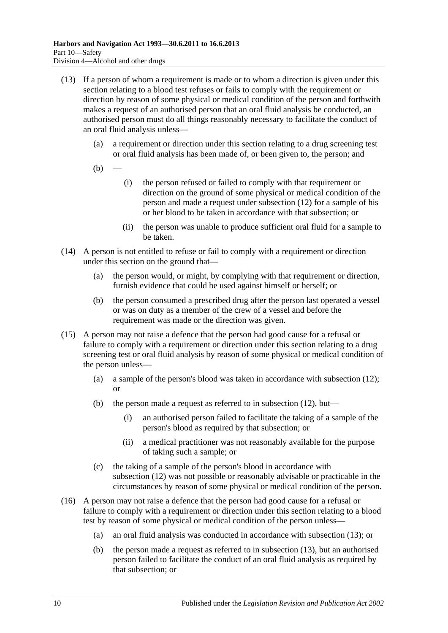- <span id="page-59-0"></span>(13) If a person of whom a requirement is made or to whom a direction is given under this section relating to a blood test refuses or fails to comply with the requirement or direction by reason of some physical or medical condition of the person and forthwith makes a request of an authorised person that an oral fluid analysis be conducted, an authorised person must do all things reasonably necessary to facilitate the conduct of an oral fluid analysis unless—
	- (a) a requirement or direction under this section relating to a drug screening test or oral fluid analysis has been made of, or been given to, the person; and
	- $(b)$
- (i) the person refused or failed to comply with that requirement or direction on the ground of some physical or medical condition of the person and made a request under [subsection](#page-58-1) (12) for a sample of his or her blood to be taken in accordance with that subsection; or
- (ii) the person was unable to produce sufficient oral fluid for a sample to be taken.
- (14) A person is not entitled to refuse or fail to comply with a requirement or direction under this section on the ground that—
	- (a) the person would, or might, by complying with that requirement or direction, furnish evidence that could be used against himself or herself; or
	- (b) the person consumed a prescribed drug after the person last operated a vessel or was on duty as a member of the crew of a vessel and before the requirement was made or the direction was given.
- (15) A person may not raise a defence that the person had good cause for a refusal or failure to comply with a requirement or direction under this section relating to a drug screening test or oral fluid analysis by reason of some physical or medical condition of the person unless—
	- (a) a sample of the person's blood was taken in accordance with [subsection](#page-58-1) (12); or
	- (b) the person made a request as referred to in [subsection](#page-58-1) (12), but—
		- (i) an authorised person failed to facilitate the taking of a sample of the person's blood as required by that subsection; or
		- (ii) a medical practitioner was not reasonably available for the purpose of taking such a sample; or
	- (c) the taking of a sample of the person's blood in accordance with [subsection](#page-58-1) (12) was not possible or reasonably advisable or practicable in the circumstances by reason of some physical or medical condition of the person.
- (16) A person may not raise a defence that the person had good cause for a refusal or failure to comply with a requirement or direction under this section relating to a blood test by reason of some physical or medical condition of the person unless—
	- (a) an oral fluid analysis was conducted in accordance with [subsection](#page-59-0) (13); or
	- (b) the person made a request as referred to in [subsection](#page-59-0) (13), but an authorised person failed to facilitate the conduct of an oral fluid analysis as required by that subsection; or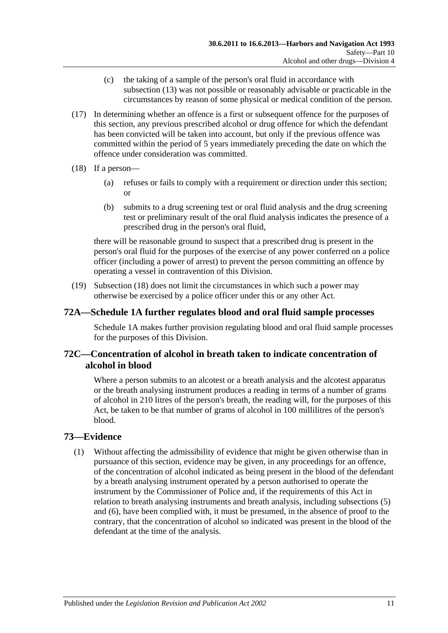- (c) the taking of a sample of the person's oral fluid in accordance with [subsection](#page-59-0) (13) was not possible or reasonably advisable or practicable in the circumstances by reason of some physical or medical condition of the person.
- (17) In determining whether an offence is a first or subsequent offence for the purposes of this section, any previous prescribed alcohol or drug offence for which the defendant has been convicted will be taken into account, but only if the previous offence was committed within the period of 5 years immediately preceding the date on which the offence under consideration was committed.
- <span id="page-60-0"></span>(18) If a person—
	- (a) refuses or fails to comply with a requirement or direction under this section; or
	- (b) submits to a drug screening test or oral fluid analysis and the drug screening test or preliminary result of the oral fluid analysis indicates the presence of a prescribed drug in the person's oral fluid,

there will be reasonable ground to suspect that a prescribed drug is present in the person's oral fluid for the purposes of the exercise of any power conferred on a police officer (including a power of arrest) to prevent the person committing an offence by operating a vessel in contravention of this Division.

(19) [Subsection](#page-60-0) (18) does not limit the circumstances in which such a power may otherwise be exercised by a police officer under this or any other Act.

## **72A[—Schedule 1A](#page-81-0) further regulates blood and oral fluid sample processes**

[Schedule 1A](#page-81-0) makes further provision regulating blood and oral fluid sample processes for the purposes of this Division.

## **72C—Concentration of alcohol in breath taken to indicate concentration of alcohol in blood**

Where a person submits to an alcotest or a breath analysis and the alcotest apparatus or the breath analysing instrument produces a reading in terms of a number of grams of alcohol in 210 litres of the person's breath, the reading will, for the purposes of this Act, be taken to be that number of grams of alcohol in 100 millilitres of the person's blood.

## <span id="page-60-1"></span>**73—Evidence**

(1) Without affecting the admissibility of evidence that might be given otherwise than in pursuance of this section, evidence may be given, in any proceedings for an offence, of the concentration of alcohol indicated as being present in the blood of the defendant by a breath analysing instrument operated by a person authorised to operate the instrument by the Commissioner of Police and, if the requirements of this Act in relation to breath analysing instruments and breath analysis, including [subsections \(5\)](#page-61-0) and [\(6\),](#page-61-1) have been complied with, it must be presumed, in the absence of proof to the contrary, that the concentration of alcohol so indicated was present in the blood of the defendant at the time of the analysis.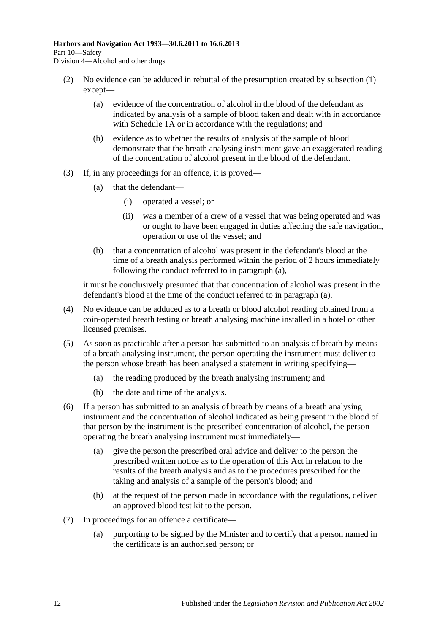- <span id="page-61-5"></span>(2) No evidence can be adduced in rebuttal of the presumption created by [subsection](#page-60-1) (1) except—
	- (a) evidence of the concentration of alcohol in the blood of the defendant as indicated by analysis of a sample of blood taken and dealt with in accordance with [Schedule 1A](#page-81-0) or in accordance with the regulations; and
	- (b) evidence as to whether the results of analysis of the sample of blood demonstrate that the breath analysing instrument gave an exaggerated reading of the concentration of alcohol present in the blood of the defendant.
- <span id="page-61-2"></span>(3) If, in any proceedings for an offence, it is proved—
	- (a) that the defendant—
		- (i) operated a vessel; or
		- (ii) was a member of a crew of a vessel that was being operated and was or ought to have been engaged in duties affecting the safe navigation, operation or use of the vessel; and
	- (b) that a concentration of alcohol was present in the defendant's blood at the time of a breath analysis performed within the period of 2 hours immediately following the conduct referred to in [paragraph](#page-61-2) (a),

it must be conclusively presumed that that concentration of alcohol was present in the defendant's blood at the time of the conduct referred to in [paragraph](#page-61-2) (a).

- (4) No evidence can be adduced as to a breath or blood alcohol reading obtained from a coin-operated breath testing or breath analysing machine installed in a hotel or other licensed premises.
- <span id="page-61-0"></span>(5) As soon as practicable after a person has submitted to an analysis of breath by means of a breath analysing instrument, the person operating the instrument must deliver to the person whose breath has been analysed a statement in writing specifying—
	- (a) the reading produced by the breath analysing instrument; and
	- (b) the date and time of the analysis.
- <span id="page-61-3"></span><span id="page-61-1"></span>(6) If a person has submitted to an analysis of breath by means of a breath analysing instrument and the concentration of alcohol indicated as being present in the blood of that person by the instrument is the prescribed concentration of alcohol, the person operating the breath analysing instrument must immediately—
	- (a) give the person the prescribed oral advice and deliver to the person the prescribed written notice as to the operation of this Act in relation to the results of the breath analysis and as to the procedures prescribed for the taking and analysis of a sample of the person's blood; and
	- (b) at the request of the person made in accordance with the regulations, deliver an approved blood test kit to the person.
- <span id="page-61-4"></span>(7) In proceedings for an offence a certificate—
	- (a) purporting to be signed by the Minister and to certify that a person named in the certificate is an authorised person; or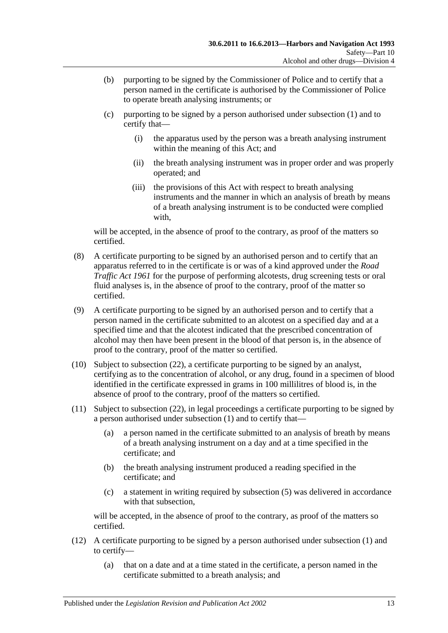- (b) purporting to be signed by the Commissioner of Police and to certify that a person named in the certificate is authorised by the Commissioner of Police to operate breath analysing instruments; or
- (c) purporting to be signed by a person authorised under [subsection](#page-60-1) (1) and to certify that—
	- (i) the apparatus used by the person was a breath analysing instrument within the meaning of this Act; and
	- (ii) the breath analysing instrument was in proper order and was properly operated; and
	- (iii) the provisions of this Act with respect to breath analysing instruments and the manner in which an analysis of breath by means of a breath analysing instrument is to be conducted were complied with,

will be accepted, in the absence of proof to the contrary, as proof of the matters so certified.

- (8) A certificate purporting to be signed by an authorised person and to certify that an apparatus referred to in the certificate is or was of a kind approved under the *[Road](http://www.legislation.sa.gov.au/index.aspx?action=legref&type=act&legtitle=Road%20Traffic%20Act%201961)  [Traffic Act](http://www.legislation.sa.gov.au/index.aspx?action=legref&type=act&legtitle=Road%20Traffic%20Act%201961) 1961* for the purpose of performing alcotests, drug screening tests or oral fluid analyses is, in the absence of proof to the contrary, proof of the matter so certified.
- (9) A certificate purporting to be signed by an authorised person and to certify that a person named in the certificate submitted to an alcotest on a specified day and at a specified time and that the alcotest indicated that the prescribed concentration of alcohol may then have been present in the blood of that person is, in the absence of proof to the contrary, proof of the matter so certified.
- <span id="page-62-0"></span>(10) Subject to [subsection](#page-64-0) (22), a certificate purporting to be signed by an analyst, certifying as to the concentration of alcohol, or any drug, found in a specimen of blood identified in the certificate expressed in grams in 100 millilitres of blood is, in the absence of proof to the contrary, proof of the matters so certified.
- <span id="page-62-1"></span>(11) Subject to [subsection](#page-64-0) (22), in legal proceedings a certificate purporting to be signed by a person authorised under [subsection](#page-60-1) (1) and to certify that—
	- (a) a person named in the certificate submitted to an analysis of breath by means of a breath analysing instrument on a day and at a time specified in the certificate; and
	- (b) the breath analysing instrument produced a reading specified in the certificate; and
	- (c) a statement in writing required by [subsection](#page-61-0) (5) was delivered in accordance with that subsection,

will be accepted, in the absence of proof to the contrary, as proof of the matters so certified.

- (12) A certificate purporting to be signed by a person authorised under [subsection](#page-60-1) (1) and to certify—
	- (a) that on a date and at a time stated in the certificate, a person named in the certificate submitted to a breath analysis; and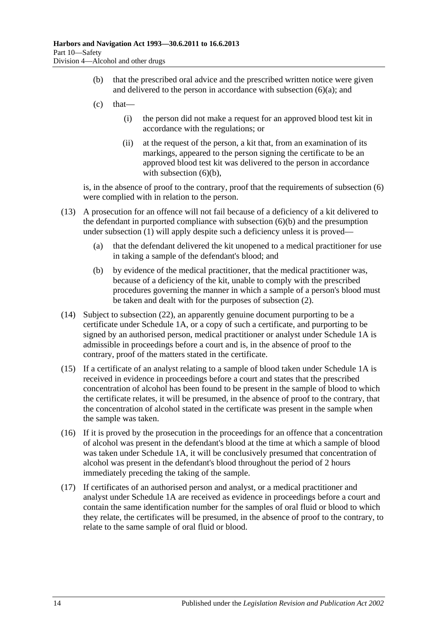- (b) that the prescribed oral advice and the prescribed written notice were given and delivered to the person in accordance with [subsection](#page-61-3)  $(6)(a)$ ; and
- $(c)$  that—
	- (i) the person did not make a request for an approved blood test kit in accordance with the regulations; or
	- (ii) at the request of the person, a kit that, from an examination of its markings, appeared to the person signing the certificate to be an approved blood test kit was delivered to the person in accordance with [subsection](#page-61-4)  $(6)(b)$ ,

is, in the absence of proof to the contrary, proof that the requirements of [subsection](#page-61-1) (6) were complied with in relation to the person.

- (13) A prosecution for an offence will not fail because of a deficiency of a kit delivered to the defendant in purported compliance with [subsection](#page-61-4) (6)(b) and the presumption under [subsection](#page-60-1) (1) will apply despite such a deficiency unless it is proved—
	- (a) that the defendant delivered the kit unopened to a medical practitioner for use in taking a sample of the defendant's blood; and
	- (b) by evidence of the medical practitioner, that the medical practitioner was, because of a deficiency of the kit, unable to comply with the prescribed procedures governing the manner in which a sample of a person's blood must be taken and dealt with for the purposes of [subsection](#page-61-5) (2).
- <span id="page-63-0"></span>(14) Subject to [subsection](#page-64-0) (22), an apparently genuine document purporting to be a certificate under [Schedule 1A,](#page-81-0) or a copy of such a certificate, and purporting to be signed by an authorised person, medical practitioner or analyst under [Schedule 1A](#page-81-0) is admissible in proceedings before a court and is, in the absence of proof to the contrary, proof of the matters stated in the certificate.
- (15) If a certificate of an analyst relating to a sample of blood taken under [Schedule 1A](#page-81-0) is received in evidence in proceedings before a court and states that the prescribed concentration of alcohol has been found to be present in the sample of blood to which the certificate relates, it will be presumed, in the absence of proof to the contrary, that the concentration of alcohol stated in the certificate was present in the sample when the sample was taken.
- (16) If it is proved by the prosecution in the proceedings for an offence that a concentration of alcohol was present in the defendant's blood at the time at which a sample of blood was taken under [Schedule 1A,](#page-81-0) it will be conclusively presumed that concentration of alcohol was present in the defendant's blood throughout the period of 2 hours immediately preceding the taking of the sample.
- (17) If certificates of an authorised person and analyst, or a medical practitioner and analyst under [Schedule 1A](#page-81-0) are received as evidence in proceedings before a court and contain the same identification number for the samples of oral fluid or blood to which they relate, the certificates will be presumed, in the absence of proof to the contrary, to relate to the same sample of oral fluid or blood.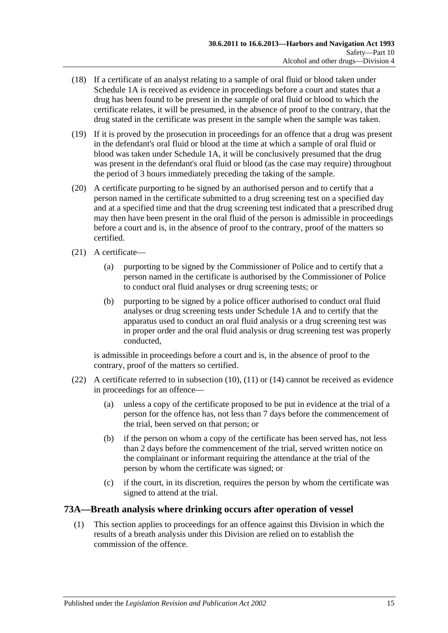- (18) If a certificate of an analyst relating to a sample of oral fluid or blood taken under [Schedule 1A](#page-81-0) is received as evidence in proceedings before a court and states that a drug has been found to be present in the sample of oral fluid or blood to which the certificate relates, it will be presumed, in the absence of proof to the contrary, that the drug stated in the certificate was present in the sample when the sample was taken.
- (19) If it is proved by the prosecution in proceedings for an offence that a drug was present in the defendant's oral fluid or blood at the time at which a sample of oral fluid or blood was taken under [Schedule 1A,](#page-81-0) it will be conclusively presumed that the drug was present in the defendant's oral fluid or blood (as the case may require) throughout the period of 3 hours immediately preceding the taking of the sample.
- (20) A certificate purporting to be signed by an authorised person and to certify that a person named in the certificate submitted to a drug screening test on a specified day and at a specified time and that the drug screening test indicated that a prescribed drug may then have been present in the oral fluid of the person is admissible in proceedings before a court and is, in the absence of proof to the contrary, proof of the matters so certified.
- (21) A certificate—
	- (a) purporting to be signed by the Commissioner of Police and to certify that a person named in the certificate is authorised by the Commissioner of Police to conduct oral fluid analyses or drug screening tests; or
	- (b) purporting to be signed by a police officer authorised to conduct oral fluid analyses or drug screening tests under [Schedule 1A](#page-81-0) and to certify that the apparatus used to conduct an oral fluid analysis or a drug screening test was in proper order and the oral fluid analysis or drug screening test was properly conducted,

is admissible in proceedings before a court and is, in the absence of proof to the contrary, proof of the matters so certified.

- <span id="page-64-0"></span>(22) A certificate referred to in [subsection](#page-62-0) (10), [\(11\)](#page-62-1) or [\(14\)](#page-63-0) cannot be received as evidence in proceedings for an offence—
	- (a) unless a copy of the certificate proposed to be put in evidence at the trial of a person for the offence has, not less than 7 days before the commencement of the trial, been served on that person; or
	- (b) if the person on whom a copy of the certificate has been served has, not less than 2 days before the commencement of the trial, served written notice on the complainant or informant requiring the attendance at the trial of the person by whom the certificate was signed; or
	- (c) if the court, in its discretion, requires the person by whom the certificate was signed to attend at the trial.

## **73A—Breath analysis where drinking occurs after operation of vessel**

(1) This section applies to proceedings for an offence against this Division in which the results of a breath analysis under this Division are relied on to establish the commission of the offence.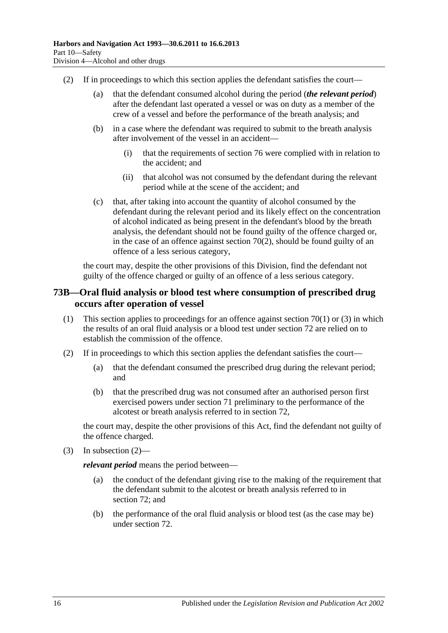- (2) If in proceedings to which this section applies the defendant satisfies the court—
	- (a) that the defendant consumed alcohol during the period (*the relevant period*) after the defendant last operated a vessel or was on duty as a member of the crew of a vessel and before the performance of the breath analysis; and
	- (b) in a case where the defendant was required to submit to the breath analysis after involvement of the vessel in an accident—
		- (i) that the requirements of [section](#page-68-0) 76 were complied with in relation to the accident; and
		- (ii) that alcohol was not consumed by the defendant during the relevant period while at the scene of the accident; and
	- (c) that, after taking into account the quantity of alcohol consumed by the defendant during the relevant period and its likely effect on the concentration of alcohol indicated as being present in the defendant's blood by the breath analysis, the defendant should not be found guilty of the offence charged or, in the case of an offence against [section](#page-53-0) 70(2), should be found guilty of an offence of a less serious category,

the court may, despite the other provisions of this Division, find the defendant not guilty of the offence charged or guilty of an offence of a less serious category.

## **73B—Oral fluid analysis or blood test where consumption of prescribed drug occurs after operation of vessel**

- (1) This section applies to proceedings for an offence against [section](#page-52-0) 70(1) or [\(3\)](#page-54-1) in which the results of an oral fluid analysis or a blood test under [section](#page-57-3) 72 are relied on to establish the commission of the offence.
- <span id="page-65-0"></span>(2) If in proceedings to which this section applies the defendant satisfies the court—
	- (a) that the defendant consumed the prescribed drug during the relevant period; and
	- (b) that the prescribed drug was not consumed after an authorised person first exercised powers under [section](#page-54-4) 71 preliminary to the performance of the alcotest or breath analysis referred to in [section](#page-57-3) 72,

the court may, despite the other provisions of this Act, find the defendant not guilty of the offence charged.

(3) In [subsection](#page-65-0)  $(2)$ —

*relevant period* means the period between—

- (a) the conduct of the defendant giving rise to the making of the requirement that the defendant submit to the alcotest or breath analysis referred to in [section](#page-57-3) 72; and
- (b) the performance of the oral fluid analysis or blood test (as the case may be) under [section](#page-57-3) 72.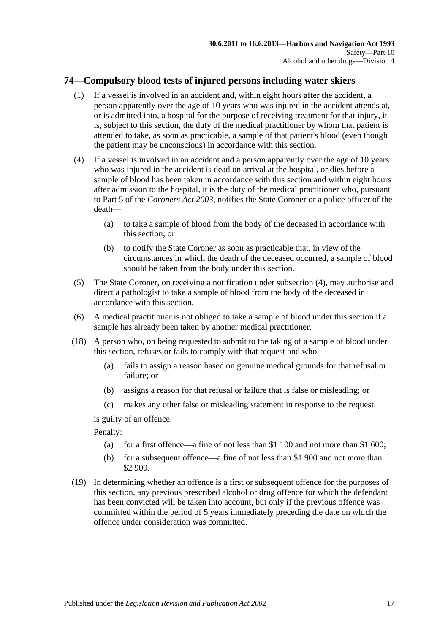## **74—Compulsory blood tests of injured persons including water skiers**

- (1) If a vessel is involved in an accident and, within eight hours after the accident, a person apparently over the age of 10 years who was injured in the accident attends at, or is admitted into, a hospital for the purpose of receiving treatment for that injury, it is, subject to this section, the duty of the medical practitioner by whom that patient is attended to take, as soon as practicable, a sample of that patient's blood (even though the patient may be unconscious) in accordance with this section.
- <span id="page-66-0"></span>(4) If a vessel is involved in an accident and a person apparently over the age of 10 years who was injured in the accident is dead on arrival at the hospital, or dies before a sample of blood has been taken in accordance with this section and within eight hours after admission to the hospital, it is the duty of the medical practitioner who, pursuant to Part 5 of the *[Coroners Act](http://www.legislation.sa.gov.au/index.aspx?action=legref&type=act&legtitle=Coroners%20Act%202003) 2003*, notifies the State Coroner or a police officer of the death—
	- (a) to take a sample of blood from the body of the deceased in accordance with this section; or
	- (b) to notify the State Coroner as soon as practicable that, in view of the circumstances in which the death of the deceased occurred, a sample of blood should be taken from the body under this section.
- (5) The State Coroner, on receiving a notification under [subsection](#page-66-0) (4), may authorise and direct a pathologist to take a sample of blood from the body of the deceased in accordance with this section.
- (6) A medical practitioner is not obliged to take a sample of blood under this section if a sample has already been taken by another medical practitioner.
- (18) A person who, on being requested to submit to the taking of a sample of blood under this section, refuses or fails to comply with that request and who—
	- (a) fails to assign a reason based on genuine medical grounds for that refusal or failure; or
	- (b) assigns a reason for that refusal or failure that is false or misleading; or
	- (c) makes any other false or misleading statement in response to the request,

is guilty of an offence.

Penalty:

- (a) for a first offence—a fine of not less than \$1 100 and not more than \$1 600;
- (b) for a subsequent offence—a fine of not less than \$1 900 and not more than \$2 900.
- (19) In determining whether an offence is a first or subsequent offence for the purposes of this section, any previous prescribed alcohol or drug offence for which the defendant has been convicted will be taken into account, but only if the previous offence was committed within the period of 5 years immediately preceding the date on which the offence under consideration was committed.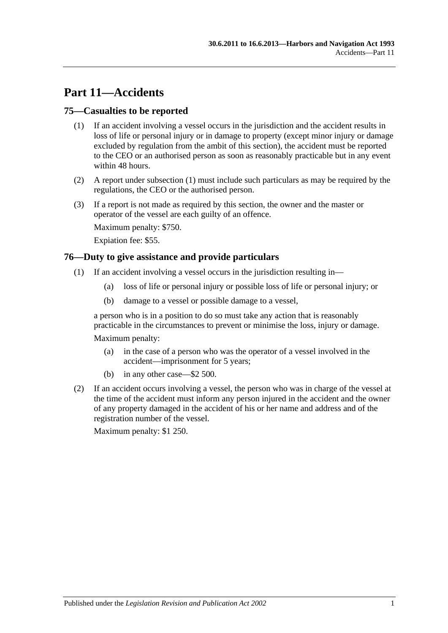# **Part 11—Accidents**

## <span id="page-68-1"></span>**75—Casualties to be reported**

- (1) If an accident involving a vessel occurs in the jurisdiction and the accident results in loss of life or personal injury or in damage to property (except minor injury or damage excluded by regulation from the ambit of this section), the accident must be reported to the CEO or an authorised person as soon as reasonably practicable but in any event within 48 hours.
- (2) A report under [subsection](#page-68-1) (1) must include such particulars as may be required by the regulations, the CEO or the authorised person.
- (3) If a report is not made as required by this section, the owner and the master or operator of the vessel are each guilty of an offence.

Maximum penalty: \$750.

Expiation fee: \$55.

#### <span id="page-68-0"></span>**76—Duty to give assistance and provide particulars**

- (1) If an accident involving a vessel occurs in the jurisdiction resulting in—
	- (a) loss of life or personal injury or possible loss of life or personal injury; or
	- (b) damage to a vessel or possible damage to a vessel,

a person who is in a position to do so must take any action that is reasonably practicable in the circumstances to prevent or minimise the loss, injury or damage.

Maximum penalty:

- (a) in the case of a person who was the operator of a vessel involved in the accident—imprisonment for 5 years;
- (b) in any other case—\$2 500.
- (2) If an accident occurs involving a vessel, the person who was in charge of the vessel at the time of the accident must inform any person injured in the accident and the owner of any property damaged in the accident of his or her name and address and of the registration number of the vessel.

Maximum penalty: \$1 250.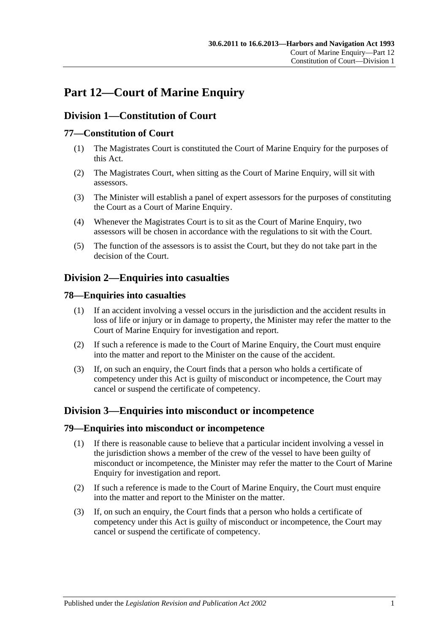# **Part 12—Court of Marine Enquiry**

## **Division 1—Constitution of Court**

## **77—Constitution of Court**

- (1) The Magistrates Court is constituted the Court of Marine Enquiry for the purposes of this Act.
- (2) The Magistrates Court, when sitting as the Court of Marine Enquiry, will sit with assessors.
- (3) The Minister will establish a panel of expert assessors for the purposes of constituting the Court as a Court of Marine Enquiry.
- (4) Whenever the Magistrates Court is to sit as the Court of Marine Enquiry, two assessors will be chosen in accordance with the regulations to sit with the Court.
- (5) The function of the assessors is to assist the Court, but they do not take part in the decision of the Court.

## **Division 2—Enquiries into casualties**

## **78—Enquiries into casualties**

- (1) If an accident involving a vessel occurs in the jurisdiction and the accident results in loss of life or injury or in damage to property, the Minister may refer the matter to the Court of Marine Enquiry for investigation and report.
- (2) If such a reference is made to the Court of Marine Enquiry, the Court must enquire into the matter and report to the Minister on the cause of the accident.
- (3) If, on such an enquiry, the Court finds that a person who holds a certificate of competency under this Act is guilty of misconduct or incompetence, the Court may cancel or suspend the certificate of competency.

## **Division 3—Enquiries into misconduct or incompetence**

#### **79—Enquiries into misconduct or incompetence**

- (1) If there is reasonable cause to believe that a particular incident involving a vessel in the jurisdiction shows a member of the crew of the vessel to have been guilty of misconduct or incompetence, the Minister may refer the matter to the Court of Marine Enquiry for investigation and report.
- (2) If such a reference is made to the Court of Marine Enquiry, the Court must enquire into the matter and report to the Minister on the matter.
- (3) If, on such an enquiry, the Court finds that a person who holds a certificate of competency under this Act is guilty of misconduct or incompetence, the Court may cancel or suspend the certificate of competency.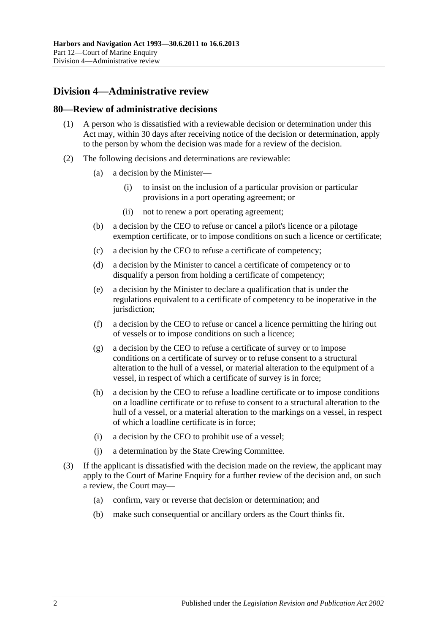# **Division 4—Administrative review**

#### **80—Review of administrative decisions**

- (1) A person who is dissatisfied with a reviewable decision or determination under this Act may, within 30 days after receiving notice of the decision or determination, apply to the person by whom the decision was made for a review of the decision.
- (2) The following decisions and determinations are reviewable:
	- (a) a decision by the Minister—
		- (i) to insist on the inclusion of a particular provision or particular provisions in a port operating agreement; or
		- (ii) not to renew a port operating agreement;
	- (b) a decision by the CEO to refuse or cancel a pilot's licence or a pilotage exemption certificate, or to impose conditions on such a licence or certificate;
	- (c) a decision by the CEO to refuse a certificate of competency;
	- (d) a decision by the Minister to cancel a certificate of competency or to disqualify a person from holding a certificate of competency;
	- (e) a decision by the Minister to declare a qualification that is under the regulations equivalent to a certificate of competency to be inoperative in the jurisdiction:
	- (f) a decision by the CEO to refuse or cancel a licence permitting the hiring out of vessels or to impose conditions on such a licence;
	- (g) a decision by the CEO to refuse a certificate of survey or to impose conditions on a certificate of survey or to refuse consent to a structural alteration to the hull of a vessel, or material alteration to the equipment of a vessel, in respect of which a certificate of survey is in force;
	- (h) a decision by the CEO to refuse a loadline certificate or to impose conditions on a loadline certificate or to refuse to consent to a structural alteration to the hull of a vessel, or a material alteration to the markings on a vessel, in respect of which a loadline certificate is in force;
	- (i) a decision by the CEO to prohibit use of a vessel;
	- (j) a determination by the State Crewing Committee.
- (3) If the applicant is dissatisfied with the decision made on the review, the applicant may apply to the Court of Marine Enquiry for a further review of the decision and, on such a review, the Court may—
	- (a) confirm, vary or reverse that decision or determination; and
	- (b) make such consequential or ancillary orders as the Court thinks fit.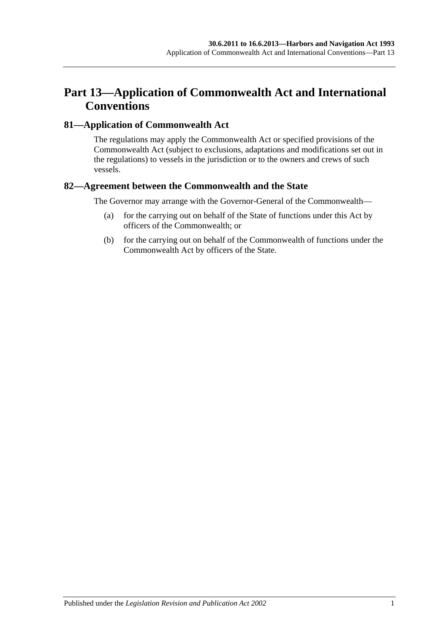# **Part 13—Application of Commonwealth Act and International Conventions**

### **81—Application of Commonwealth Act**

The regulations may apply the Commonwealth Act or specified provisions of the Commonwealth Act (subject to exclusions, adaptations and modifications set out in the regulations) to vessels in the jurisdiction or to the owners and crews of such vessels.

### **82—Agreement between the Commonwealth and the State**

The Governor may arrange with the Governor-General of the Commonwealth—

- (a) for the carrying out on behalf of the State of functions under this Act by officers of the Commonwealth; or
- (b) for the carrying out on behalf of the Commonwealth of functions under the Commonwealth Act by officers of the State.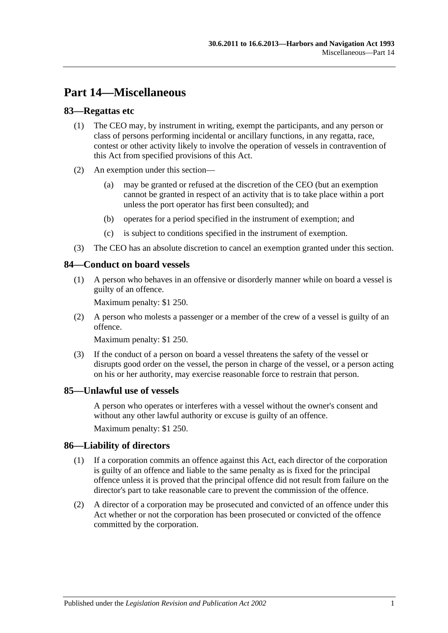# **Part 14—Miscellaneous**

### **83—Regattas etc**

- (1) The CEO may, by instrument in writing, exempt the participants, and any person or class of persons performing incidental or ancillary functions, in any regatta, race, contest or other activity likely to involve the operation of vessels in contravention of this Act from specified provisions of this Act.
- (2) An exemption under this section—
	- (a) may be granted or refused at the discretion of the CEO (but an exemption cannot be granted in respect of an activity that is to take place within a port unless the port operator has first been consulted); and
	- (b) operates for a period specified in the instrument of exemption; and
	- (c) is subject to conditions specified in the instrument of exemption.
- (3) The CEO has an absolute discretion to cancel an exemption granted under this section.

#### **84—Conduct on board vessels**

(1) A person who behaves in an offensive or disorderly manner while on board a vessel is guilty of an offence.

Maximum penalty: \$1 250.

(2) A person who molests a passenger or a member of the crew of a vessel is guilty of an offence.

Maximum penalty: \$1 250.

(3) If the conduct of a person on board a vessel threatens the safety of the vessel or disrupts good order on the vessel, the person in charge of the vessel, or a person acting on his or her authority, may exercise reasonable force to restrain that person.

#### **85—Unlawful use of vessels**

A person who operates or interferes with a vessel without the owner's consent and without any other lawful authority or excuse is guilty of an offence.

Maximum penalty: \$1 250.

#### **86—Liability of directors**

- (1) If a corporation commits an offence against this Act, each director of the corporation is guilty of an offence and liable to the same penalty as is fixed for the principal offence unless it is proved that the principal offence did not result from failure on the director's part to take reasonable care to prevent the commission of the offence.
- (2) A director of a corporation may be prosecuted and convicted of an offence under this Act whether or not the corporation has been prosecuted or convicted of the offence committed by the corporation.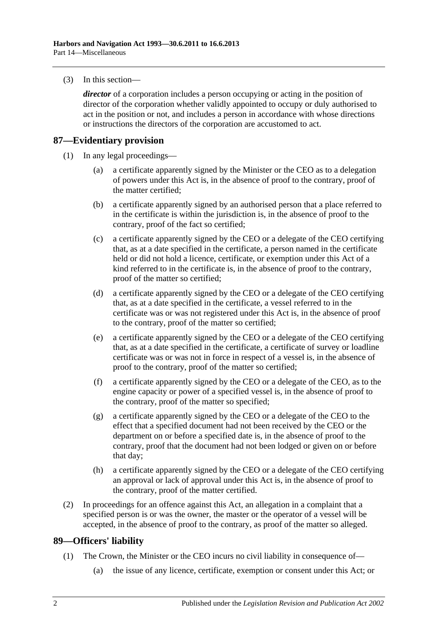(3) In this section—

*director* of a corporation includes a person occupying or acting in the position of director of the corporation whether validly appointed to occupy or duly authorised to act in the position or not, and includes a person in accordance with whose directions or instructions the directors of the corporation are accustomed to act.

### **87—Evidentiary provision**

- (1) In any legal proceedings—
	- (a) a certificate apparently signed by the Minister or the CEO as to a delegation of powers under this Act is, in the absence of proof to the contrary, proof of the matter certified;
	- (b) a certificate apparently signed by an authorised person that a place referred to in the certificate is within the jurisdiction is, in the absence of proof to the contrary, proof of the fact so certified;
	- (c) a certificate apparently signed by the CEO or a delegate of the CEO certifying that, as at a date specified in the certificate, a person named in the certificate held or did not hold a licence, certificate, or exemption under this Act of a kind referred to in the certificate is, in the absence of proof to the contrary, proof of the matter so certified;
	- (d) a certificate apparently signed by the CEO or a delegate of the CEO certifying that, as at a date specified in the certificate, a vessel referred to in the certificate was or was not registered under this Act is, in the absence of proof to the contrary, proof of the matter so certified;
	- (e) a certificate apparently signed by the CEO or a delegate of the CEO certifying that, as at a date specified in the certificate, a certificate of survey or loadline certificate was or was not in force in respect of a vessel is, in the absence of proof to the contrary, proof of the matter so certified;
	- (f) a certificate apparently signed by the CEO or a delegate of the CEO, as to the engine capacity or power of a specified vessel is, in the absence of proof to the contrary, proof of the matter so specified;
	- (g) a certificate apparently signed by the CEO or a delegate of the CEO to the effect that a specified document had not been received by the CEO or the department on or before a specified date is, in the absence of proof to the contrary, proof that the document had not been lodged or given on or before that day;
	- (h) a certificate apparently signed by the CEO or a delegate of the CEO certifying an approval or lack of approval under this Act is, in the absence of proof to the contrary, proof of the matter certified.
- (2) In proceedings for an offence against this Act, an allegation in a complaint that a specified person is or was the owner, the master or the operator of a vessel will be accepted, in the absence of proof to the contrary, as proof of the matter so alleged.

### **89—Officers' liability**

- (1) The Crown, the Minister or the CEO incurs no civil liability in consequence of—
	- (a) the issue of any licence, certificate, exemption or consent under this Act; or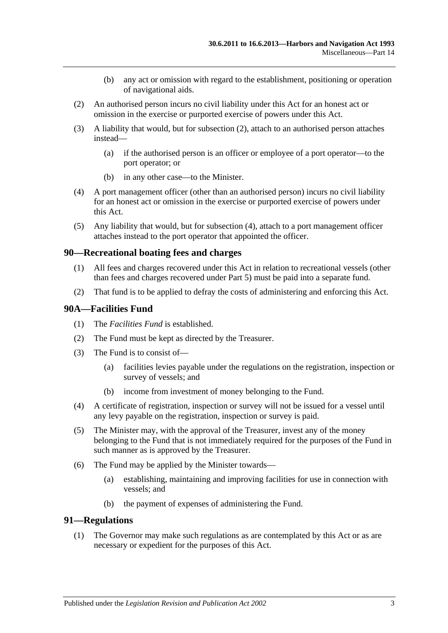- (b) any act or omission with regard to the establishment, positioning or operation of navigational aids.
- <span id="page-76-0"></span>(2) An authorised person incurs no civil liability under this Act for an honest act or omission in the exercise or purported exercise of powers under this Act.
- (3) A liability that would, but for [subsection](#page-76-0) (2), attach to an authorised person attaches instead—
	- (a) if the authorised person is an officer or employee of a port operator—to the port operator; or
	- (b) in any other case—to the Minister.
- <span id="page-76-1"></span>(4) A port management officer (other than an authorised person) incurs no civil liability for an honest act or omission in the exercise or purported exercise of powers under this Act.
- (5) Any liability that would, but for [subsection](#page-76-1) (4), attach to a port management officer attaches instead to the port operator that appointed the officer.

#### **90—Recreational boating fees and charges**

- (1) All fees and charges recovered under this Act in relation to recreational vessels (other than fees and charges recovered under [Part 5\)](#page-24-0) must be paid into a separate fund.
- (2) That fund is to be applied to defray the costs of administering and enforcing this Act.

#### <span id="page-76-2"></span>**90A—Facilities Fund**

- (1) The *Facilities Fund* is established.
- (2) The Fund must be kept as directed by the Treasurer.
- (3) The Fund is to consist of—
	- (a) facilities levies payable under the regulations on the registration, inspection or survey of vessels; and
	- (b) income from investment of money belonging to the Fund.
- (4) A certificate of registration, inspection or survey will not be issued for a vessel until any levy payable on the registration, inspection or survey is paid.
- (5) The Minister may, with the approval of the Treasurer, invest any of the money belonging to the Fund that is not immediately required for the purposes of the Fund in such manner as is approved by the Treasurer.
- (6) The Fund may be applied by the Minister towards—
	- (a) establishing, maintaining and improving facilities for use in connection with vessels; and
	- (b) the payment of expenses of administering the Fund.

#### **91—Regulations**

(1) The Governor may make such regulations as are contemplated by this Act or as are necessary or expedient for the purposes of this Act.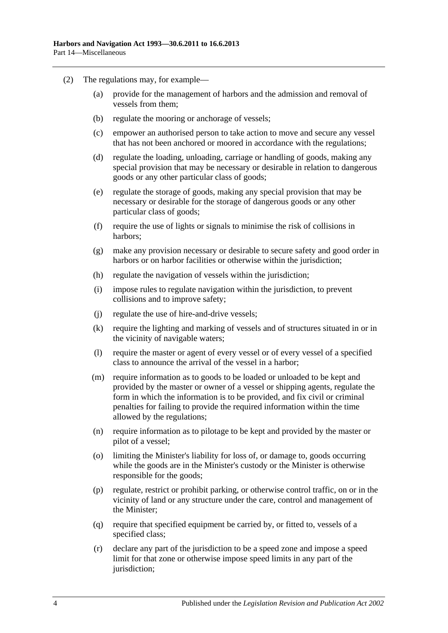- (2) The regulations may, for example—
	- (a) provide for the management of harbors and the admission and removal of vessels from them;
	- (b) regulate the mooring or anchorage of vessels;
	- (c) empower an authorised person to take action to move and secure any vessel that has not been anchored or moored in accordance with the regulations;
	- (d) regulate the loading, unloading, carriage or handling of goods, making any special provision that may be necessary or desirable in relation to dangerous goods or any other particular class of goods;
	- (e) regulate the storage of goods, making any special provision that may be necessary or desirable for the storage of dangerous goods or any other particular class of goods;
	- (f) require the use of lights or signals to minimise the risk of collisions in harbors;
	- (g) make any provision necessary or desirable to secure safety and good order in harbors or on harbor facilities or otherwise within the jurisdiction;
	- (h) regulate the navigation of vessels within the jurisdiction;
	- (i) impose rules to regulate navigation within the jurisdiction, to prevent collisions and to improve safety;
	- (j) regulate the use of hire-and-drive vessels;
	- (k) require the lighting and marking of vessels and of structures situated in or in the vicinity of navigable waters;
	- (l) require the master or agent of every vessel or of every vessel of a specified class to announce the arrival of the vessel in a harbor;
	- (m) require information as to goods to be loaded or unloaded to be kept and provided by the master or owner of a vessel or shipping agents, regulate the form in which the information is to be provided, and fix civil or criminal penalties for failing to provide the required information within the time allowed by the regulations;
	- (n) require information as to pilotage to be kept and provided by the master or pilot of a vessel;
	- (o) limiting the Minister's liability for loss of, or damage to, goods occurring while the goods are in the Minister's custody or the Minister is otherwise responsible for the goods;
	- (p) regulate, restrict or prohibit parking, or otherwise control traffic, on or in the vicinity of land or any structure under the care, control and management of the Minister;
	- (q) require that specified equipment be carried by, or fitted to, vessels of a specified class;
	- (r) declare any part of the jurisdiction to be a speed zone and impose a speed limit for that zone or otherwise impose speed limits in any part of the jurisdiction;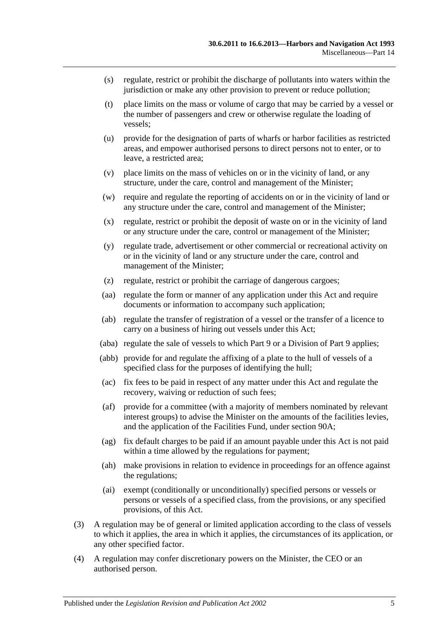- (s) regulate, restrict or prohibit the discharge of pollutants into waters within the jurisdiction or make any other provision to prevent or reduce pollution;
- (t) place limits on the mass or volume of cargo that may be carried by a vessel or the number of passengers and crew or otherwise regulate the loading of vessels;
- (u) provide for the designation of parts of wharfs or harbor facilities as restricted areas, and empower authorised persons to direct persons not to enter, or to leave, a restricted area;
- (v) place limits on the mass of vehicles on or in the vicinity of land, or any structure, under the care, control and management of the Minister;
- (w) require and regulate the reporting of accidents on or in the vicinity of land or any structure under the care, control and management of the Minister;
- (x) regulate, restrict or prohibit the deposit of waste on or in the vicinity of land or any structure under the care, control or management of the Minister;
- (y) regulate trade, advertisement or other commercial or recreational activity on or in the vicinity of land or any structure under the care, control and management of the Minister;
- (z) regulate, restrict or prohibit the carriage of dangerous cargoes;
- (aa) regulate the form or manner of any application under this Act and require documents or information to accompany such application;
- (ab) regulate the transfer of registration of a vessel or the transfer of a licence to carry on a business of hiring out vessels under this Act;
- (aba) regulate the sale of vessels to which [Part 9](#page-44-0) or a Division of [Part 9](#page-44-0) applies;
- (abb) provide for and regulate the affixing of a plate to the hull of vessels of a specified class for the purposes of identifying the hull;
- (ac) fix fees to be paid in respect of any matter under this Act and regulate the recovery, waiving or reduction of such fees;
- (af) provide for a committee (with a majority of members nominated by relevant interest groups) to advise the Minister on the amounts of the facilities levies, and the application of the Facilities Fund, under [section](#page-76-2) 90A;
- (ag) fix default charges to be paid if an amount payable under this Act is not paid within a time allowed by the regulations for payment;
- (ah) make provisions in relation to evidence in proceedings for an offence against the regulations;
- (ai) exempt (conditionally or unconditionally) specified persons or vessels or persons or vessels of a specified class, from the provisions, or any specified provisions, of this Act.
- (3) A regulation may be of general or limited application according to the class of vessels to which it applies, the area in which it applies, the circumstances of its application, or any other specified factor.
- (4) A regulation may confer discretionary powers on the Minister, the CEO or an authorised person.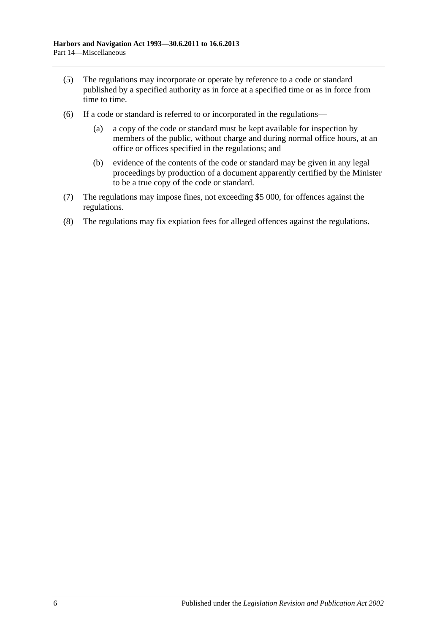- (5) The regulations may incorporate or operate by reference to a code or standard published by a specified authority as in force at a specified time or as in force from time to time.
- (6) If a code or standard is referred to or incorporated in the regulations—
	- (a) a copy of the code or standard must be kept available for inspection by members of the public, without charge and during normal office hours, at an office or offices specified in the regulations; and
	- (b) evidence of the contents of the code or standard may be given in any legal proceedings by production of a document apparently certified by the Minister to be a true copy of the code or standard.
- (7) The regulations may impose fines, not exceeding \$5 000, for offences against the regulations.
- (8) The regulations may fix expiation fees for alleged offences against the regulations.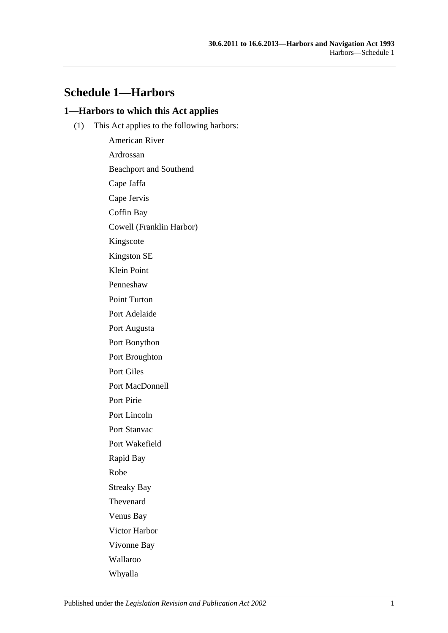# **Schedule 1—Harbors**

### **1—Harbors to which this Act applies**

(1) This Act applies to the following harbors:

American River Ardrossan Beachport and Southend Cape Jaffa Cape Jervis Coffin Bay Cowell (Franklin Harbor) Kingscote Kingston SE Klein Point Penneshaw Point Turton Port Adelaide Port Augusta Port Bonython Port Broughton Port Giles Port MacDonnell Port Pirie Port Lincoln Port Stanvac Port Wakefield Rapid Bay Robe Streaky Bay Thevenard Venus Bay Victor Harbor Vivonne Bay Wallaroo Whyalla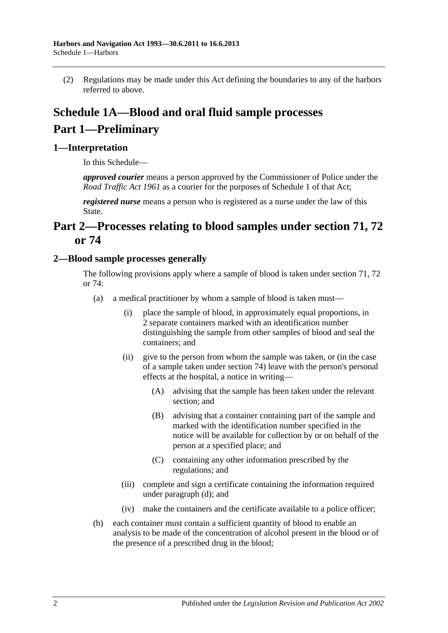(2) Regulations may be made under this Act defining the boundaries to any of the harbors referred to above.

# **Schedule 1A—Blood and oral fluid sample processes Part 1—Preliminary**

# **1—Interpretation**

In this Schedule—

*approved courier* means a person approved by the Commissioner of Police under the *Road [Traffic Act](http://www.legislation.sa.gov.au/index.aspx?action=legref&type=act&legtitle=Road%20Traffic%20Act%201961) 1961* as a courier for the purposes of Schedule 1 of that Act;

*registered nurse* means a person who is registered as a nurse under the law of this State.

# **Part 2—Processes relating to blood samples under [section](#page-54-0) 71, [72](#page-57-0) or [74](#page-66-0)**

### <span id="page-81-0"></span>**2—Blood sample processes generally**

The following provisions apply where a sample of blood is taken under [section](#page-54-0) 71, [72](#page-57-0) or [74:](#page-66-0)

- (a) a medical practitioner by whom a sample of blood is taken must—
	- (i) place the sample of blood, in approximately equal proportions, in 2 separate containers marked with an identification number distinguishing the sample from other samples of blood and seal the containers; and
	- (ii) give to the person from whom the sample was taken, or (in the case of a sample taken under [section](#page-66-0) 74) leave with the person's personal effects at the hospital, a notice in writing—
		- (A) advising that the sample has been taken under the relevant section; and
		- (B) advising that a container containing part of the sample and marked with the identification number specified in the notice will be available for collection by or on behalf of the person at a specified place; and
		- (C) containing any other information prescribed by the regulations; and
	- (iii) complete and sign a certificate containing the information required under [paragraph](#page-82-0) (d); and
	- (iv) make the containers and the certificate available to a police officer;
- (b) each container must contain a sufficient quantity of blood to enable an analysis to be made of the concentration of alcohol present in the blood or of the presence of a prescribed drug in the blood;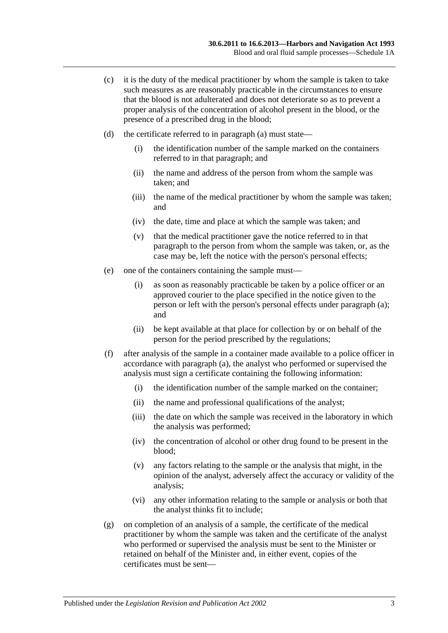- (c) it is the duty of the medical practitioner by whom the sample is taken to take such measures as are reasonably practicable in the circumstances to ensure that the blood is not adulterated and does not deteriorate so as to prevent a proper analysis of the concentration of alcohol present in the blood, or the presence of a prescribed drug in the blood;
- <span id="page-82-0"></span>(d) the certificate referred to in [paragraph](#page-81-0) (a) must state—
	- (i) the identification number of the sample marked on the containers referred to in that paragraph; and
	- (ii) the name and address of the person from whom the sample was taken; and
	- (iii) the name of the medical practitioner by whom the sample was taken; and
	- (iv) the date, time and place at which the sample was taken; and
	- (v) that the medical practitioner gave the notice referred to in that paragraph to the person from whom the sample was taken, or, as the case may be, left the notice with the person's personal effects;
- (e) one of the containers containing the sample must—
	- (i) as soon as reasonably practicable be taken by a police officer or an approved courier to the place specified in the notice given to the person or left with the person's personal effects under [paragraph](#page-81-0) (a); and
	- (ii) be kept available at that place for collection by or on behalf of the person for the period prescribed by the regulations;
- (f) after analysis of the sample in a container made available to a police officer in accordance with [paragraph](#page-81-0) (a), the analyst who performed or supervised the analysis must sign a certificate containing the following information:
	- (i) the identification number of the sample marked on the container;
	- (ii) the name and professional qualifications of the analyst;
	- (iii) the date on which the sample was received in the laboratory in which the analysis was performed;
	- (iv) the concentration of alcohol or other drug found to be present in the blood;
	- (v) any factors relating to the sample or the analysis that might, in the opinion of the analyst, adversely affect the accuracy or validity of the analysis;
	- (vi) any other information relating to the sample or analysis or both that the analyst thinks fit to include;
- (g) on completion of an analysis of a sample, the certificate of the medical practitioner by whom the sample was taken and the certificate of the analyst who performed or supervised the analysis must be sent to the Minister or retained on behalf of the Minister and, in either event, copies of the certificates must be sent—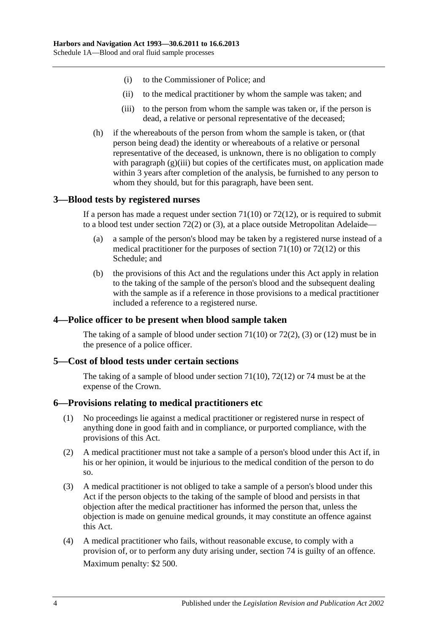- (i) to the Commissioner of Police; and
- (ii) to the medical practitioner by whom the sample was taken; and
- (iii) to the person from whom the sample was taken or, if the person is dead, a relative or personal representative of the deceased;
- <span id="page-83-0"></span>(h) if the whereabouts of the person from whom the sample is taken, or (that person being dead) the identity or whereabouts of a relative or personal representative of the deceased, is unknown, there is no obligation to comply with [paragraph](#page-83-0) (g)(iii) but copies of the certificates must, on application made within 3 years after completion of the analysis, be furnished to any person to whom they should, but for this paragraph, have been sent.

#### **3—Blood tests by registered nurses**

If a person has made a request under [section](#page-55-0)  $71(10)$  or  $72(12)$ , or is required to submit to a blood test under [section](#page-57-1) 72(2) or [\(3\),](#page-57-2) at a place outside Metropolitan Adelaide—

- (a) a sample of the person's blood may be taken by a registered nurse instead of a medical practitioner for the purposes of [section](#page-55-0) 71(10) or [72\(12\)](#page-58-0) or this Schedule; and
- (b) the provisions of this Act and the regulations under this Act apply in relation to the taking of the sample of the person's blood and the subsequent dealing with the sample as if a reference in those provisions to a medical practitioner included a reference to a registered nurse.

### **4—Police officer to be present when blood sample taken**

The taking of a sample of blood under [section](#page-55-0)  $71(10)$  or  $72(2)$ , [\(3\)](#page-57-2) or [\(12\)](#page-58-0) must be in the presence of a police officer.

### **5—Cost of blood tests under certain sections**

The taking of a sample of blood under [section](#page-55-0) 71(10), [72\(12\)](#page-58-0) or [74](#page-66-0) must be at the expense of the Crown.

#### **6—Provisions relating to medical practitioners etc**

- (1) No proceedings lie against a medical practitioner or registered nurse in respect of anything done in good faith and in compliance, or purported compliance, with the provisions of this Act.
- (2) A medical practitioner must not take a sample of a person's blood under this Act if, in his or her opinion, it would be injurious to the medical condition of the person to do so.
- (3) A medical practitioner is not obliged to take a sample of a person's blood under this Act if the person objects to the taking of the sample of blood and persists in that objection after the medical practitioner has informed the person that, unless the objection is made on genuine medical grounds, it may constitute an offence against this Act.
- <span id="page-83-1"></span>(4) A medical practitioner who fails, without reasonable excuse, to comply with a provision of, or to perform any duty arising under, [section](#page-66-0) 74 is guilty of an offence. Maximum penalty: \$2 500.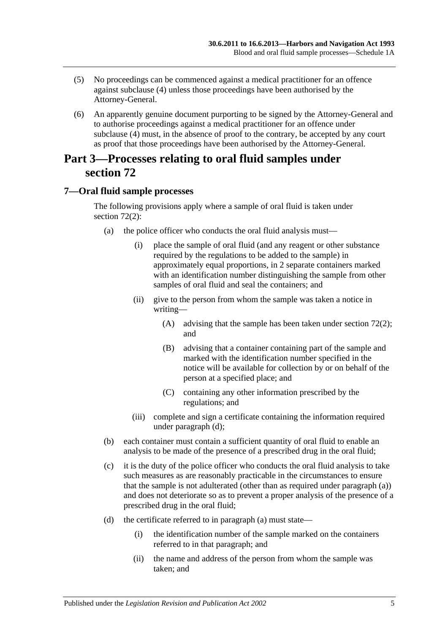- (5) No proceedings can be commenced against a medical practitioner for an offence against [subclause](#page-83-1) (4) unless those proceedings have been authorised by the Attorney-General.
- (6) An apparently genuine document purporting to be signed by the Attorney-General and to authorise proceedings against a medical practitioner for an offence under [subclause](#page-83-1) (4) must, in the absence of proof to the contrary, be accepted by any court as proof that those proceedings have been authorised by the Attorney-General.

# **Part 3—Processes relating to oral fluid samples under [section](#page-57-0) 72**

# <span id="page-84-0"></span>**7—Oral fluid sample processes**

The following provisions apply where a sample of oral fluid is taken under [section](#page-57-1) 72(2):

- (a) the police officer who conducts the oral fluid analysis must—
	- (i) place the sample of oral fluid (and any reagent or other substance required by the regulations to be added to the sample) in approximately equal proportions, in 2 separate containers marked with an identification number distinguishing the sample from other samples of oral fluid and seal the containers; and
	- (ii) give to the person from whom the sample was taken a notice in writing—
		- (A) advising that the sample has been taken under [section](#page-57-1) 72(2); and
		- (B) advising that a container containing part of the sample and marked with the identification number specified in the notice will be available for collection by or on behalf of the person at a specified place; and
		- (C) containing any other information prescribed by the regulations; and
	- (iii) complete and sign a certificate containing the information required under [paragraph](#page-82-0) (d);
- (b) each container must contain a sufficient quantity of oral fluid to enable an analysis to be made of the presence of a prescribed drug in the oral fluid;
- (c) it is the duty of the police officer who conducts the oral fluid analysis to take such measures as are reasonably practicable in the circumstances to ensure that the sample is not adulterated (other than as required under [paragraph](#page-84-0) (a)) and does not deteriorate so as to prevent a proper analysis of the presence of a prescribed drug in the oral fluid;
- (d) the certificate referred to in [paragraph](#page-81-0) (a) must state—
	- (i) the identification number of the sample marked on the containers referred to in that paragraph; and
	- (ii) the name and address of the person from whom the sample was taken; and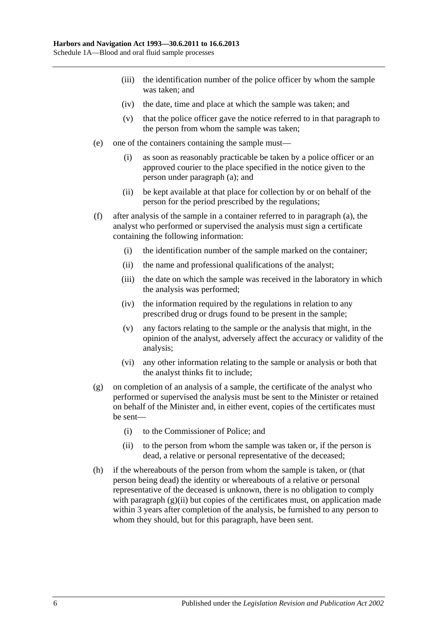- (iii) the identification number of the police officer by whom the sample was taken; and
- (iv) the date, time and place at which the sample was taken; and
- (v) that the police officer gave the notice referred to in that paragraph to the person from whom the sample was taken;
- (e) one of the containers containing the sample must—
	- (i) as soon as reasonably practicable be taken by a police officer or an approved courier to the place specified in the notice given to the person under [paragraph](#page-84-0) (a); and
	- (ii) be kept available at that place for collection by or on behalf of the person for the period prescribed by the regulations;
- (f) after analysis of the sample in a container referred to in [paragraph](#page-84-0) (a), the analyst who performed or supervised the analysis must sign a certificate containing the following information:
	- (i) the identification number of the sample marked on the container;
	- (ii) the name and professional qualifications of the analyst;
	- (iii) the date on which the sample was received in the laboratory in which the analysis was performed;
	- (iv) the information required by the regulations in relation to any prescribed drug or drugs found to be present in the sample;
	- (v) any factors relating to the sample or the analysis that might, in the opinion of the analyst, adversely affect the accuracy or validity of the analysis;
	- (vi) any other information relating to the sample or analysis or both that the analyst thinks fit to include;
- (g) on completion of an analysis of a sample, the certificate of the analyst who performed or supervised the analysis must be sent to the Minister or retained on behalf of the Minister and, in either event, copies of the certificates must be sent—
	- (i) to the Commissioner of Police; and
	- (ii) to the person from whom the sample was taken or, if the person is dead, a relative or personal representative of the deceased;
- <span id="page-85-0"></span>(h) if the whereabouts of the person from whom the sample is taken, or (that person being dead) the identity or whereabouts of a relative or personal representative of the deceased is unknown, there is no obligation to comply with [paragraph](#page-85-0)  $(g)(ii)$  but copies of the certificates must, on application made within 3 years after completion of the analysis, be furnished to any person to whom they should, but for this paragraph, have been sent.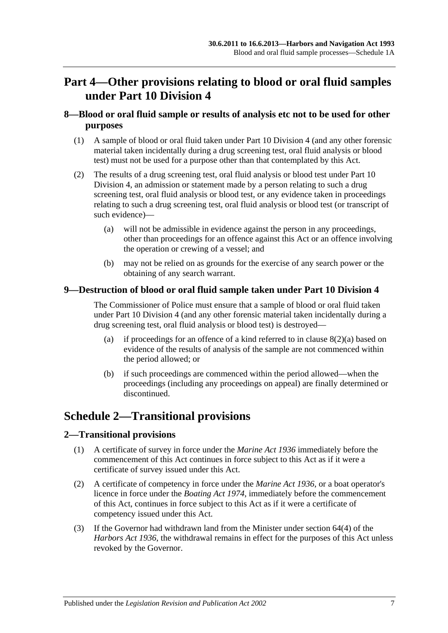# **Part 4—Other provisions relating to blood or oral fluid samples under [Part 10 Division 4](#page-52-0)**

# **8—Blood or oral fluid sample or results of analysis etc not to be used for other purposes**

- (1) A sample of blood or oral fluid taken under [Part 10 Division 4](#page-52-0) (and any other forensic material taken incidentally during a drug screening test, oral fluid analysis or blood test) must not be used for a purpose other than that contemplated by this Act.
- <span id="page-86-0"></span>(2) The results of a drug screening test, oral fluid analysis or blood test under [Part 10](#page-52-0)  [Division 4,](#page-52-0) an admission or statement made by a person relating to such a drug screening test, oral fluid analysis or blood test, or any evidence taken in proceedings relating to such a drug screening test, oral fluid analysis or blood test (or transcript of such evidence)—
	- (a) will not be admissible in evidence against the person in any proceedings, other than proceedings for an offence against this Act or an offence involving the operation or crewing of a vessel; and
	- (b) may not be relied on as grounds for the exercise of any search power or the obtaining of any search warrant.

# **9—Destruction of blood or oral fluid sample taken under [Part 10 Division 4](#page-52-0)**

The Commissioner of Police must ensure that a sample of blood or oral fluid taken under [Part 10 Division 4](#page-52-0) (and any other forensic material taken incidentally during a drug screening test, oral fluid analysis or blood test) is destroyed—

- (a) if proceedings for an offence of a kind referred to in clause  $8(2)(a)$  based on evidence of the results of analysis of the sample are not commenced within the period allowed; or
- (b) if such proceedings are commenced within the period allowed—when the proceedings (including any proceedings on appeal) are finally determined or discontinued.

# **Schedule 2—Transitional provisions**

### **2—Transitional provisions**

- (1) A certificate of survey in force under the *[Marine Act](http://www.legislation.sa.gov.au/index.aspx?action=legref&type=act&legtitle=Marine%20Act%201936) 1936* immediately before the commencement of this Act continues in force subject to this Act as if it were a certificate of survey issued under this Act.
- (2) A certificate of competency in force under the *[Marine Act](http://www.legislation.sa.gov.au/index.aspx?action=legref&type=act&legtitle=Marine%20Act%201936) 1936*, or a boat operator's licence in force under the *[Boating Act](http://www.legislation.sa.gov.au/index.aspx?action=legref&type=act&legtitle=Boating%20Act%201974) 1974*, immediately before the commencement of this Act, continues in force subject to this Act as if it were a certificate of competency issued under this Act.
- (3) If the Governor had withdrawn land from the Minister under section 64(4) of the *[Harbors Act](http://www.legislation.sa.gov.au/index.aspx?action=legref&type=act&legtitle=Harbors%20Act%201936) 1936*, the withdrawal remains in effect for the purposes of this Act unless revoked by the Governor.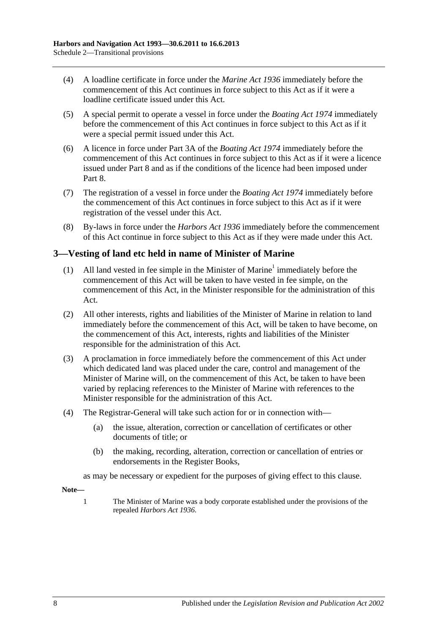- (4) A loadline certificate in force under the *[Marine Act](http://www.legislation.sa.gov.au/index.aspx?action=legref&type=act&legtitle=Marine%20Act%201936) 1936* immediately before the commencement of this Act continues in force subject to this Act as if it were a loadline certificate issued under this Act.
- (5) A special permit to operate a vessel in force under the *[Boating Act](http://www.legislation.sa.gov.au/index.aspx?action=legref&type=act&legtitle=Boating%20Act%201974) 1974* immediately before the commencement of this Act continues in force subject to this Act as if it were a special permit issued under this Act.
- (6) A licence in force under Part 3A of the *[Boating Act](http://www.legislation.sa.gov.au/index.aspx?action=legref&type=act&legtitle=Boating%20Act%201974) 1974* immediately before the commencement of this Act continues in force subject to this Act as if it were a licence issued under [Part 8](#page-42-0) and as if the conditions of the licence had been imposed under [Part](#page-42-0) 8.
- (7) The registration of a vessel in force under the *[Boating Act](http://www.legislation.sa.gov.au/index.aspx?action=legref&type=act&legtitle=Boating%20Act%201974) 1974* immediately before the commencement of this Act continues in force subject to this Act as if it were registration of the vessel under this Act.
- (8) By-laws in force under the *[Harbors Act](http://www.legislation.sa.gov.au/index.aspx?action=legref&type=act&legtitle=Harbors%20Act%201936) 1936* immediately before the commencement of this Act continue in force subject to this Act as if they were made under this Act.

# **3—Vesting of land etc held in name of Minister of Marine**

- (1) All land vested in fee simple in the Minister of Marine<sup>1</sup> immediately before the commencement of this Act will be taken to have vested in fee simple, on the commencement of this Act, in the Minister responsible for the administration of this Act.
- (2) All other interests, rights and liabilities of the Minister of Marine in relation to land immediately before the commencement of this Act, will be taken to have become, on the commencement of this Act, interests, rights and liabilities of the Minister responsible for the administration of this Act.
- (3) A proclamation in force immediately before the commencement of this Act under which dedicated land was placed under the care, control and management of the Minister of Marine will, on the commencement of this Act, be taken to have been varied by replacing references to the Minister of Marine with references to the Minister responsible for the administration of this Act.
- (4) The Registrar-General will take such action for or in connection with—
	- (a) the issue, alteration, correction or cancellation of certificates or other documents of title; or
	- (b) the making, recording, alteration, correction or cancellation of entries or endorsements in the Register Books,

as may be necessary or expedient for the purposes of giving effect to this clause.

**Note—**

1 The Minister of Marine was a body corporate established under the provisions of the repealed *[Harbors Act](http://www.legislation.sa.gov.au/index.aspx?action=legref&type=act&legtitle=Harbors%20Act%201936) 1936*.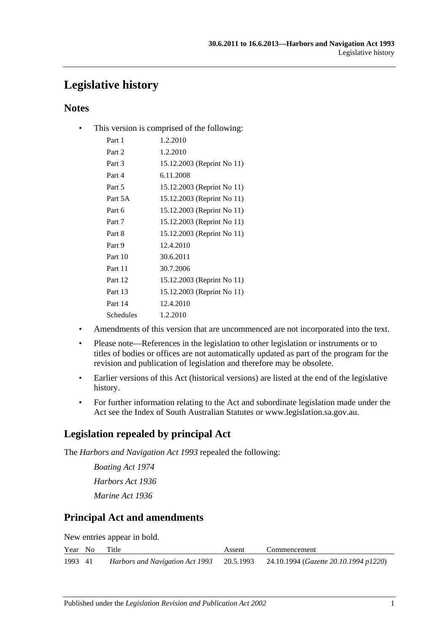# **Legislative history**

# **Notes**

• This version is comprised of the following:

| Part 1    | 1.2.2010                   |
|-----------|----------------------------|
| Part 2    | 1.2.2010                   |
| Part 3    | 15.12.2003 (Reprint No 11) |
| Part 4    | 6.11.2008                  |
| Part 5    | 15.12.2003 (Reprint No 11) |
| Part 5A   | 15.12.2003 (Reprint No 11) |
| Part 6    | 15.12.2003 (Reprint No 11) |
| Part 7    | 15.12.2003 (Reprint No 11) |
| Part 8    | 15.12.2003 (Reprint No 11) |
| Part 9    | 12.4.2010                  |
| Part 10   | 30.6.2011                  |
| Part 11   | 30.7.2006                  |
| Part 12   | 15.12.2003 (Reprint No 11) |
| Part 13   | 15.12.2003 (Reprint No 11) |
| Part 14   | 12.4.2010                  |
| Schedules | 1.2.2010                   |
|           |                            |

- Amendments of this version that are uncommenced are not incorporated into the text.
- Please note—References in the legislation to other legislation or instruments or to titles of bodies or offices are not automatically updated as part of the program for the revision and publication of legislation and therefore may be obsolete.
- Earlier versions of this Act (historical versions) are listed at the end of the legislative history.
- For further information relating to the Act and subordinate legislation made under the Act see the Index of South Australian Statutes or www.legislation.sa.gov.au.

# **Legislation repealed by principal Act**

The *Harbors and Navigation Act 1993* repealed the following:

*Boating Act 1974 Harbors Act 1936 Marine Act 1936*

# **Principal Act and amendments**

New entries appear in bold.

| Year No | Title | Assent | Commencement                                                                    |
|---------|-------|--------|---------------------------------------------------------------------------------|
| 1993 41 |       |        | Harbors and Navigation Act 1993 20.5.1993 24.10.1994 (Gazette 20.10.1994 p1220) |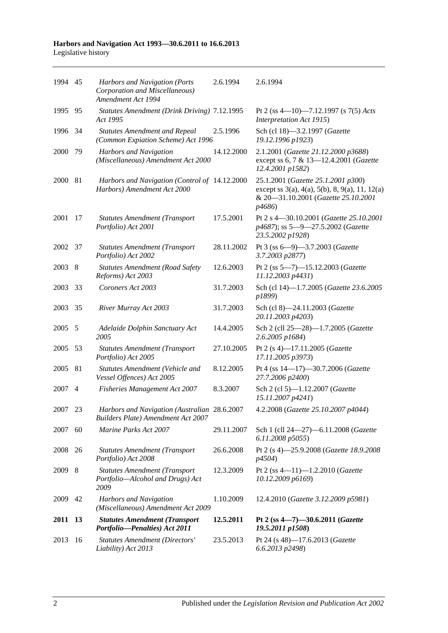#### **Harbors and Navigation Act 1993—30.6.2011 to 16.6.2013** Legislative history

| 1994 45 |     | Harbors and Navigation (Ports<br>Corporation and Miscellaneous)<br>Amendment Act 1994     | 2.6.1994   | 2.6.1994                                                                                                                                                  |
|---------|-----|-------------------------------------------------------------------------------------------|------------|-----------------------------------------------------------------------------------------------------------------------------------------------------------|
| 1995    | 95  | Statutes Amendment (Drink Driving) 7.12.1995<br>Act 1995                                  |            | Pt 2 (ss 4-10)-7.12.1997 (s 7(5) Acts<br>Interpretation Act 1915)                                                                                         |
| 1996    | 34  | <b>Statutes Amendment and Repeal</b><br>(Common Expiation Scheme) Act 1996                | 2.5.1996   | Sch (cl 18)-3.2.1997 (Gazette<br>19.12.1996 p1923)                                                                                                        |
| 2000    | 79  | Harbors and Navigation<br>(Miscellaneous) Amendment Act 2000                              | 14.12.2000 | 2.1.2001 (Gazette 21.12.2000 p3688)<br>except ss 6, 7 & 13-12.4.2001 (Gazette<br>12.4.2001 p1582)                                                         |
| 2000    | 81  | Harbors and Navigation (Control of 14.12.2000<br>Harbors) Amendment Act 2000              |            | 25.1.2001 (Gazette 25.1.2001 p300)<br>except ss $3(a)$ , $4(a)$ , $5(b)$ , $8$ , $9(a)$ , $11$ , $12(a)$<br>& 20-31.10.2001 (Gazette 25.10.2001<br>p4686) |
| 2001    | 17  | <b>Statutes Amendment (Transport</b><br>Portfolio) Act 2001                               | 17.5.2001  | Pt 2 s 4-30.10.2001 (Gazette 25.10.2001<br>p4687); ss 5-9-27.5.2002 (Gazette<br>23.5.2002 p1928)                                                          |
| 2002    | 37  | <b>Statutes Amendment (Transport</b><br>Portfolio) Act 2002                               | 28.11.2002 | Pt 3 (ss 6-9)-3.7.2003 (Gazette<br>3.7.2003 p2877)                                                                                                        |
| 2003    | - 8 | <b>Statutes Amendment (Road Safety</b><br>Reforms) Act 2003                               | 12.6.2003  | Pt 2 (ss 5-7)-15.12.2003 (Gazette<br>11.12.2003 p4431)                                                                                                    |
| 2003    | 33  | Coroners Act 2003                                                                         | 31.7.2003  | Sch (cl 14)-1.7.2005 (Gazette 23.6.2005<br>p1899)                                                                                                         |
| 2003    | 35  | River Murray Act 2003                                                                     | 31.7.2003  | Sch (cl 8)-24.11.2003 (Gazette<br>20.11.2003 p4203)                                                                                                       |
| 2005    | 5   | Adelaide Dolphin Sanctuary Act<br>2005                                                    | 14.4.2005  | Sch 2 (cll 25-28)-1.7.2005 (Gazette<br>2.6.2005 p1684)                                                                                                    |
| 2005    | 53  | <b>Statutes Amendment (Transport</b><br>Portfolio) Act 2005                               | 27.10.2005 | Pt 2 (s 4)-17.11.2005 (Gazette<br>17.11.2005 p3973)                                                                                                       |
| 2005    | 81  | Statutes Amendment (Vehicle and<br>Vessel Offences) Act 2005                              | 8.12.2005  | Pt 4 (ss 14-17)-30.7.2006 (Gazette<br>27.7.2006 p2400)                                                                                                    |
| 2007    | 4   | Fisheries Management Act 2007                                                             | 8.3.2007   | Sch 2 (cl 5)-1.12.2007 (Gazette<br>15.11.2007 p4241)                                                                                                      |
| 2007    | 23  | Harbors and Navigation (Australian 28.6.2007<br><b>Builders Plate) Amendment Act 2007</b> |            | 4.2.2008 (Gazette 25.10.2007 p4044)                                                                                                                       |
| 2007    | 60  | Marine Parks Act 2007                                                                     | 29.11.2007 | Sch 1 (cll 24-27)-6.11.2008 (Gazette<br>6.11.2008 p5055)                                                                                                  |
| 2008    | 26  | <b>Statutes Amendment (Transport</b><br>Portfolio) Act 2008                               | 26.6.2008  | Pt 2 (s 4)-25.9.2008 (Gazette 18.9.2008<br>p4504)                                                                                                         |
| 2009    | 8   | <b>Statutes Amendment (Transport</b><br>Portfolio-Alcohol and Drugs) Act<br>2009          | 12.3.2009  | Pt 2 (ss 4-11)-1.2.2010 (Gazette<br>10.12.2009 p6169)                                                                                                     |
| 2009    | 42  | <b>Harbors and Navigation</b><br>(Miscellaneous) Amendment Act 2009                       | 1.10.2009  | 12.4.2010 (Gazette 3.12.2009 p5981)                                                                                                                       |
| 2011    | 13  | <b>Statutes Amendment (Transport</b><br>Portfolio-Penalties) Act 2011                     | 12.5.2011  | Pt 2 (ss 4-7)-30.6.2011 (Gazette<br>19.5.2011 p1508)                                                                                                      |
| 2013    | 16  | <b>Statutes Amendment (Directors'</b><br>Liability) Act 2013                              | 23.5.2013  | Pt 24 (s 48)-17.6.2013 (Gazette<br>6.6.2013 p2498)                                                                                                        |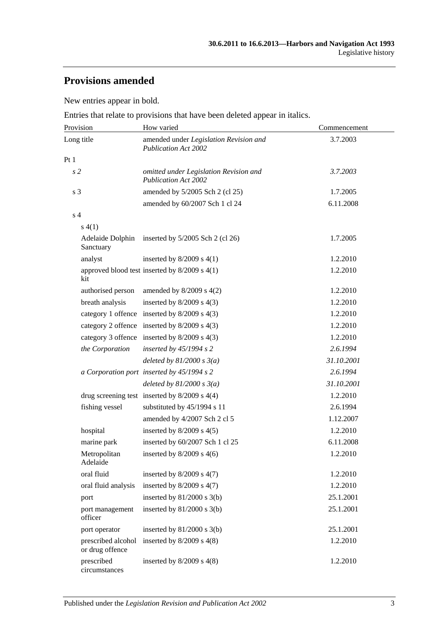# **Provisions amended**

New entries appear in bold.

Entries that relate to provisions that have been deleted appear in italics.

| Provision                             | How varied                                                            | Commencement |
|---------------------------------------|-----------------------------------------------------------------------|--------------|
| Long title                            | amended under Legislation Revision and<br><b>Publication Act 2002</b> | 3.7.2003     |
| Pt1                                   |                                                                       |              |
| s <sub>2</sub>                        | omitted under Legislation Revision and<br><b>Publication Act 2002</b> | 3.7.2003     |
| s 3                                   | amended by 5/2005 Sch 2 (cl 25)                                       | 1.7.2005     |
|                                       | amended by 60/2007 Sch 1 cl 24                                        | 6.11.2008    |
| s <sub>4</sub>                        |                                                                       |              |
| s(4(1))                               |                                                                       |              |
| Sanctuary                             | Adelaide Dolphin inserted by 5/2005 Sch 2 (cl 26)                     | 1.7.2005     |
| analyst                               | inserted by $8/2009$ s $4(1)$                                         | 1.2.2010     |
| kit                                   | approved blood test inserted by $8/2009$ s $4(1)$                     | 1.2.2010     |
| authorised person                     | amended by $8/2009$ s $4(2)$                                          | 1.2.2010     |
| breath analysis                       | inserted by $8/2009$ s $4(3)$                                         | 1.2.2010     |
|                                       | category 1 offence inserted by 8/2009 s 4(3)                          | 1.2.2010     |
|                                       | category 2 offence inserted by 8/2009 s 4(3)                          | 1.2.2010     |
|                                       | category 3 offence inserted by 8/2009 s 4(3)                          | 1.2.2010     |
| the Corporation                       | inserted by $45/1994 s 2$                                             | 2.6.1994     |
|                                       | deleted by $81/2000 s 3(a)$                                           | 31.10.2001   |
|                                       | a Corporation port inserted by 45/1994 s 2                            | 2.6.1994     |
|                                       | deleted by $81/2000 s 3(a)$                                           | 31.10.2001   |
|                                       | drug screening test inserted by $8/2009$ s $4(4)$                     | 1.2.2010     |
| fishing vessel                        | substituted by 45/1994 s 11                                           | 2.6.1994     |
|                                       | amended by 4/2007 Sch 2 cl 5                                          | 1.12.2007    |
| hospital                              | inserted by $8/2009$ s $4(5)$                                         | 1.2.2010     |
| marine park                           | inserted by 60/2007 Sch 1 cl 25                                       | 6.11.2008    |
| Metropolitan<br>Adelaide              | inserted by $8/2009$ s $4(6)$                                         | 1.2.2010     |
| oral fluid                            | inserted by $8/2009$ s $4(7)$                                         | 1.2.2010     |
| oral fluid analysis                   | inserted by $8/2009$ s $4(7)$                                         | 1.2.2010     |
| port                                  | inserted by $81/2000$ s $3(b)$                                        | 25.1.2001    |
| port management<br>officer            | inserted by $81/2000$ s $3(b)$                                        | 25.1.2001    |
| port operator                         | inserted by $81/2000$ s $3(b)$                                        | 25.1.2001    |
| prescribed alcohol<br>or drug offence | inserted by $8/2009$ s $4(8)$                                         | 1.2.2010     |
| prescribed<br>circumstances           | inserted by $8/2009$ s $4(8)$                                         | 1.2.2010     |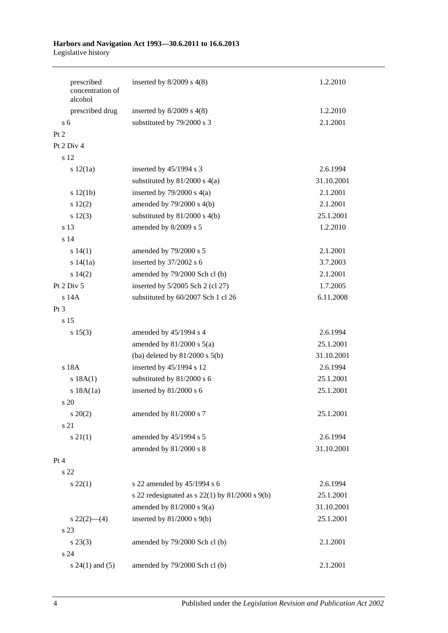#### **Harbors and Navigation Act 1993—30.6.2011 to 16.6.2013** Legislative history

| prescribed<br>concentration of | inserted by $8/2009$ s $4(8)$                        | 1.2.2010   |
|--------------------------------|------------------------------------------------------|------------|
| alcohol                        |                                                      |            |
| prescribed drug                | inserted by $8/2009$ s $4(8)$                        | 1.2.2010   |
| $\overline{s}$ 6               | substituted by 79/2000 s 3                           | 2.1.2001   |
| Pt 2                           |                                                      |            |
| Pt 2 Div 4                     |                                                      |            |
| s 12                           |                                                      |            |
| s 12(1a)                       | inserted by $45/1994$ s 3                            | 2.6.1994   |
|                                | substituted by $81/2000$ s $4(a)$                    | 31.10.2001 |
| s 12(1b)                       | inserted by $79/2000$ s $4(a)$                       | 2.1.2001   |
| 12(2)                          | amended by $79/2000$ s $4(b)$                        | 2.1.2001   |
| s 12(3)                        | substituted by $81/2000$ s $4(b)$                    | 25.1.2001  |
| s 13                           | amended by 8/2009 s 5                                | 1.2.2010   |
| s <sub>14</sub>                |                                                      |            |
| s 14(1)                        | amended by 79/2000 s 5                               | 2.1.2001   |
| s 14(1a)                       | inserted by 37/2002 s 6                              | 3.7.2003   |
| s 14(2)                        | amended by 79/2000 Sch cl (b)                        | 2.1.2001   |
| Pt 2 Div 5                     | inserted by 5/2005 Sch 2 (cl 27)                     | 1.7.2005   |
| s 14A                          | substituted by 60/2007 Sch 1 cl 26                   | 6.11.2008  |
| Pt 3                           |                                                      |            |
| s <sub>15</sub>                |                                                      |            |
| s 15(3)                        | amended by 45/1994 s 4                               | 2.6.1994   |
|                                | amended by $81/2000$ s $5(a)$                        | 25.1.2001  |
|                                | (ba) deleted by $81/2000$ s $5(b)$                   | 31.10.2001 |
| s 18A                          | inserted by 45/1994 s 12                             | 2.6.1994   |
| s 18A(1)                       | substituted by 81/2000 s 6                           | 25.1.2001  |
| s 18A(1a)                      | inserted by 81/2000 s 6                              | 25.1.2001  |
| s <sub>20</sub>                |                                                      |            |
| $s \ 20(2)$                    | amended by 81/2000 s 7                               | 25.1.2001  |
| s 21                           |                                                      |            |
| $s \, 21(1)$                   | amended by 45/1994 s 5                               | 2.6.1994   |
|                                | amended by 81/2000 s 8                               | 31.10.2001 |
| Pt 4                           |                                                      |            |
| s 22                           |                                                      |            |
| $s\ 22(1)$                     | s 22 amended by 45/1994 s 6                          | 2.6.1994   |
|                                | s 22 redesignated as s $22(1)$ by $81/2000$ s $9(b)$ | 25.1.2001  |
|                                | amended by $81/2000$ s $9(a)$                        | 31.10.2001 |
| $s\,22(2)$ —(4)                | inserted by $81/2000$ s $9(b)$                       | 25.1.2001  |
| s 23                           |                                                      |            |
| $s\,23(3)$                     | amended by 79/2000 Sch cl (b)                        | 2.1.2001   |
| s 24                           |                                                      |            |
| $s 24(1)$ and $(5)$            | amended by 79/2000 Sch cl (b)                        | 2.1.2001   |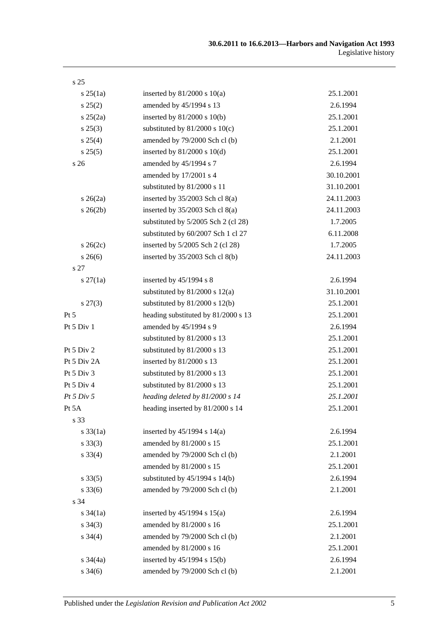| s <sub>25</sub>   |                                     |            |
|-------------------|-------------------------------------|------------|
| $s \, 25(1a)$     | inserted by $81/2000$ s $10(a)$     | 25.1.2001  |
| $s\,25(2)$        | amended by 45/1994 s 13             | 2.6.1994   |
| $s \, 25(2a)$     | inserted by $81/2000$ s $10(b)$     | 25.1.2001  |
| $s\,25(3)$        | substituted by $81/2000$ s $10(c)$  | 25.1.2001  |
| s 25(4)           | amended by 79/2000 Sch cl (b)       | 2.1.2001   |
| s 25(5)           | inserted by $81/2000$ s $10(d)$     | 25.1.2001  |
| s <sub>26</sub>   | amended by 45/1994 s 7              | 2.6.1994   |
|                   | amended by 17/2001 s 4              | 30.10.2001 |
|                   | substituted by 81/2000 s 11         | 31.10.2001 |
| $s \; 26(2a)$     | inserted by $35/2003$ Sch cl $8(a)$ | 24.11.2003 |
| $s \; 26(2b)$     | inserted by $35/2003$ Sch cl $8(a)$ | 24.11.2003 |
|                   | substituted by 5/2005 Sch 2 (cl 28) | 1.7.2005   |
|                   | substituted by 60/2007 Sch 1 cl 27  | 6.11.2008  |
| $s \, 26(2c)$     | inserted by 5/2005 Sch 2 (cl 28)    | 1.7.2005   |
| $s \, 26(6)$      | inserted by 35/2003 Sch cl 8(b)     | 24.11.2003 |
| s 27              |                                     |            |
| $s \, 27(1a)$     | inserted by $45/1994$ s 8           | 2.6.1994   |
|                   | substituted by $81/2000$ s $12(a)$  | 31.10.2001 |
| $s\,27(3)$        | substituted by $81/2000$ s $12(b)$  | 25.1.2001  |
| Pt 5              | heading substituted by 81/2000 s 13 | 25.1.2001  |
| Pt 5 Div 1        | amended by 45/1994 s 9              | 2.6.1994   |
|                   | substituted by 81/2000 s 13         | 25.1.2001  |
| Pt 5 Div 2        | substituted by 81/2000 s 13         | 25.1.2001  |
| Pt 5 Div 2A       | inserted by 81/2000 s 13            | 25.1.2001  |
| Pt 5 Div 3        | substituted by 81/2000 s 13         | 25.1.2001  |
| Pt $5$ Div $4$    | substituted by 81/2000 s 13         | 25.1.2001  |
| Pt 5 Div 5        | heading deleted by 81/2000 s 14     | 25.1.2001  |
| Pt 5A             | heading inserted by 81/2000 s 14    | 25.1.2001  |
| s 33              |                                     |            |
| $s \, 33(1a)$     | inserted by $45/1994$ s $14(a)$     | 2.6.1994   |
| $s \, 33(3)$      | amended by 81/2000 s 15             | 25.1.2001  |
| $s \, 33(4)$      | amended by 79/2000 Sch cl (b)       | 2.1.2001   |
|                   | amended by 81/2000 s 15             | 25.1.2001  |
| $s \, 33(5)$      | substituted by $45/1994$ s $14(b)$  | 2.6.1994   |
| $s \, 33(6)$      | amended by 79/2000 Sch cl (b)       | 2.1.2001   |
| s 34              |                                     |            |
| $s \frac{34}{1a}$ | inserted by $45/1994$ s $15(a)$     | 2.6.1994   |
| $s \; 34(3)$      | amended by 81/2000 s 16             | 25.1.2001  |
| $s \; 34(4)$      | amended by 79/2000 Sch cl (b)       | 2.1.2001   |
|                   | amended by 81/2000 s 16             | 25.1.2001  |
| $s \frac{34}{4a}$ | inserted by $45/1994$ s $15(b)$     | 2.6.1994   |
| $s \, 34(6)$      | amended by 79/2000 Sch cl (b)       | 2.1.2001   |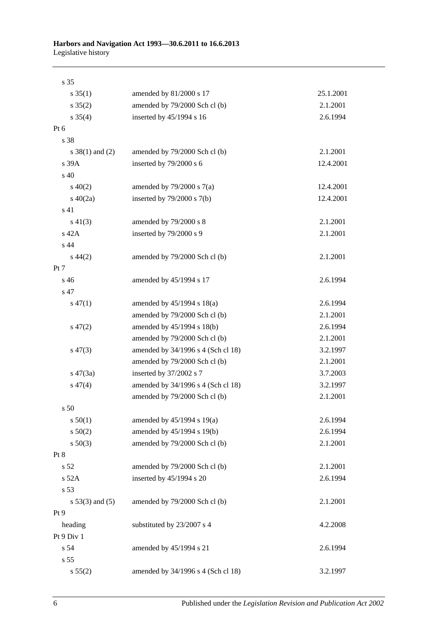| s 35                |                                    |           |
|---------------------|------------------------------------|-----------|
| $s \, 35(1)$        | amended by 81/2000 s 17            | 25.1.2001 |
| $s \; 35(2)$        | amended by 79/2000 Sch cl (b)      | 2.1.2001  |
| $s \; 35(4)$        | inserted by 45/1994 s 16           | 2.6.1994  |
| Pt 6                |                                    |           |
| s 38                |                                    |           |
| s $38(1)$ and $(2)$ | amended by 79/2000 Sch cl (b)      | 2.1.2001  |
| s 39A               | inserted by 79/2000 s 6            | 12.4.2001 |
| s 40                |                                    |           |
| $s\ 40(2)$          | amended by $79/2000$ s $7(a)$      | 12.4.2001 |
| $s\ 40(2a)$         | inserted by $79/2000$ s $7(b)$     | 12.4.2001 |
| s 41                |                                    |           |
| $s\ 41(3)$          | amended by 79/2000 s 8             | 2.1.2001  |
| s 42A               | inserted by 79/2000 s 9            | 2.1.2001  |
| s 44                |                                    |           |
| $s\,44(2)$          | amended by 79/2000 Sch cl (b)      | 2.1.2001  |
| Pt 7                |                                    |           |
| s 46                | amended by 45/1994 s 17            | 2.6.1994  |
| s 47                |                                    |           |
| $s\,47(1)$          | amended by $45/1994$ s $18(a)$     | 2.6.1994  |
|                     | amended by 79/2000 Sch cl (b)      | 2.1.2001  |
| $s\,47(2)$          | amended by 45/1994 s 18(b)         | 2.6.1994  |
|                     | amended by 79/2000 Sch cl (b)      | 2.1.2001  |
| $s\,47(3)$          | amended by 34/1996 s 4 (Sch cl 18) | 3.2.1997  |
|                     | amended by 79/2000 Sch cl (b)      | 2.1.2001  |
| $s\ 47(3a)$         | inserted by 37/2002 s 7            | 3.7.2003  |
| $s\,47(4)$          | amended by 34/1996 s 4 (Sch cl 18) | 3.2.1997  |
|                     | amended by 79/2000 Sch cl (b)      | 2.1.2001  |
| s 50                |                                    |           |
| s 50(1)             | amended by $45/1994$ s 19(a)       | 2.6.1994  |
| s 50(2)             | amended by 45/1994 s 19(b)         | 2.6.1994  |
| $s\ 50(3)$          | amended by 79/2000 Sch cl (b)      | 2.1.2001  |
| Pt 8                |                                    |           |
| s 52                | amended by 79/2000 Sch cl (b)      | 2.1.2001  |
| $s$ 52A             | inserted by 45/1994 s 20           | 2.6.1994  |
| s 53                |                                    |           |
| $s 53(3)$ and $(5)$ | amended by 79/2000 Sch cl (b)      | 2.1.2001  |
| Pt 9                |                                    |           |
| heading             | substituted by 23/2007 s 4         | 4.2.2008  |
| Pt 9 Div 1          |                                    |           |
| s 54                | amended by 45/1994 s 21            | 2.6.1994  |
| s 55                |                                    |           |
| s 55(2)             | amended by 34/1996 s 4 (Sch cl 18) | 3.2.1997  |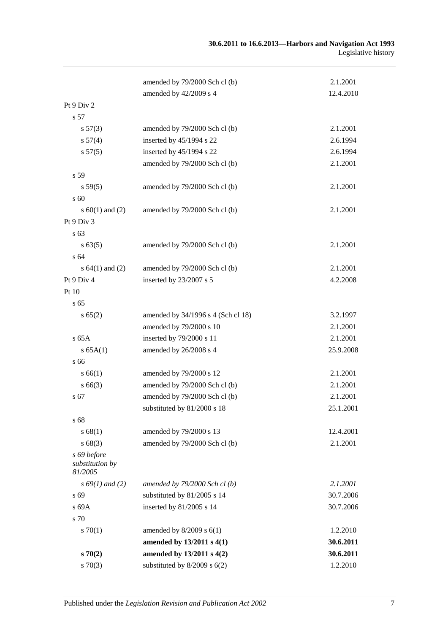|                                           | amended by 79/2000 Sch cl (b)      | 2.1.2001  |
|-------------------------------------------|------------------------------------|-----------|
|                                           | amended by 42/2009 s 4             | 12.4.2010 |
| Pt 9 Div 2                                |                                    |           |
| s 57                                      |                                    |           |
| s 57(3)                                   | amended by 79/2000 Sch cl (b)      | 2.1.2001  |
| s 57(4)                                   | inserted by 45/1994 s 22           | 2.6.1994  |
| s 57(5)                                   | inserted by 45/1994 s 22           | 2.6.1994  |
|                                           | amended by 79/2000 Sch cl (b)      | 2.1.2001  |
| s 59                                      |                                    |           |
| s 59(5)                                   | amended by 79/2000 Sch cl (b)      | 2.1.2001  |
| s 60                                      |                                    |           |
| s $60(1)$ and $(2)$                       | amended by 79/2000 Sch cl (b)      | 2.1.2001  |
| Pt 9 Div 3                                |                                    |           |
| s 63                                      |                                    |           |
| s 63(5)                                   | amended by 79/2000 Sch cl (b)      | 2.1.2001  |
| s 64                                      |                                    |           |
| s $64(1)$ and $(2)$                       | amended by 79/2000 Sch cl (b)      | 2.1.2001  |
| Pt 9 Div 4                                | inserted by 23/2007 s 5            | 4.2.2008  |
| Pt 10                                     |                                    |           |
| s <sub>65</sub>                           |                                    |           |
| s 65(2)                                   | amended by 34/1996 s 4 (Sch cl 18) | 3.2.1997  |
|                                           | amended by 79/2000 s 10            | 2.1.2001  |
| $s$ 65A                                   | inserted by 79/2000 s 11           | 2.1.2001  |
| s 65A(1)                                  | amended by 26/2008 s 4             | 25.9.2008 |
| s 66                                      |                                    |           |
| s 66(1)                                   | amended by 79/2000 s 12            | 2.1.2001  |
| $s\,66(3)$                                | amended by 79/2000 Sch cl (b)      | 2.1.2001  |
| s 67                                      | amended by 79/2000 Sch cl (b)      | 2.1.2001  |
|                                           | substituted by 81/2000 s 18        | 25.1.2001 |
| s 68                                      |                                    |           |
| s 68(1)                                   | amended by 79/2000 s 13            | 12.4.2001 |
| s68(3)                                    | amended by 79/2000 Sch cl (b)      | 2.1.2001  |
| s 69 before<br>substitution by<br>81/2005 |                                    |           |
| $s\,69(1)$ and (2)                        | amended by $79/2000$ Sch cl(b)     | 2.1.2001  |
| s 69                                      | substituted by 81/2005 s 14        | 30.7.2006 |
| s 69A                                     | inserted by 81/2005 s 14           | 30.7.2006 |
| s 70                                      |                                    |           |
| 570(1)                                    | amended by $8/2009$ s $6(1)$       | 1.2.2010  |
|                                           | amended by 13/2011 s 4(1)          | 30.6.2011 |
| s70(2)                                    | amended by 13/2011 s 4(2)          | 30.6.2011 |
| $s \, 70(3)$                              | substituted by $8/2009$ s $6(2)$   | 1.2.2010  |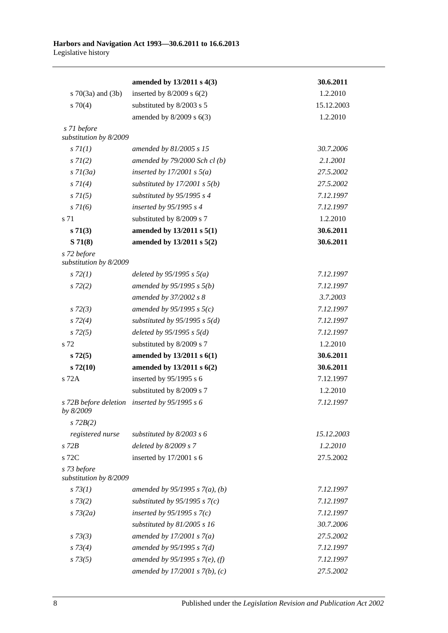|                                       | amended by $13/2011 s 4(3)$       | 30.6.2011  |
|---------------------------------------|-----------------------------------|------------|
| s $70(3a)$ and $(3b)$                 | inserted by $8/2009$ s $6(2)$     | 1.2.2010   |
| $s \, 70(4)$                          | substituted by 8/2003 s 5         | 15.12.2003 |
|                                       | amended by $8/2009$ s $6(3)$      | 1.2.2010   |
| s 71 before                           |                                   |            |
| substitution by 8/2009                |                                   |            |
| s 7l(1)                               | amended by 81/2005 s 15           | 30.7.2006  |
| $s \, 7I(2)$                          | amended by $79/2000$ Sch cl(b)    | 2.1.2001   |
| $s \, 7l(3a)$                         | inserted by $17/2001$ s $5(a)$    | 27.5.2002  |
| $s \, 7l(4)$                          | substituted by $17/2001$ s $5(b)$ | 27.5.2002  |
| $s \, 71(5)$                          | substituted by 95/1995 s 4        | 7.12.1997  |
| $s \, 71(6)$                          | inserted by $95/1995 s 4$         | 7.12.1997  |
| s 71                                  | substituted by 8/2009 s 7         | 1.2.2010   |
| s 71(3)                               | amended by 13/2011 s 5(1)         | 30.6.2011  |
| S71(8)                                | amended by 13/2011 s 5(2)         | 30.6.2011  |
| s 72 before<br>substitution by 8/2009 |                                   |            |
| $s\,72(1)$                            | deleted by $95/1995 s 5(a)$       | 7.12.1997  |
| $s\,72(2)$                            | amended by $95/1995 s 5(b)$       | 7.12.1997  |
|                                       | amended by 37/2002 s 8            | 3.7.2003   |
| $s\,72(3)$                            | amended by 95/1995 s $5(c)$       | 7.12.1997  |
| $s\,72(4)$                            | substituted by $95/1995$ s $5(d)$ | 7.12.1997  |
| $s\,72(5)$                            | deleted by $95/1995 s 5(d)$       | 7.12.1997  |
| s 72                                  | substituted by 8/2009 s 7         | 1.2.2010   |
| $s\,72(5)$                            | amended by 13/2011 s 6(1)         | 30.6.2011  |
| $s\,72(10)$                           | amended by 13/2011 s 6(2)         | 30.6.2011  |
| s 72A                                 | inserted by $95/1995$ s 6         | 7.12.1997  |
|                                       | substituted by 8/2009 s 7         | 1.2.2010   |
| s 72B before deletion<br>by 8/2009    | inserted by $95/1995 s 6$         | 7.12.1997  |
| $s$ 72 $B(2)$                         |                                   |            |
| registered nurse                      | substituted by $8/2003$ s 6       | 15.12.2003 |
| $s$ 72 $B$                            | deleted by 8/2009 s 7             | 1.2.2010   |
| s 72C                                 | inserted by $17/2001$ s 6         | 27.5.2002  |
| s 73 before<br>substitution by 8/2009 |                                   |            |
| s 73(1)                               | amended by 95/1995 s $7(a)$ , (b) | 7.12.1997  |
| $s \, 73(2)$                          | substituted by $95/1995$ s $7(c)$ | 7.12.1997  |
| $s \, 73(2a)$                         | inserted by $95/1995$ s $7(c)$    | 7.12.1997  |
|                                       | substituted by $81/2005$ s 16     | 30.7.2006  |
| $s \, 73(3)$                          | amended by $17/2001 s 7(a)$       | 27.5.2002  |
| $s \, 73(4)$                          | amended by $95/1995 s 7(d)$       | 7.12.1997  |
| $s \, 73(5)$                          | amended by 95/1995 s 7(e), (f)    | 7.12.1997  |
|                                       | amended by $17/2001 s 7(b)$ , (c) | 27.5.2002  |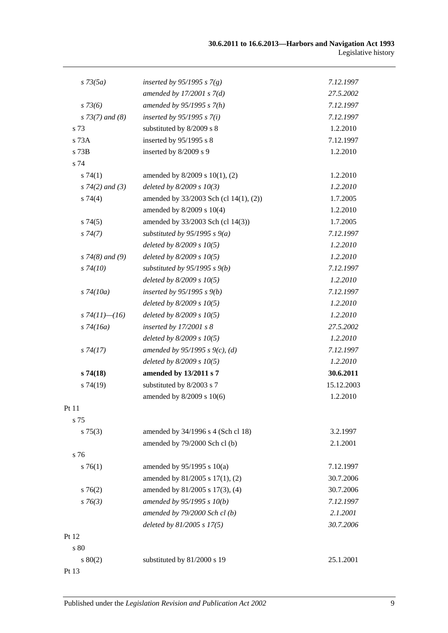| $s \, 73(5a)$        | inserted by 95/1995 s $7(g)$           | 7.12.1997  |
|----------------------|----------------------------------------|------------|
|                      | amended by $17/2001 s 7(d)$            | 27.5.2002  |
| $s\,73(6)$           | amended by $95/1995 s 7(h)$            | 7.12.1997  |
| $s$ 73(7) and (8)    | inserted by $95/1995 s 7(i)$           | 7.12.1997  |
| s 73                 | substituted by 8/2009 s 8              | 1.2.2010   |
| s 73A                | inserted by 95/1995 s 8                | 7.12.1997  |
| s 73B                | inserted by 8/2009 s 9                 | 1.2.2010   |
| s 74                 |                                        |            |
| s74(1)               | amended by 8/2009 s 10(1), (2)         | 1.2.2010   |
| $s \, 74(2)$ and (3) | deleted by $8/2009 s 10(3)$            | 1.2.2010   |
| $s \, 74(4)$         | amended by 33/2003 Sch (cl 14(1), (2)) | 1.7.2005   |
|                      | amended by 8/2009 s 10(4)              | 1.2.2010   |
| s74(5)               | amended by 33/2003 Sch (cl 14(3))      | 1.7.2005   |
| s74(7)               | substituted by $95/1995$ s $9(a)$      | 7.12.1997  |
|                      | deleted by $8/2009 s 10(5)$            | 1.2.2010   |
| $s$ 74(8) and (9)    | deleted by $8/2009 s 10(5)$            | 1.2.2010   |
| $s\,74(10)$          | substituted by $95/1995$ s $9(b)$      | 7.12.1997  |
|                      | deleted by $8/2009 s 10(5)$            | 1.2.2010   |
| $s\,74(10a)$         | inserted by $95/1995 s 9(b)$           | 7.12.1997  |
|                      | deleted by $8/2009 s 10(5)$            | 1.2.2010   |
| s $74(11)$ — $(16)$  | deleted by $8/2009 s 10(5)$            | 1.2.2010   |
| $s\,74(16a)$         | inserted by $17/2001 s 8$              | 27.5.2002  |
|                      | deleted by $8/2009 s 10(5)$            | 1.2.2010   |
| $s\,74(17)$          | amended by 95/1995 s 9(c), (d)         | 7.12.1997  |
|                      | deleted by $8/2009 s 10(5)$            | 1.2.2010   |
| s74(18)              | amended by 13/2011 s 7                 | 30.6.2011  |
| s74(19)              | substituted by 8/2003 s 7              | 15.12.2003 |
|                      | amended by 8/2009 s 10(6)              | 1.2.2010   |
| Pt 11                |                                        |            |
| s 75                 |                                        |            |
| $s \, 75(3)$         | amended by 34/1996 s 4 (Sch cl 18)     | 3.2.1997   |
|                      | amended by 79/2000 Sch cl (b)          | 2.1.2001   |
| s 76                 |                                        |            |
| $s \, 76(1)$         | amended by $95/1995$ s $10(a)$         | 7.12.1997  |
|                      | amended by 81/2005 s 17(1), (2)        | 30.7.2006  |
| $s \, 76(2)$         | amended by 81/2005 s 17(3), (4)        | 30.7.2006  |
| $s \, 76(3)$         | amended by 95/1995 s 10(b)             | 7.12.1997  |
|                      | amended by $79/2000$ Sch cl (b)        | 2.1.2001   |
|                      | deleted by 81/2005 s 17(5)             | 30.7.2006  |
| Pt 12                |                                        |            |
| s 80                 |                                        |            |
| $s\ 80(2)$           | substituted by 81/2000 s 19            | 25.1.2001  |
| Pt 13                |                                        |            |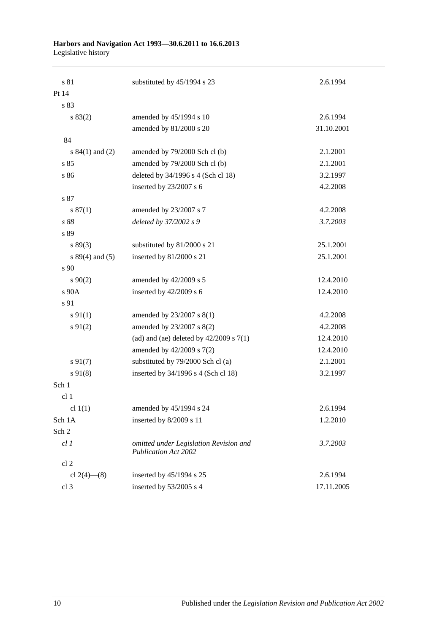#### **Harbors and Navigation Act 1993—30.6.2011 to 16.6.2013** Legislative history

| s 81                | substituted by 45/1994 s 23                                           | 2.6.1994   |
|---------------------|-----------------------------------------------------------------------|------------|
| Pt 14               |                                                                       |            |
| s 83                |                                                                       |            |
| s 83(2)             | amended by 45/1994 s 10                                               | 2.6.1994   |
|                     | amended by 81/2000 s 20                                               | 31.10.2001 |
| 84                  |                                                                       |            |
| s $84(1)$ and (2)   | amended by 79/2000 Sch cl (b)                                         | 2.1.2001   |
| s 85                | amended by 79/2000 Sch cl (b)                                         | 2.1.2001   |
| s 86                | deleted by 34/1996 s 4 (Sch cl 18)                                    | 3.2.1997   |
|                     | inserted by 23/2007 s 6                                               | 4.2.2008   |
| s 87                |                                                                       |            |
| s 87(1)             | amended by 23/2007 s 7                                                | 4.2.2008   |
| s 88                | deleted by 37/2002 s 9                                                | 3.7.2003   |
| s 89                |                                                                       |            |
| s 89(3)             | substituted by 81/2000 s 21                                           | 25.1.2001  |
| s $89(4)$ and $(5)$ | inserted by 81/2000 s 21                                              | 25.1.2001  |
| s 90                |                                                                       |            |
| $s\,90(2)$          | amended by 42/2009 s 5                                                | 12.4.2010  |
| s 90A               | inserted by 42/2009 s 6                                               | 12.4.2010  |
| s 91                |                                                                       |            |
| $s \, 91(1)$        | amended by 23/2007 s 8(1)                                             | 4.2.2008   |
| $s \, 91(2)$        | amended by 23/2007 s 8(2)                                             | 4.2.2008   |
|                     | (ad) and (ae) deleted by $42/2009$ s $7(1)$                           | 12.4.2010  |
|                     | amended by 42/2009 s 7(2)                                             | 12.4.2010  |
| $s\,91(7)$          | substituted by 79/2000 Sch cl (a)                                     | 2.1.2001   |
| $s\,91(8)$          | inserted by 34/1996 s 4 (Sch cl 18)                                   | 3.2.1997   |
| Sch 1               |                                                                       |            |
| cl 1                |                                                                       |            |
| cl $1(1)$           | amended by 45/1994 s 24                                               | 2.6.1994   |
| Sch 1A              | inserted by 8/2009 s 11                                               | 1.2.2010   |
| Sch 2               |                                                                       |            |
| $cl$ $I$            | omitted under Legislation Revision and<br><b>Publication Act 2002</b> | 3.7.2003   |
| cl 2                |                                                                       |            |
| cl $2(4)$ — $(8)$   | inserted by 45/1994 s 25                                              | 2.6.1994   |
| cl 3                | inserted by 53/2005 s 4                                               | 17.11.2005 |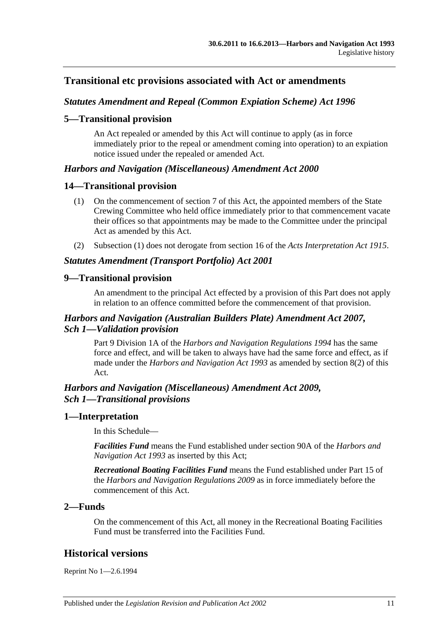# **Transitional etc provisions associated with Act or amendments**

#### *Statutes Amendment and Repeal (Common Expiation Scheme) Act 1996*

#### **5—Transitional provision**

An Act repealed or amended by this Act will continue to apply (as in force immediately prior to the repeal or amendment coming into operation) to an expiation notice issued under the repealed or amended Act.

#### *Harbors and Navigation (Miscellaneous) Amendment Act 2000*

#### **14—Transitional provision**

- (1) On the commencement of section 7 of this Act, the appointed members of the State Crewing Committee who held office immediately prior to that commencement vacate their offices so that appointments may be made to the Committee under the principal Act as amended by this Act.
- (2) Subsection (1) does not derogate from section 16 of the *[Acts Interpretation Act](http://www.legislation.sa.gov.au/index.aspx?action=legref&type=act&legtitle=Acts%20Interpretation%20Act%201915) 1915*.

#### *Statutes Amendment (Transport Portfolio) Act 2001*

#### **9—Transitional provision**

An amendment to the principal Act effected by a provision of this Part does not apply in relation to an offence committed before the commencement of that provision.

### *Harbors and Navigation (Australian Builders Plate) Amendment Act 2007, Sch 1—Validation provision*

Part 9 Division 1A of the *[Harbors and Navigation Regulations](http://www.legislation.sa.gov.au/index.aspx?action=legref&type=subordleg&legtitle=Harbors%20and%20Navigation%20Regulations%201994) 1994* has the same force and effect, and will be taken to always have had the same force and effect, as if made under the *[Harbors and Navigation Act](http://www.legislation.sa.gov.au/index.aspx?action=legref&type=act&legtitle=Harbors%20and%20Navigation%20Act%201993) 1993* as amended by section 8(2) of this Act.

### *Harbors and Navigation (Miscellaneous) Amendment Act 2009, Sch 1—Transitional provisions*

#### **1—Interpretation**

In this Schedule—

*Facilities Fund* means the Fund established under section 90A of the *[Harbors and](http://www.legislation.sa.gov.au/index.aspx?action=legref&type=act&legtitle=Harbors%20and%20Navigation%20Act%201993)  [Navigation Act](http://www.legislation.sa.gov.au/index.aspx?action=legref&type=act&legtitle=Harbors%20and%20Navigation%20Act%201993) 1993* as inserted by this Act;

*Recreational Boating Facilities Fund* means the Fund established under Part 15 of the *[Harbors and Navigation Regulations](http://www.legislation.sa.gov.au/index.aspx?action=legref&type=subordleg&legtitle=Harbors%20and%20Navigation%20Regulations%202009) 2009* as in force immediately before the commencement of this Act.

#### **2—Funds**

On the commencement of this Act, all money in the Recreational Boating Facilities Fund must be transferred into the Facilities Fund.

### **Historical versions**

Reprint No 1—2.6.1994